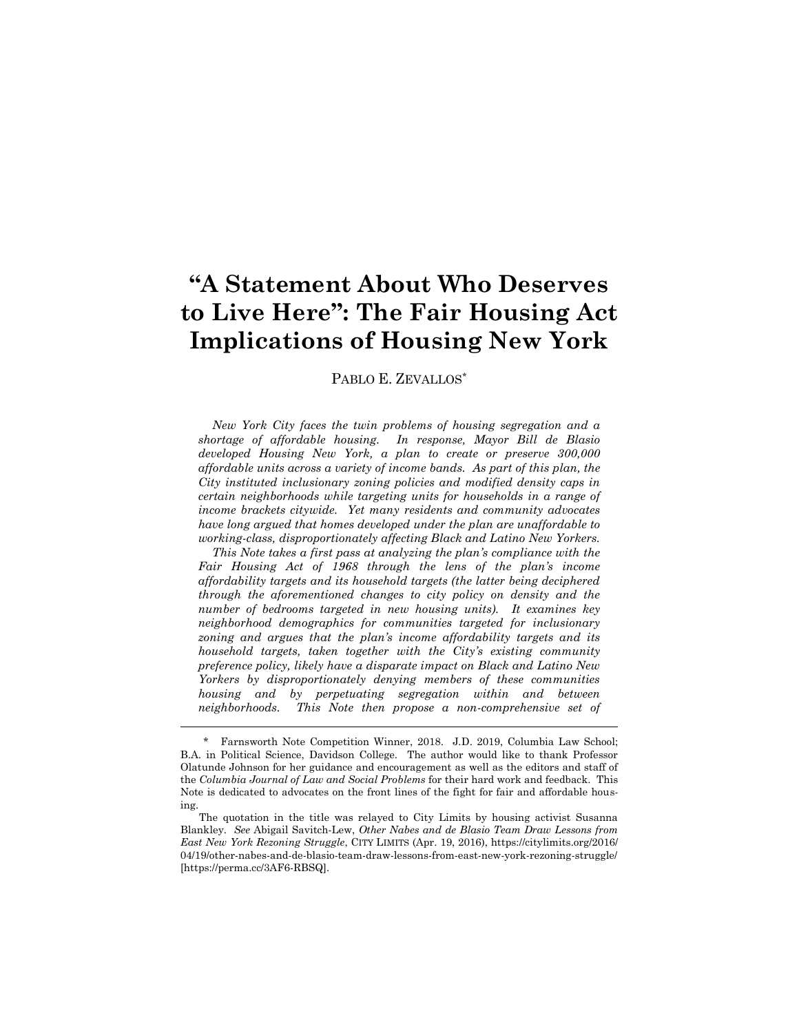# **"A Statement About Who Deserves to Live Here": The Fair Housing Act Implications of Housing New York**

PABLO E. ZEVALLOS\*

*New York City faces the twin problems of housing segregation and a shortage of affordable housing. In response, Mayor Bill de Blasio developed Housing New York, a plan to create or preserve 300,000 affordable units across a variety of income bands. As part of this plan, the City instituted inclusionary zoning policies and modified density caps in certain neighborhoods while targeting units for households in a range of income brackets citywide. Yet many residents and community advocates have long argued that homes developed under the plan are unaffordable to working-class, disproportionately affecting Black and Latino New Yorkers.*

*This Note takes a first pass at analyzing the plan's compliance with the Fair Housing Act of 1968 through the lens of the plan's income affordability targets and its household targets (the latter being deciphered through the aforementioned changes to city policy on density and the number of bedrooms targeted in new housing units). It examines key neighborhood demographics for communities targeted for inclusionary zoning and argues that the plan's income affordability targets and its household targets, taken together with the City's existing community preference policy, likely have a disparate impact on Black and Latino New Yorkers by disproportionately denying members of these communities housing and by perpetuating segregation within and between neighborhoods. This Note then propose a non-comprehensive set of* 

<sup>\*</sup> Farnsworth Note Competition Winner, 2018. J.D. 2019, Columbia Law School; B.A. in Political Science, Davidson College. The author would like to thank Professor Olatunde Johnson for her guidance and encouragement as well as the editors and staff of the *Columbia Journal of Law and Social Problems* for their hard work and feedback. This Note is dedicated to advocates on the front lines of the fight for fair and affordable housing.

The quotation in the title was relayed to City Limits by housing activist Susanna Blankley. *See* Abigail Savitch-Lew, *Other Nabes and de Blasio Team Draw Lessons from East New York Rezoning Struggle*, CITY LIMITS (Apr. 19, 2016), https://citylimits.org/2016/ 04/19/other-nabes-and-de-blasio-team-draw-lessons-from-east-new-york-rezoning-struggle/ [https://perma.cc/3AF6-RBSQ].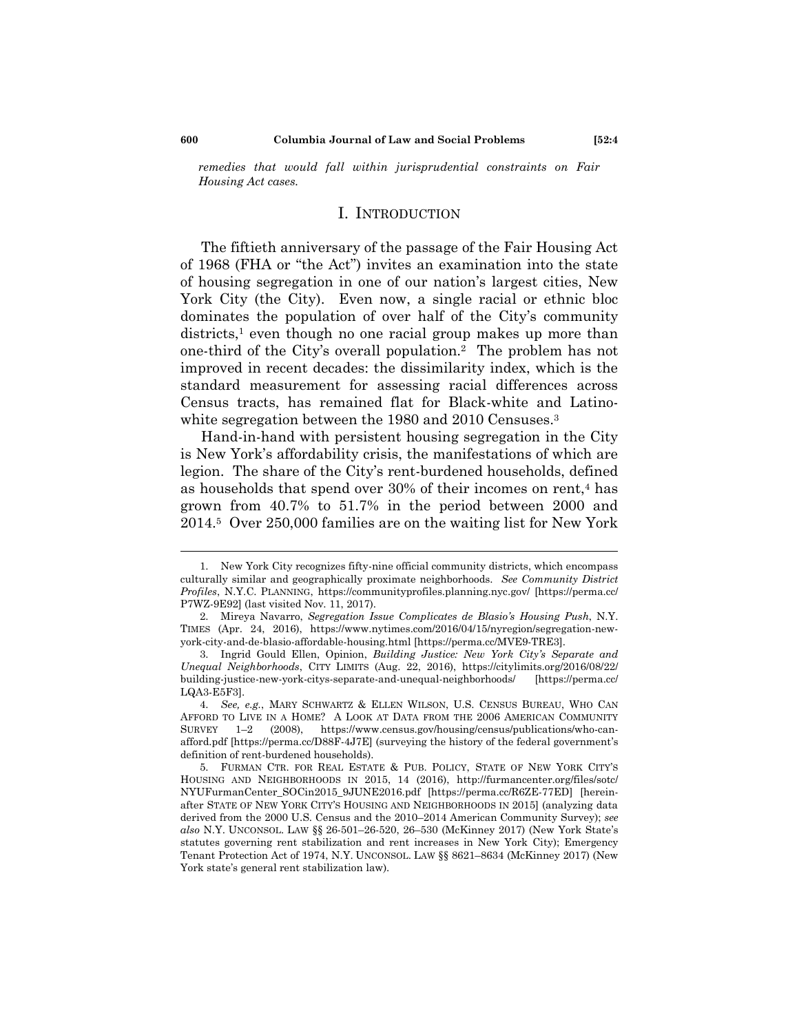*remedies that would fall within jurisprudential constraints on Fair Housing Act cases.*

### <span id="page-1-1"></span>I. INTRODUCTION

The fiftieth anniversary of the passage of the Fair Housing Act of 1968 (FHA or "the Act") invites an examination into the state of housing segregation in one of our nation's largest cities, New York City (the City). Even now, a single racial or ethnic bloc dominates the population of over half of the City's community districts,<sup>1</sup> even though no one racial group makes up more than one-third of the City's overall population.<sup>2</sup> The problem has not improved in recent decades: the dissimilarity index, which is the standard measurement for assessing racial differences across Census tracts, has remained flat for Black-white and Latinowhite segregation between the 1980 and 2010 Censuses.<sup>3</sup>

Hand-in-hand with persistent housing segregation in the City is New York's affordability crisis, the manifestations of which are legion. The share of the City's rent-burdened households, defined as households that spend over 30% of their incomes on rent,<sup>4</sup> has grown from 40.7% to 51.7% in the period between 2000 and 2014.<sup>5</sup> Over 250,000 families are on the waiting list for New York

<span id="page-1-0"></span><sup>1.</sup> New York City recognizes fifty-nine official community districts, which encompass culturally similar and geographically proximate neighborhoods. *See Community District Profiles*, N.Y.C. PLANNING, https://communityprofiles.planning.nyc.gov/ [https://perma.cc/ P7WZ-9E92] (last visited Nov. 11, 2017).

<sup>2.</sup> Mireya Navarro, *Segregation Issue Complicates de Blasio's Housing Push*, N.Y. TIMES (Apr. 24, 2016), https://www.nytimes.com/2016/04/15/nyregion/segregation-newyork-city-and-de-blasio-affordable-housing.html [https://perma.cc/MVE9-TRE3].

<sup>3.</sup> Ingrid Gould Ellen, Opinion, *Building Justice: New York City's Separate and Unequal Neighborhoods*, CITY LIMITS (Aug. 22, 2016), https://citylimits.org/2016/08/22/ building-justice-new-york-citys-separate-and-unequal-neighborhoods/ [https://perma.cc/ LQA3-E5F3].

<sup>4.</sup> *See, e.g.*, MARY SCHWARTZ & ELLEN WILSON, U.S. CENSUS BUREAU, WHO CAN AFFORD TO LIVE IN A HOME? A LOOK AT DATA FROM THE 2006 AMERICAN COMMUNITY SURVEY 1–2 (2008), https://www.census.gov/housing/census/publications/who-canafford.pdf [https://perma.cc/D88F-4J7E] (surveying the history of the federal government's definition of rent-burdened households).

<sup>5.</sup> FURMAN CTR. FOR REAL ESTATE & PUB. POLICY, STATE OF NEW YORK CITY'S HOUSING AND NEIGHBORHOODS IN 2015, 14 (2016), http://furmancenter.org/files/sotc/ NYUFurmanCenter\_SOCin2015\_9JUNE2016.pdf [https://perma.cc/R6ZE-77ED] [hereinafter STATE OF NEW YORK CITY'S HOUSING AND NEIGHBORHOODS IN 2015] (analyzing data derived from the 2000 U.S. Census and the 2010–2014 American Community Survey); *see also* N.Y. UNCONSOL. LAW §§ 26-501–26-520, 26–530 (McKinney 2017) (New York State's statutes governing rent stabilization and rent increases in New York City); Emergency Tenant Protection Act of 1974, N.Y. UNCONSOL. LAW §§ 8621–8634 (McKinney 2017) (New York state's general rent stabilization law).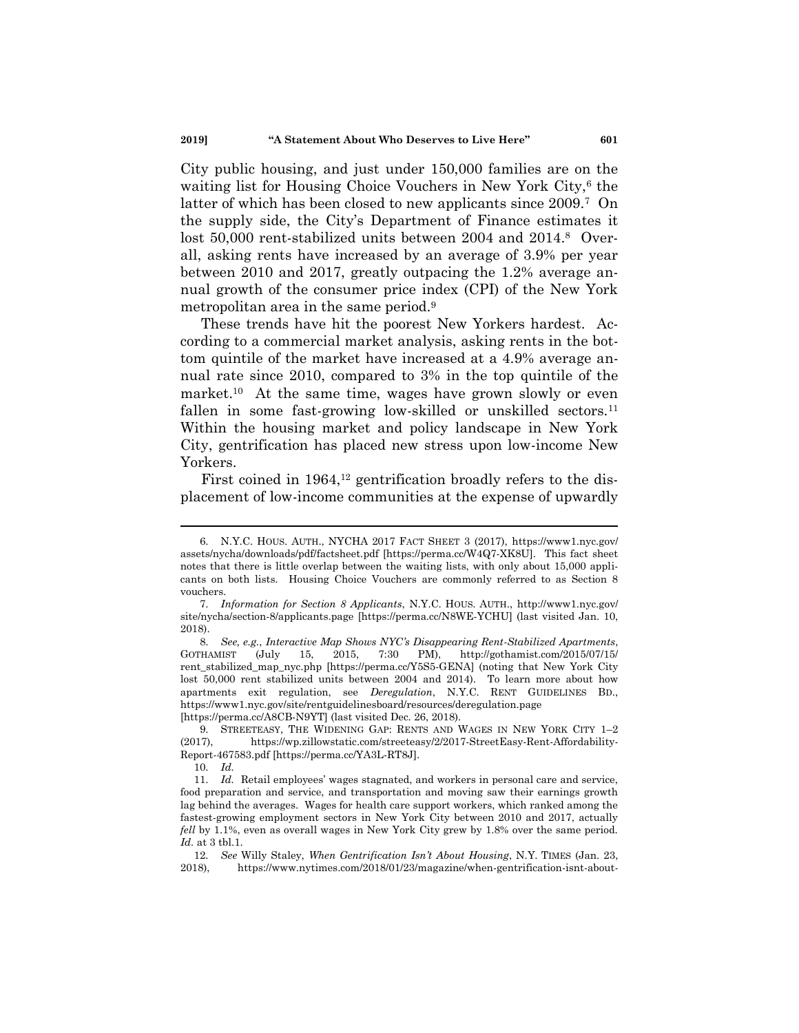City public housing, and just under 150,000 families are on the waiting list for Housing Choice Vouchers in New York City,<sup>6</sup> the latter of which has been closed to new applicants since 2009.<sup>7</sup> On the supply side, the City's Department of Finance estimates it lost 50,000 rent-stabilized units between 2004 and 2014.<sup>8</sup> Overall, asking rents have increased by an average of 3.9% per year between 2010 and 2017, greatly outpacing the 1.2% average annual growth of the consumer price index (CPI) of the New York metropolitan area in the same period.<sup>9</sup>

These trends have hit the poorest New Yorkers hardest. According to a commercial market analysis, asking rents in the bottom quintile of the market have increased at a 4.9% average annual rate since 2010, compared to 3% in the top quintile of the market.<sup>10</sup> At the same time, wages have grown slowly or even fallen in some fast-growing low-skilled or unskilled sectors.<sup>11</sup> Within the housing market and policy landscape in New York City, gentrification has placed new stress upon low-income New Yorkers.

First coined in 1964,<sup>12</sup> gentrification broadly refers to the displacement of low-income communities at the expense of upwardly

<sup>6.</sup> N.Y.C. HOUS. AUTH., NYCHA 2017 FACT SHEET 3 (2017), https://www1.nyc.gov/ assets/nycha/downloads/pdf/factsheet.pdf [https://perma.cc/W4Q7-XK8U]. This fact sheet notes that there is little overlap between the waiting lists, with only about 15,000 applicants on both lists. Housing Choice Vouchers are commonly referred to as Section 8 vouchers.

<sup>7.</sup> *Information for Section 8 Applicants*, N.Y.C. HOUS. AUTH., http://www1.nyc.gov/ site/nycha/section-8/applicants.page [https://perma.cc/N8WE-YCHU] (last visited Jan. 10, 2018).

<sup>8.</sup> *See, e.g.*, *Interactive Map Shows NYC's Disappearing Rent-Stabilized Apartments*, GOTHAMIST (July 15, 2015, 7:30 PM), http://gothamist.com/2015/07/15/ rent\_stabilized\_map\_nyc.php [https://perma.cc/Y5S5-GENA] (noting that New York City lost 50,000 rent stabilized units between 2004 and 2014). To learn more about how apartments exit regulation, see *Deregulation*, N.Y.C. RENT GUIDELINES BD., https://www1.nyc.gov/site/rentguidelinesboard/resources/deregulation.page [https://perma.cc/A8CB-N9YT] (last visited Dec. 26, 2018).

<sup>9.</sup> STREETEASY, THE WIDENING GAP: RENTS AND WAGES IN NEW YORK CITY 1–2 (2017), https://wp.zillowstatic.com/streeteasy/2/2017-StreetEasy-Rent-Affordability-Report-467583.pdf [https://perma.cc/YA3L-RT8J].

<sup>10.</sup> *Id.*

<sup>11.</sup> *Id.* Retail employees' wages stagnated, and workers in personal care and service, food preparation and service, and transportation and moving saw their earnings growth lag behind the averages. Wages for health care support workers, which ranked among the fastest-growing employment sectors in New York City between 2010 and 2017, actually *fell* by 1.1%, even as overall wages in New York City grew by 1.8% over the same period. *Id.* at 3 tbl.1.

<sup>12.</sup> *See* Willy Staley, *When Gentrification Isn't About Housing*, N.Y. TIMES (Jan. 23, 2018), https://www.nytimes.com/2018/01/23/magazine/when-gentrification-isnt-about-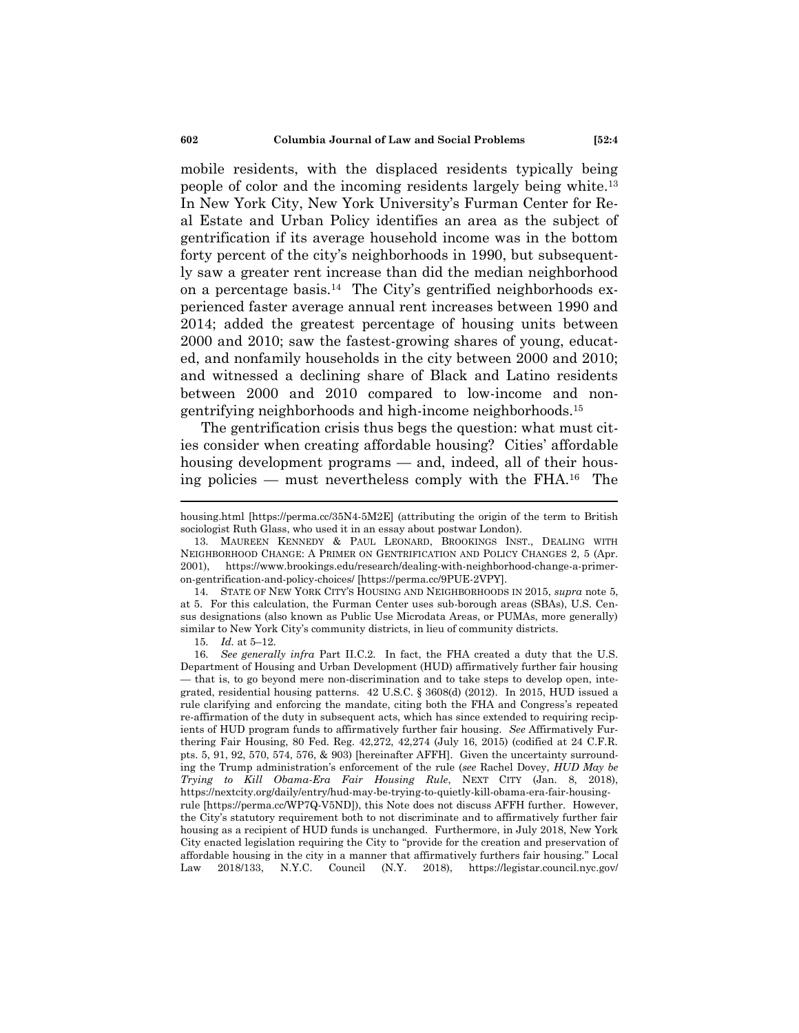mobile residents, with the displaced residents typically being people of color and the incoming residents largely being white.<sup>13</sup> In New York City, New York University's Furman Center for Real Estate and Urban Policy identifies an area as the subject of gentrification if its average household income was in the bottom forty percent of the city's neighborhoods in 1990, but subsequently saw a greater rent increase than did the median neighborhood on a percentage basis.<sup>14</sup> The City's gentrified neighborhoods experienced faster average annual rent increases between 1990 and 2014; added the greatest percentage of housing units between 2000 and 2010; saw the fastest-growing shares of young, educated, and nonfamily households in the city between 2000 and 2010; and witnessed a declining share of Black and Latino residents between 2000 and 2010 compared to low-income and nongentrifying neighborhoods and high-income neighborhoods.<sup>15</sup>

<span id="page-3-0"></span>The gentrification crisis thus begs the question: what must cities consider when creating affordable housing? Cities' affordable housing development programs — and, indeed, all of their housing policies — must nevertheless comply with the FHA.<sup>16</sup> The

housing.html [https://perma.cc/35N4-5M2E] (attributing the origin of the term to British sociologist Ruth Glass, who used it in an essay about postwar London).

<sup>13.</sup> MAUREEN KENNEDY & PAUL LEONARD, BROOKINGS INST., DEALING WITH NEIGHBORHOOD CHANGE: A PRIMER ON GENTRIFICATION AND POLICY CHANGES 2, 5 (Apr. 2001), https://www.brookings.edu/research/dealing-with-neighborhood-change-a-primeron-gentrification-and-policy-choices/ [https://perma.cc/9PUE-2VPY].

<sup>14.</sup> STATE OF NEW YORK CITY'S HOUSING AND NEIGHBORHOODS IN 2015, *supra* note [5,](#page-1-0)  at 5. For this calculation, the Furman Center uses sub-borough areas (SBAs), U.S. Census designations (also known as Public Use Microdata Areas, or PUMAs, more generally) similar to New York City's community districts, in lieu of community districts.

<sup>15.</sup> *Id.* at 5–12.

<sup>16.</sup> *See generally infra* Part II.C.2. In fact, the FHA created a duty that the U.S. Department of Housing and Urban Development (HUD) affirmatively further fair housing — that is, to go beyond mere non-discrimination and to take steps to develop open, integrated, residential housing patterns. 42 U.S.C. § 3608(d) (2012). In 2015, HUD issued a rule clarifying and enforcing the mandate, citing both the FHA and Congress's repeated re-affirmation of the duty in subsequent acts, which has since extended to requiring recipients of HUD program funds to affirmatively further fair housing. *See* Affirmatively Furthering Fair Housing, 80 Fed. Reg. 42,272, 42,274 (July 16, 2015) (codified at 24 C.F.R. pts. 5, 91, 92, 570, 574, 576, & 903) [hereinafter AFFH]. Given the uncertainty surrounding the Trump administration's enforcement of the rule (*see* Rachel Dovey, *HUD May be Trying to Kill Obama-Era Fair Housing Rule*, NEXT CITY (Jan. 8, 2018), https://nextcity.org/daily/entry/hud-may-be-trying-to-quietly-kill-obama-era-fair-housingrule [https://perma.cc/WP7Q-V5ND]), this Note does not discuss AFFH further. However, the City's statutory requirement both to not discriminate and to affirmatively further fair housing as a recipient of HUD funds is unchanged. Furthermore, in July 2018, New York City enacted legislation requiring the City to "provide for the creation and preservation of affordable housing in the city in a manner that affirmatively furthers fair housing." Local Law 2018/133, N.Y.C. Council (N.Y. 2018), https://legistar.council.nyc.gov/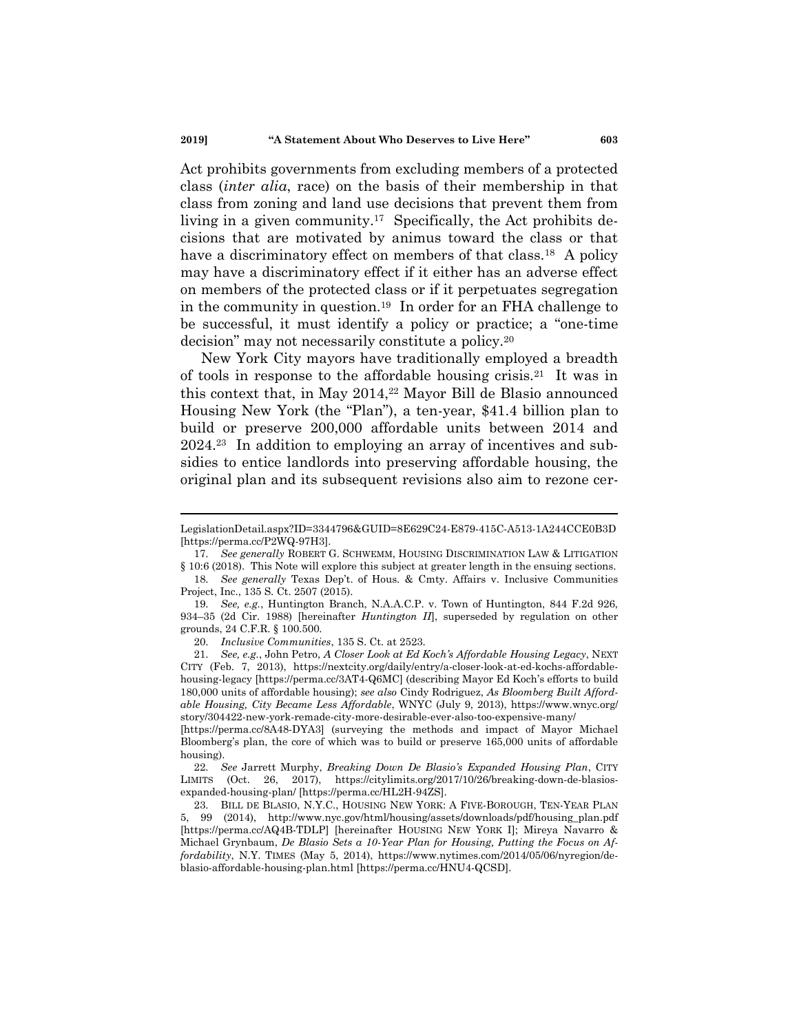Act prohibits governments from excluding members of a protected class (*inter alia*, race) on the basis of their membership in that class from zoning and land use decisions that prevent them from living in a given community.<sup>17</sup> Specifically, the Act prohibits decisions that are motivated by animus toward the class or that have a discriminatory effect on members of that class.<sup>18</sup> A policy may have a discriminatory effect if it either has an adverse effect on members of the protected class or if it perpetuates segregation in the community in question.<sup>19</sup> In order for an FHA challenge to be successful, it must identify a policy or practice; a "one-time" decision" may not necessarily constitute a policy.<sup>20</sup>

<span id="page-4-2"></span><span id="page-4-1"></span><span id="page-4-0"></span>New York City mayors have traditionally employed a breadth of tools in response to the affordable housing crisis.<sup>21</sup> It was in this context that, in May 2014,<sup>22</sup> Mayor Bill de Blasio announced Housing New York (the "Plan"), a ten-year, \$41.4 billion plan to build or preserve 200,000 affordable units between 2014 and 2024.<sup>23</sup> In addition to employing an array of incentives and subsidies to entice landlords into preserving affordable housing, the original plan and its subsequent revisions also aim to rezone cer-

20. *Inclusive Communities*, 135 S. Ct. at 2523.

21. *See, e.g.*, John Petro, *A Closer Look at Ed Koch's Affordable Housing Legacy*, NEXT CITY (Feb. 7, 2013), https://nextcity.org/daily/entry/a-closer-look-at-ed-kochs-affordablehousing-legacy [https://perma.cc/3AT4-Q6MC] (describing Mayor Ed Koch's efforts to build 180,000 units of affordable housing); *see also* Cindy Rodriguez, *As Bloomberg Built Affordable Housing, City Became Less Affordable*, WNYC (July 9, 2013), https://www.wnyc.org/ story/304422-new-york-remade-city-more-desirable-ever-also-too-expensive-many/

[https://perma.cc/8A48-DYA3] (surveying the methods and impact of Mayor Michael Bloomberg's plan, the core of which was to build or preserve 165,000 units of affordable housing).

22. *See* Jarrett Murphy, *Breaking Down De Blasio's Expanded Housing Plan*, CITY LIMITS (Oct. 26, 2017), https://citylimits.org/2017/10/26/breaking-down-de-blasiosexpanded-housing-plan/ [https://perma.cc/HL2H-94ZS].

23. BILL DE BLASIO, N.Y.C., HOUSING NEW YORK: A FIVE-BOROUGH, TEN-YEAR PLAN 5, 99 (2014), http://www.nyc.gov/html/housing/assets/downloads/pdf/housing\_plan.pdf [https://perma.cc/AQ4B-TDLP] [hereinafter HOUSING NEW YORK I]; Mireya Navarro & Michael Grynbaum, *De Blasio Sets a 10-Year Plan for Housing, Putting the Focus on Affordability*, N.Y. TIMES (May 5, 2014), https://www.nytimes.com/2014/05/06/nyregion/deblasio-affordable-housing-plan.html [https://perma.cc/HNU4-QCSD].

LegislationDetail.aspx?ID=3344796&GUID=8E629C24-E879-415C-A513-1A244CCE0B3D [https://perma.cc/P2WQ-97H3].

<sup>17.</sup> *See generally* ROBERT G. SCHWEMM, HOUSING DISCRIMINATION LAW & LITIGATION § 10:6 (2018). This Note will explore this subject at greater length in the ensuing sections.

<sup>18.</sup> *See generally* Texas Dep't. of Hous. & Cmty. Affairs v. Inclusive Communities Project, Inc., 135 S. Ct. 2507 (2015).

<sup>19.</sup> *See, e.g.*, Huntington Branch, N.A.A.C.P. v. Town of Huntington, 844 F.2d 926, 934–35 (2d Cir. 1988) [hereinafter *Huntington II*], superseded by regulation on other grounds, 24 C.F.R. § 100.500.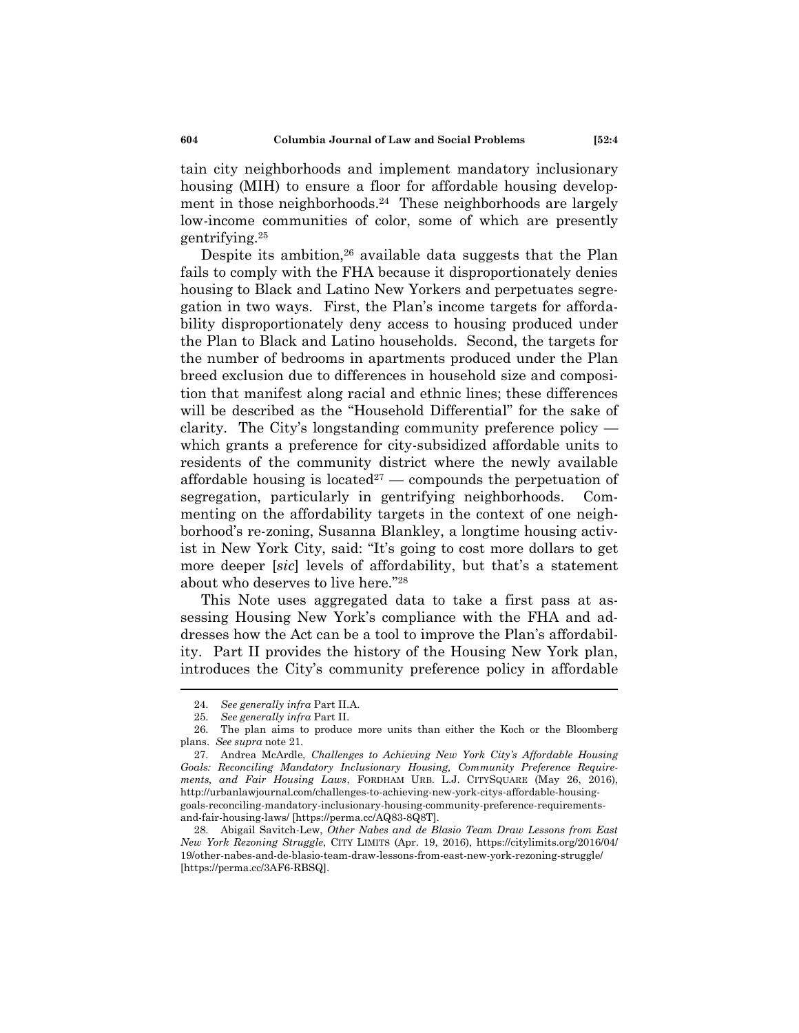tain city neighborhoods and implement mandatory inclusionary housing (MIH) to ensure a floor for affordable housing development in those neighborhoods.<sup>24</sup> These neighborhoods are largely low-income communities of color, some of which are presently gentrifying.<sup>25</sup>

Despite its ambition,<sup>26</sup> available data suggests that the Plan fails to comply with the FHA because it disproportionately denies housing to Black and Latino New Yorkers and perpetuates segregation in two ways. First, the Plan's income targets for affordability disproportionately deny access to housing produced under the Plan to Black and Latino households. Second, the targets for the number of bedrooms in apartments produced under the Plan breed exclusion due to differences in household size and composition that manifest along racial and ethnic lines; these differences will be described as the "Household Differential" for the sake of clarity. The City's longstanding community preference policy which grants a preference for city-subsidized affordable units to residents of the community district where the newly available affordable housing is located<sup>27</sup> — compounds the perpetuation of segregation, particularly in gentrifying neighborhoods. Commenting on the affordability targets in the context of one neighborhood's re-zoning, Susanna Blankley, a longtime housing activist in New York City, said: "It's going to cost more dollars to get more deeper [*sic*] levels of affordability, but that's a statement about who deserves to live here."28

<span id="page-5-0"></span>This Note uses aggregated data to take a first pass at assessing Housing New York's compliance with the FHA and addresses how the Act can be a tool to improve the Plan's affordability. Part II provides the history of the Housing New York plan, introduces the City's community preference policy in affordable

<sup>24.</sup> *See generally infra* Part II.A.

<sup>25.</sup> *See generally infra* Part II.

<sup>26.</sup> The plan aims to produce more units than either the Koch or the Bloomberg plans. *See supra* not[e 21.](#page-4-0)

<sup>27.</sup> Andrea McArdle, *Challenges to Achieving New York City's Affordable Housing Goals: Reconciling Mandatory Inclusionary Housing, Community Preference Requirements, and Fair Housing Laws*, FORDHAM URB. L.J. CITYSQUARE (May 26, 2016), http://urbanlawjournal.com/challenges-to-achieving-new-york-citys-affordable-housinggoals-reconciling-mandatory-inclusionary-housing-community-preference-requirementsand-fair-housing-laws/ [https://perma.cc/AQ83-8Q8T].

<sup>28.</sup> Abigail Savitch-Lew, *Other Nabes and de Blasio Team Draw Lessons from East New York Rezoning Struggle*, CITY LIMITS (Apr. 19, 2016), https://citylimits.org/2016/04/ 19/other-nabes-and-de-blasio-team-draw-lessons-from-east-new-york-rezoning-struggle/ [https://perma.cc/3AF6-RBSQ].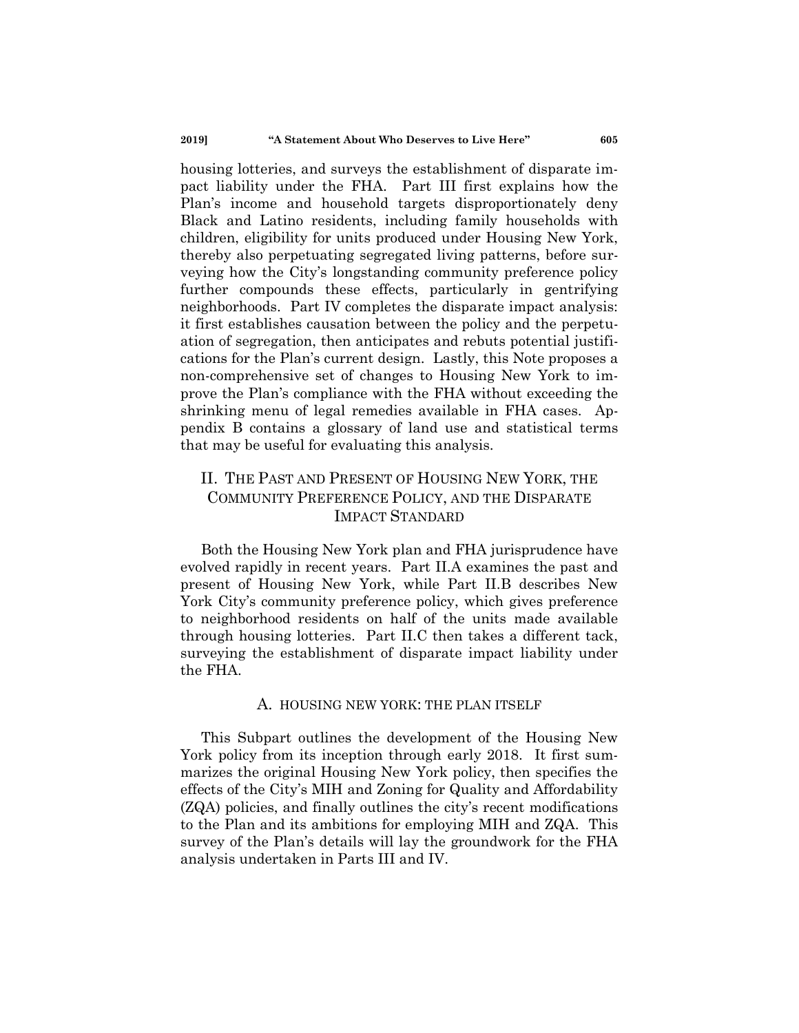housing lotteries, and surveys the establishment of disparate impact liability under the FHA. Part III first explains how the Plan's income and household targets disproportionately deny Black and Latino residents, including family households with children, eligibility for units produced under Housing New York, thereby also perpetuating segregated living patterns, before surveying how the City's longstanding community preference policy further compounds these effects, particularly in gentrifying neighborhoods. Part IV completes the disparate impact analysis: it first establishes causation between the policy and the perpetuation of segregation, then anticipates and rebuts potential justifications for the Plan's current design. Lastly, this Note proposes a non-comprehensive set of changes to Housing New York to improve the Plan's compliance with the FHA without exceeding the shrinking menu of legal remedies available in FHA cases. Appendix B contains a glossary of land use and statistical terms that may be useful for evaluating this analysis.

# II. THE PAST AND PRESENT OF HOUSING NEW YORK, THE COMMUNITY PREFERENCE POLICY, AND THE DISPARATE IMPACT STANDARD

Both the Housing New York plan and FHA jurisprudence have evolved rapidly in recent years. Part II.A examines the past and present of Housing New York, while Part II.B describes New York City's community preference policy, which gives preference to neighborhood residents on half of the units made available through housing lotteries. Part II.C then takes a different tack, surveying the establishment of disparate impact liability under the FHA.

#### A. HOUSING NEW YORK: THE PLAN ITSELF

This Subpart outlines the development of the Housing New York policy from its inception through early 2018. It first summarizes the original Housing New York policy, then specifies the effects of the City's MIH and Zoning for Quality and Affordability (ZQA) policies, and finally outlines the city's recent modifications to the Plan and its ambitions for employing MIH and ZQA. This survey of the Plan's details will lay the groundwork for the FHA analysis undertaken in Parts III and IV.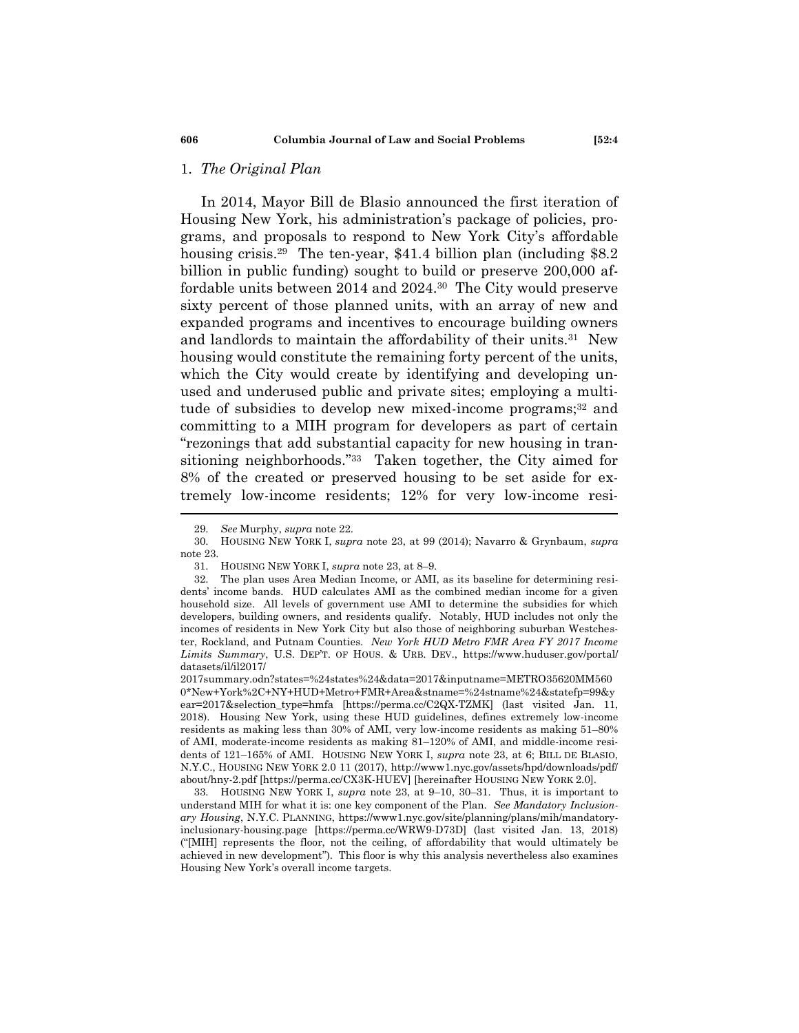#### 1. *The Original Plan*

In 2014, Mayor Bill de Blasio announced the first iteration of Housing New York, his administration's package of policies, programs, and proposals to respond to New York City's affordable housing crisis.<sup>29</sup> The ten-year, \$41.4 billion plan (including \$8.2) billion in public funding) sought to build or preserve 200,000 affordable units between 2014 and 2024.<sup>30</sup> The City would preserve sixty percent of those planned units, with an array of new and expanded programs and incentives to encourage building owners and landlords to maintain the affordability of their units.<sup>31</sup> New housing would constitute the remaining forty percent of the units, which the City would create by identifying and developing unused and underused public and private sites; employing a multitude of subsidies to develop new mixed-income programs;<sup>32</sup> and committing to a MIH program for developers as part of certain ―rezonings that add substantial capacity for new housing in transitioning neighborhoods."<sup>33</sup> Taken together, the City aimed for 8% of the created or preserved housing to be set aside for extremely low-income residents; 12% for very low-income resi-

<span id="page-7-1"></span><span id="page-7-0"></span><sup>29.</sup> *See* Murphy, *supra* not[e 22.](#page-4-1)

<sup>30.</sup> HOUSING NEW YORK I, *supra* note [23,](#page-4-2) at 99 (2014); Navarro & Grynbaum, *supra* not[e 23.](#page-4-2)

<sup>31.</sup> HOUSING NEW YORK I, *supra* note [23,](#page-4-2) at 8–9.

<sup>32.</sup> The plan uses Area Median Income, or AMI, as its baseline for determining residents' income bands. HUD calculates AMI as the combined median income for a given household size. All levels of government use AMI to determine the subsidies for which developers, building owners, and residents qualify. Notably, HUD includes not only the incomes of residents in New York City but also those of neighboring suburban Westchester, Rockland, and Putnam Counties. *New York HUD Metro FMR Area FY 2017 Income Limits Summary*, U.S. DEP'T. OF HOUS. & URB. DEV., https://www.huduser.gov/portal/ datasets/il/il2017/

<sup>2017</sup>summary.odn?states=%24states%24&data=2017&inputname=METRO35620MM560 0\*New+York%2C+NY+HUD+Metro+FMR+Area&stname=%24stname%24&statefp=99&y ear=2017&selection\_type=hmfa [https://perma.cc/C2QX-TZMK] (last visited Jan. 11, 2018). Housing New York, using these HUD guidelines, defines extremely low-income residents as making less than 30% of AMI, very low-income residents as making 51–80% of AMI, moderate-income residents as making 81–120% of AMI, and middle-income residents of 121–165% of AMI. HOUSING NEW YORK I, *supra* note [23,](#page-4-2) at 6; BILL DE BLASIO, N.Y.C., HOUSING NEW YORK 2.0 11 (2017), http://www1.nyc.gov/assets/hpd/downloads/pdf/ about/hny-2.pdf [https://perma.cc/CX3K-HUEV] [hereinafter HOUSING NEW YORK 2.0].

<sup>33.</sup> HOUSING NEW YORK I, *supra* note [23,](#page-4-2) at 9–10, 30–31. Thus, it is important to understand MIH for what it is: one key component of the Plan. *See Mandatory Inclusionary Housing*, N.Y.C. PLANNING, https://www1.nyc.gov/site/planning/plans/mih/mandatoryinclusionary-housing.page [https://perma.cc/WRW9-D73D] (last visited Jan. 13, 2018) (―[MIH] represents the floor, not the ceiling, of affordability that would ultimately be achieved in new development"). This floor is why this analysis nevertheless also examines Housing New York's overall income targets.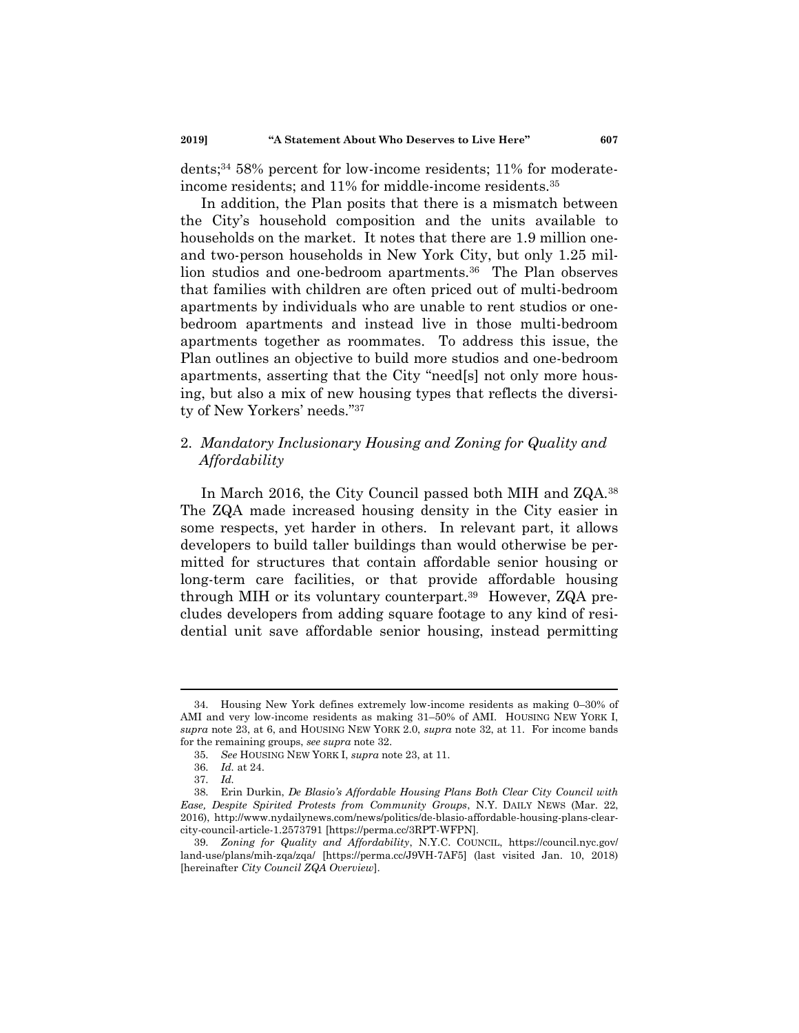<span id="page-8-1"></span>dents;<sup>34</sup> 58% percent for low-income residents; 11% for moderateincome residents; and 11% for middle-income residents.<sup>35</sup>

In addition, the Plan posits that there is a mismatch between the City's household composition and the units available to households on the market. It notes that there are 1.9 million oneand two-person households in New York City, but only 1.25 million studios and one-bedroom apartments.<sup>36</sup> The Plan observes that families with children are often priced out of multi-bedroom apartments by individuals who are unable to rent studios or onebedroom apartments and instead live in those multi-bedroom apartments together as roommates. To address this issue, the Plan outlines an objective to build more studios and one-bedroom apartments, asserting that the City "need[s] not only more housing, but also a mix of new housing types that reflects the diversity of New Yorkers' needs."37

### 2. *Mandatory Inclusionary Housing and Zoning for Quality and Affordability*

<span id="page-8-2"></span><span id="page-8-0"></span>In March 2016, the City Council passed both MIH and ZQA.<sup>38</sup> The ZQA made increased housing density in the City easier in some respects, yet harder in others. In relevant part, it allows developers to build taller buildings than would otherwise be permitted for structures that contain affordable senior housing or long-term care facilities, or that provide affordable housing through MIH or its voluntary counterpart.<sup>39</sup> However, ZQA precludes developers from adding square footage to any kind of residential unit save affordable senior housing, instead permitting

<sup>34.</sup> Housing New York defines extremely low-income residents as making 0–30% of AMI and very low-income residents as making 31–50% of AMI. HOUSING NEW YORK I, *supra* not[e 23,](#page-4-2) at 6, and HOUSING NEW YORK 2.0, *supra* note [32,](#page-7-0) at 11. For income bands for the remaining groups, *see supra* not[e 32.](#page-7-0)

<sup>35.</sup> *See* HOUSING NEW YORK I, *supra* not[e 23,](#page-4-2) at 11.

<sup>36.</sup> *Id.* at 24.

<sup>37.</sup> *Id.*

<sup>38.</sup> Erin Durkin, *De Blasio's Affordable Housing Plans Both Clear City Council with Ease, Despite Spirited Protests from Community Groups*, N.Y. DAILY NEWS (Mar. 22, 2016), http://www.nydailynews.com/news/politics/de-blasio-affordable-housing-plans-clearcity-council-article-1.2573791 [https://perma.cc/3RPT-WFPN].

<sup>39.</sup> *Zoning for Quality and Affordability*, N.Y.C. COUNCIL, https://council.nyc.gov/ land-use/plans/mih-zqa/zqa/ [https://perma.cc/J9VH-7AF5] (last visited Jan. 10, 2018) [hereinafter *City Council ZQA Overview*].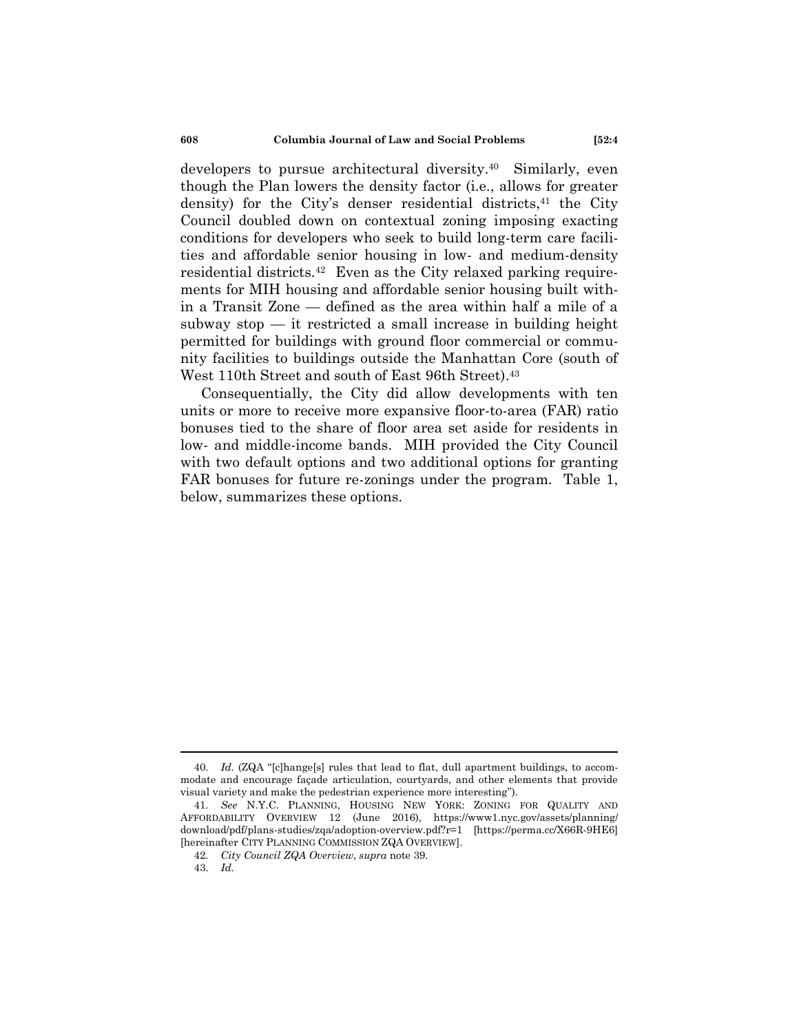<span id="page-9-1"></span><span id="page-9-0"></span>developers to pursue architectural diversity.<sup>40</sup> Similarly, even though the Plan lowers the density factor (i.e., allows for greater density) for the City's denser residential districts,<sup>41</sup> the City Council doubled down on contextual zoning imposing exacting conditions for developers who seek to build long-term care facilities and affordable senior housing in low- and medium-density residential districts.<sup>42</sup> Even as the City relaxed parking requirements for MIH housing and affordable senior housing built within a Transit Zone — defined as the area within half a mile of a subway stop  $-$  it restricted a small increase in building height permitted for buildings with ground floor commercial or community facilities to buildings outside the Manhattan Core (south of West 110th Street and south of East 96th Street).<sup>43</sup>

Consequentially, the City did allow developments with ten units or more to receive more expansive floor-to-area (FAR) ratio bonuses tied to the share of floor area set aside for residents in low- and middle-income bands. MIH provided the City Council with two default options and two additional options for granting FAR bonuses for future re-zonings under the program. Table 1, below, summarizes these options.

<sup>40.</sup> *Id.* (ZQA "[c]hange[s] rules that lead to flat, dull apartment buildings, to accommodate and encourage façade articulation, courtyards, and other elements that provide visual variety and make the pedestrian experience more interesting").

<sup>41.</sup> *See* N.Y.C. PLANNING, HOUSING NEW YORK: ZONING FOR QUALITY AND AFFORDABILITY OVERVIEW 12 (June 2016), https://www1.nyc.gov/assets/planning/ download/pdf/plans-studies/zqa/adoption-overview.pdf?r=1 [https://perma.cc/X66R-9HE6] [hereinafter CITY PLANNING COMMISSION ZQA OVERVIEW].

<sup>42.</sup> *City Council ZQA Overview*, *supra* note [39.](#page-8-0)

<sup>43.</sup> *Id.*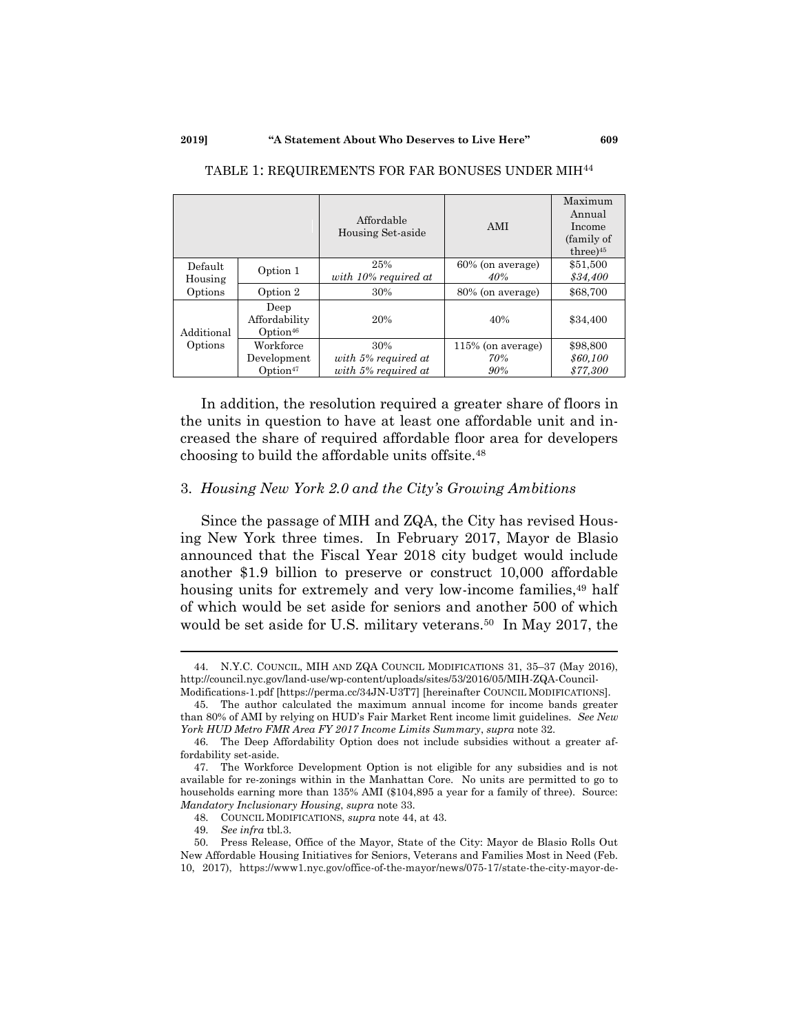|                       |                                                  | Affordable<br>Housing Set-aside                      | AMI                                | Maximum<br>Annual<br>Income<br>(family of<br>$three)$ <sup>45</sup> |
|-----------------------|--------------------------------------------------|------------------------------------------------------|------------------------------------|---------------------------------------------------------------------|
| Default<br>Housing    | Option 1                                         | 25%<br>with $10\%$ required at                       | 60% (on average)<br>40%            | \$51,500<br>\$34,400                                                |
| Options               | Option 2                                         | 30%                                                  | 80% (on average)                   | \$68,700                                                            |
| Additional<br>Options | Deep<br>Affordability<br>$O$ ption <sup>46</sup> | 20%                                                  | 40%                                |                                                                     |
|                       | Workforce<br>Development<br>Option <sup>47</sup> | 30%<br>with $5\%$ required at<br>with 5% required at | 115% (on average)<br>70%<br>$90\%$ | \$98,800<br>\$60,100<br>\$77,300                                    |

#### <span id="page-10-0"></span>TABLE 1: REQUIREMENTS FOR FAR BONUSES UNDER MIH<sup>44</sup>

In addition, the resolution required a greater share of floors in the units in question to have at least one affordable unit and increased the share of required affordable floor area for developers choosing to build the affordable units offsite.<sup>48</sup>

#### 3. *Housing New York 2.0 and the City's Growing Ambitions*

Since the passage of MIH and ZQA, the City has revised Housing New York three times. In February 2017, Mayor de Blasio announced that the Fiscal Year 2018 city budget would include another \$1.9 billion to preserve or construct 10,000 affordable housing units for extremely and very low-income families,<sup>49</sup> half of which would be set aside for seniors and another 500 of which would be set aside for U.S. military veterans.<sup>50</sup> In May 2017, the

<sup>44.</sup> N.Y.C. COUNCIL, MIH AND ZQA COUNCIL MODIFICATIONS 31, 35–37 (May 2016), http://council.nyc.gov/land-use/wp-content/uploads/sites/53/2016/05/MIH-ZQA-Council-Modifications-1.pdf [https://perma.cc/34JN-U3T7] [hereinafter COUNCIL MODIFICATIONS].

<sup>45.</sup> The author calculated the maximum annual income for income bands greater than 80% of AMI by relying on HUD's Fair Market Rent income limit guidelines. *See New York HUD Metro FMR Area FY 2017 Income Limits Summary*, *supra* not[e 32.](#page-7-0)

<sup>46.</sup> The Deep Affordability Option does not include subsidies without a greater affordability set-aside.

<sup>47.</sup> The Workforce Development Option is not eligible for any subsidies and is not available for re-zonings within in the Manhattan Core. No units are permitted to go to households earning more than 135% AMI (\$104,895 a year for a family of three). Source: *Mandatory Inclusionary Housing*, *supra* note [33.](#page-7-1)

<sup>48.</sup> COUNCIL MODIFICATIONS, *supra* not[e 44,](#page-10-0) at 43.

<sup>49.</sup> *See infra* tbl.3.

<sup>50.</sup> Press Release, Office of the Mayor, State of the City: Mayor de Blasio Rolls Out New Affordable Housing Initiatives for Seniors, Veterans and Families Most in Need (Feb. 10, 2017), https://www1.nyc.gov/office-of-the-mayor/news/075-17/state-the-city-mayor-de-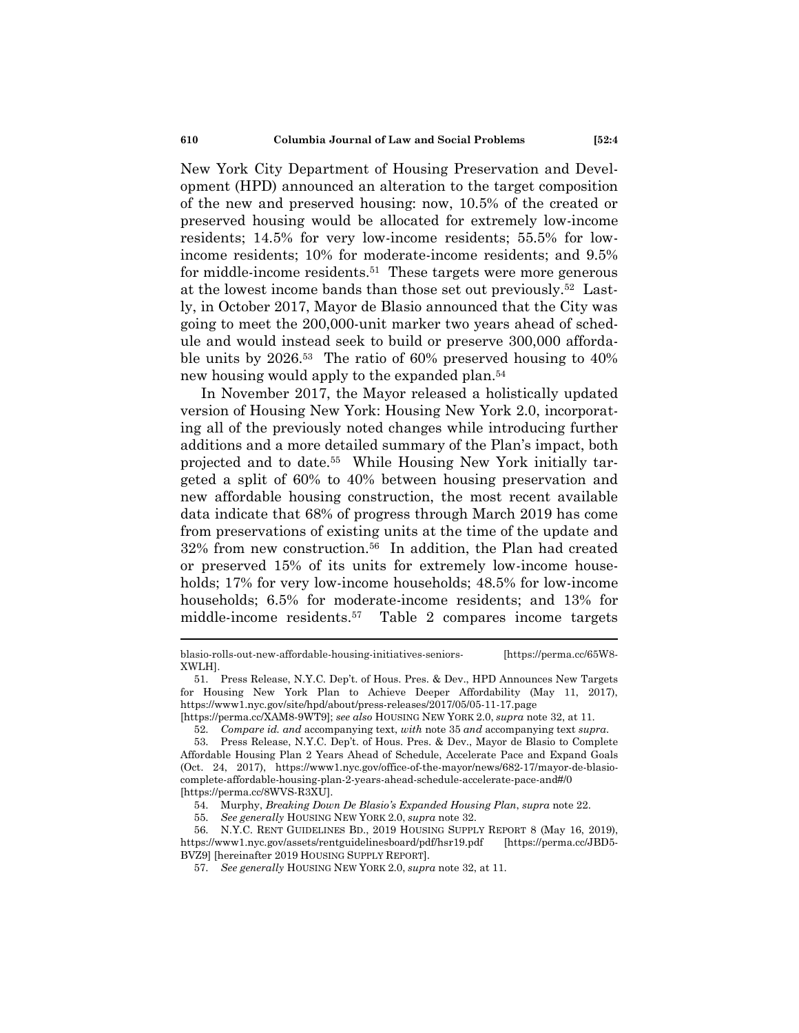New York City Department of Housing Preservation and Development (HPD) announced an alteration to the target composition of the new and preserved housing: now, 10.5% of the created or preserved housing would be allocated for extremely low-income residents; 14.5% for very low-income residents; 55.5% for lowincome residents; 10% for moderate-income residents; and 9.5% for middle-income residents.<sup>51</sup> These targets were more generous at the lowest income bands than those set out previously.<sup>52</sup> Lastly, in October 2017, Mayor de Blasio announced that the City was going to meet the 200,000-unit marker two years ahead of schedule and would instead seek to build or preserve 300,000 affordable units by 2026.<sup>53</sup> The ratio of 60% preserved housing to 40% new housing would apply to the expanded plan.<sup>54</sup>

In November 2017, the Mayor released a holistically updated version of Housing New York: Housing New York 2.0, incorporating all of the previously noted changes while introducing further additions and a more detailed summary of the Plan's impact, both projected and to date.<sup>55</sup> While Housing New York initially targeted a split of 60% to 40% between housing preservation and new affordable housing construction, the most recent available data indicate that 68% of progress through March 2019 has come from preservations of existing units at the time of the update and 32% from new construction.<sup>56</sup> In addition, the Plan had created or preserved 15% of its units for extremely low-income households; 17% for very low-income households; 48.5% for low-income households; 6.5% for moderate-income residents; and 13% for middle-income residents.<sup>57</sup> Table 2 compares income targets

<span id="page-11-0"></span>blasio-rolls-out-new-affordable-housing-initiatives-seniors- [https://perma.cc/65W8- XWLH].

<sup>51.</sup> Press Release, N.Y.C. Dep't. of Hous. Pres. & Dev., HPD Announces New Targets for Housing New York Plan to Achieve Deeper Affordability (May 11, 2017), https://www1.nyc.gov/site/hpd/about/press-releases/2017/05/05-11-17.page

<sup>[</sup>https://perma.cc/XAM8-9WT9]; *see also* HOUSING NEW YORK 2.0, *supra* note [32,](#page-7-0) at 11.

<sup>52.</sup> *Compare id. and* accompanying text, *with* note [35](#page-8-1) *and* accompanying text *supra*.

<sup>53.</sup> Press Release, N.Y.C. Dep't. of Hous. Pres. & Dev., Mayor de Blasio to Complete Affordable Housing Plan 2 Years Ahead of Schedule, Accelerate Pace and Expand Goals (Oct. 24, 2017), https://www1.nyc.gov/office-of-the-mayor/news/682-17/mayor-de-blasiocomplete-affordable-housing-plan-2-years-ahead-schedule-accelerate-pace-and#/0 [https://perma.cc/8WVS-R3XU].

<sup>54.</sup> Murphy, *Breaking Down De Blasio's Expanded Housing Plan*, *supra* not[e 22.](#page-4-1)

<sup>55.</sup> *See generally* HOUSING NEW YORK 2.0, *supra* not[e 32.](#page-7-0)

<sup>56.</sup> N.Y.C. RENT GUIDELINES BD., 2019 HOUSING SUPPLY REPORT 8 (May 16, 2019), https://www1.nyc.gov/assets/rentguidelinesboard/pdf/hsr19.pdf [https://perma.cc/JBD5- BVZ9] [hereinafter 2019 HOUSING SUPPLY REPORT].

<sup>57.</sup> *See generally* HOUSING NEW YORK 2.0, *supra* not[e 32,](#page-7-0) at 11.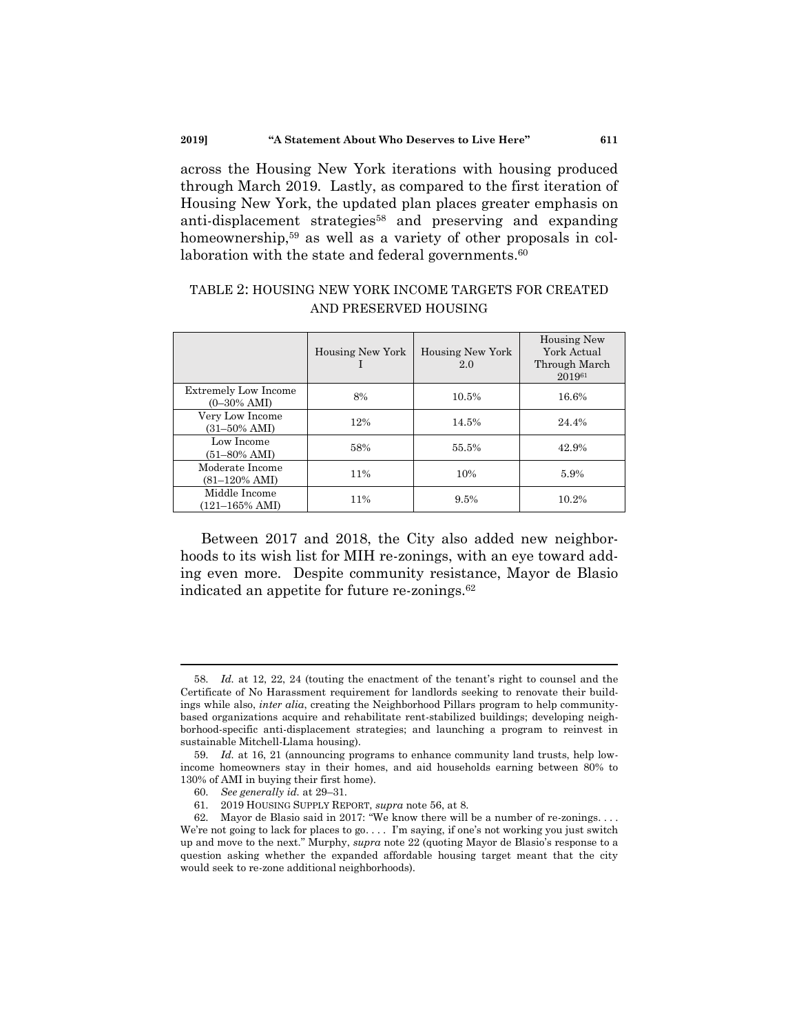across the Housing New York iterations with housing produced through March 2019. Lastly, as compared to the first iteration of Housing New York, the updated plan places greater emphasis on anti-displacement strategies<sup>58</sup> and preserving and expanding homeownership,<sup>59</sup> as well as a variety of other proposals in collaboration with the state and federal governments.<sup>60</sup>

|                                                       | <b>Housing New York</b> | Housing New York<br>2.0 | <b>Housing New</b><br>York Actual<br>Through March<br>201961 |
|-------------------------------------------------------|-------------------------|-------------------------|--------------------------------------------------------------|
| <b>Extremely Low Income</b><br>$(0-30\% \text{ AMI})$ | 8%                      | 10.5%                   | 16.6%                                                        |
| Very Low Income<br>$(31-50\% \text{ AMI})$            | 12%                     | 14.5%                   | 24.4%                                                        |
| Low Income<br>$(51-80\% \text{ AMI})$                 | 58%                     | 55.5%                   | 42.9%                                                        |
| Moderate Income<br>(81–120% AMI)                      | 11%                     | 10%                     | 5.9%                                                         |
| Middle Income<br>(121–165% AMI)                       | 11%                     | 9.5%                    | 10.2%                                                        |

### TABLE 2: HOUSING NEW YORK INCOME TARGETS FOR CREATED AND PRESERVED HOUSING

Between 2017 and 2018, the City also added new neighborhoods to its wish list for MIH re-zonings, with an eye toward adding even more. Despite community resistance, Mayor de Blasio indicated an appetite for future re-zonings.<sup>62</sup>

<sup>58.</sup> *Id.* at 12, 22, 24 (touting the enactment of the tenant's right to counsel and the Certificate of No Harassment requirement for landlords seeking to renovate their buildings while also, *inter alia*, creating the Neighborhood Pillars program to help communitybased organizations acquire and rehabilitate rent-stabilized buildings; developing neighborhood-specific anti-displacement strategies; and launching a program to reinvest in sustainable Mitchell-Llama housing).

<sup>59.</sup> *Id.* at 16, 21 (announcing programs to enhance community land trusts, help lowincome homeowners stay in their homes, and aid households earning between 80% to 130% of AMI in buying their first home).

<sup>60.</sup> *See generally id.* at 29–31.

<sup>61.</sup> 2019 HOUSING SUPPLY REPORT, *supra* not[e 56,](#page-11-0) at 8.

<sup>62.</sup> Mayor de Blasio said in 2017: "We know there will be a number of re-zonings. . . . We're not going to lack for places to go.... I'm saying, if one's not working you just switch up and move to the next.‖ Murphy, *supra* not[e 22](#page-4-1) (quoting Mayor de Blasio's response to a question asking whether the expanded affordable housing target meant that the city would seek to re-zone additional neighborhoods).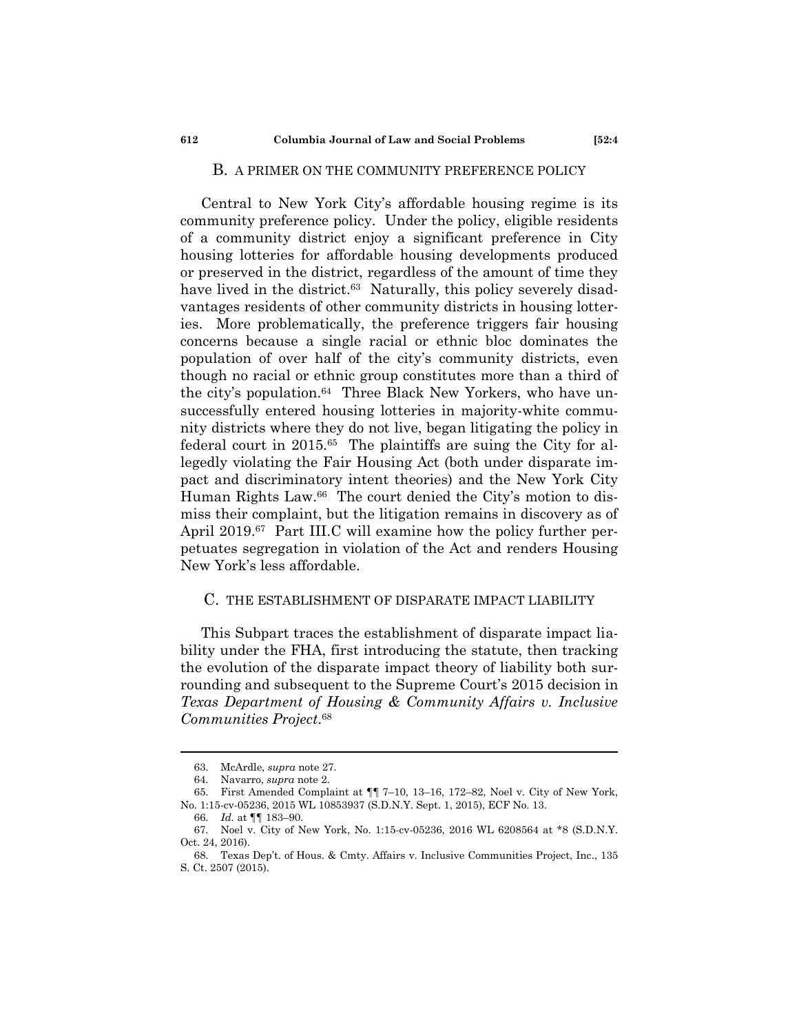#### B. A PRIMER ON THE COMMUNITY PREFERENCE POLICY

Central to New York City's affordable housing regime is its community preference policy. Under the policy, eligible residents of a community district enjoy a significant preference in City housing lotteries for affordable housing developments produced or preserved in the district, regardless of the amount of time they have lived in the district.<sup>63</sup> Naturally, this policy severely disadvantages residents of other community districts in housing lotteries. More problematically, the preference triggers fair housing concerns because a single racial or ethnic bloc dominates the population of over half of the city's community districts, even though no racial or ethnic group constitutes more than a third of the city's population.<sup>64</sup> Three Black New Yorkers, who have unsuccessfully entered housing lotteries in majority-white community districts where they do not live, began litigating the policy in federal court in 2015.<sup>65</sup> The plaintiffs are suing the City for allegedly violating the Fair Housing Act (both under disparate impact and discriminatory intent theories) and the New York City Human Rights Law.<sup>66</sup> The court denied the City's motion to dismiss their complaint, but the litigation remains in discovery as of April 2019.<sup>67</sup> Part III.C will examine how the policy further perpetuates segregation in violation of the Act and renders Housing New York's less affordable.

#### C. THE ESTABLISHMENT OF DISPARATE IMPACT LIABILITY

This Subpart traces the establishment of disparate impact liability under the FHA, first introducing the statute, then tracking the evolution of the disparate impact theory of liability both surrounding and subsequent to the Supreme Court's 2015 decision in *Texas Department of Housing & Community Affairs v. Inclusive Communities Project*. 68

<sup>63.</sup> McArdle, *supra* note [27.](#page-5-0)

<sup>64.</sup> Navarro, *supra* note [2.](#page-1-1)

<sup>65.</sup> First Amended Complaint at ¶¶ 7–10, 13–16, 172–82, Noel v. City of New York, No. 1:15-cv-05236, 2015 WL 10853937 (S.D.N.Y. Sept. 1, 2015), ECF No. 13.

<sup>66.</sup> *Id.* at ¶¶ 183–90.

<sup>67.</sup> Noel v. City of New York, No. 1:15-cv-05236, 2016 WL 6208564 at \*8 (S.D.N.Y. Oct. 24, 2016).

<sup>68.</sup> Texas Dep't. of Hous. & Cmty. Affairs v. Inclusive Communities Project, Inc., 135 S. Ct. 2507 (2015).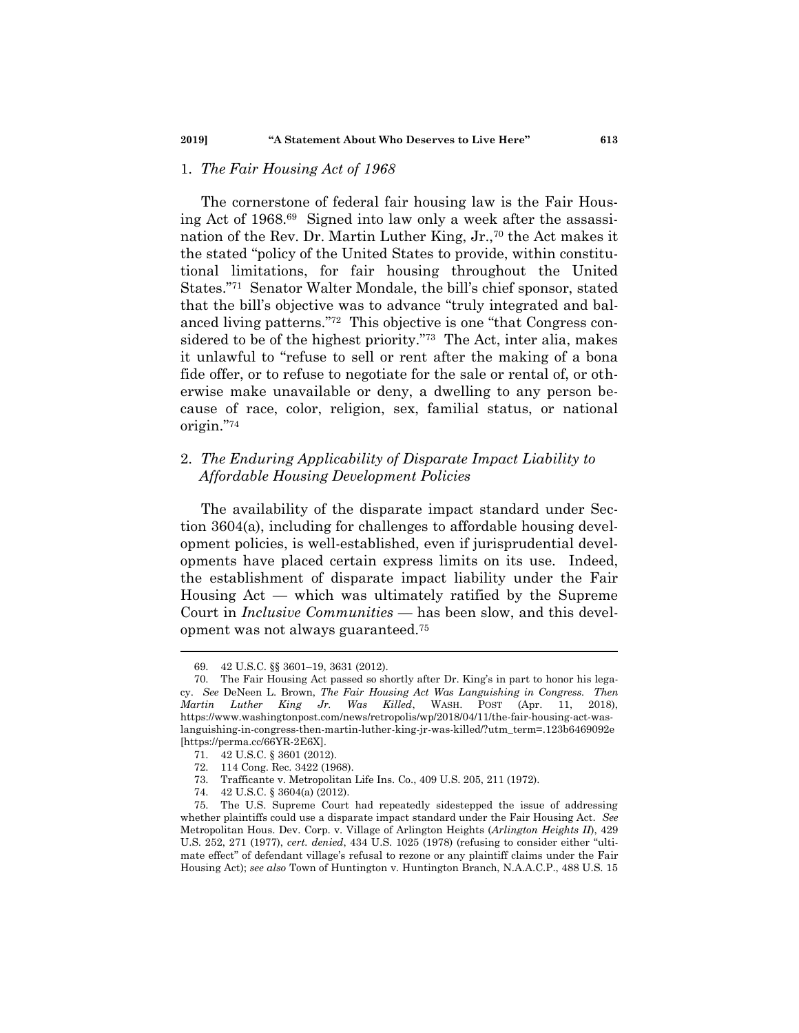#### 1. *The Fair Housing Act of 1968*

The cornerstone of federal fair housing law is the Fair Housing Act of 1968.<sup>69</sup> Signed into law only a week after the assassination of the Rev. Dr. Martin Luther King, Jr.,<sup>70</sup> the Act makes it the stated "policy of the United States to provide, within constitutional limitations, for fair housing throughout the United States."<sup>71</sup> Senator Walter Mondale, the bill's chief sponsor, stated that the bill's objective was to advance "truly integrated and balanced living patterns."<sup>72</sup> This objective is one "that Congress considered to be of the highest priority. $\frac{773}{10}$  The Act, inter alia, makes it unlawful to "refuse to sell or rent after the making of a bona fide offer, or to refuse to negotiate for the sale or rental of, or otherwise make unavailable or deny, a dwelling to any person because of race, color, religion, sex, familial status, or national origin."74

### 2. *The Enduring Applicability of Disparate Impact Liability to Affordable Housing Development Policies*

The availability of the disparate impact standard under Section 3604(a), including for challenges to affordable housing development policies, is well-established, even if jurisprudential developments have placed certain express limits on its use. Indeed, the establishment of disparate impact liability under the Fair Housing Act — which was ultimately ratified by the Supreme Court in *Inclusive Communities* — has been slow, and this development was not always guaranteed.<sup>75</sup>

<sup>69.</sup> 42 U.S.C. §§ 3601–19, 3631 (2012).

<sup>70.</sup> The Fair Housing Act passed so shortly after Dr. King's in part to honor his legacy. *See* DeNeen L. Brown, *The Fair Housing Act Was Languishing in Congress. Then Martin Luther King Jr. Was Killed*, WASH. POST (Apr. 11, 2018), https://www.washingtonpost.com/news/retropolis/wp/2018/04/11/the-fair-housing-act-waslanguishing-in-congress-then-martin-luther-king-jr-was-killed/?utm\_term=.123b6469092e [https://perma.cc/66YR-2E6X].

<sup>71.</sup> 42 U.S.C. § 3601 (2012).

<sup>72.</sup> 114 Cong. Rec. 3422 (1968).

<sup>73.</sup> Trafficante v. Metropolitan Life Ins. Co., 409 U.S. 205, 211 (1972).

<sup>74.</sup> 42 U.S.C. § 3604(a) (2012).

<sup>75.</sup> The U.S. Supreme Court had repeatedly sidestepped the issue of addressing whether plaintiffs could use a disparate impact standard under the Fair Housing Act. *See*  Metropolitan Hous. Dev. Corp. v. Village of Arlington Heights (*Arlington Heights II*), 429 U.S. 252, 271 (1977), *cert. denied*, 434 U.S. 1025 (1978) (refusing to consider either "ultimate effect" of defendant village's refusal to rezone or any plaintiff claims under the Fair Housing Act); *see also* Town of Huntington v. Huntington Branch, N.A.A.C.P., 488 U.S. 15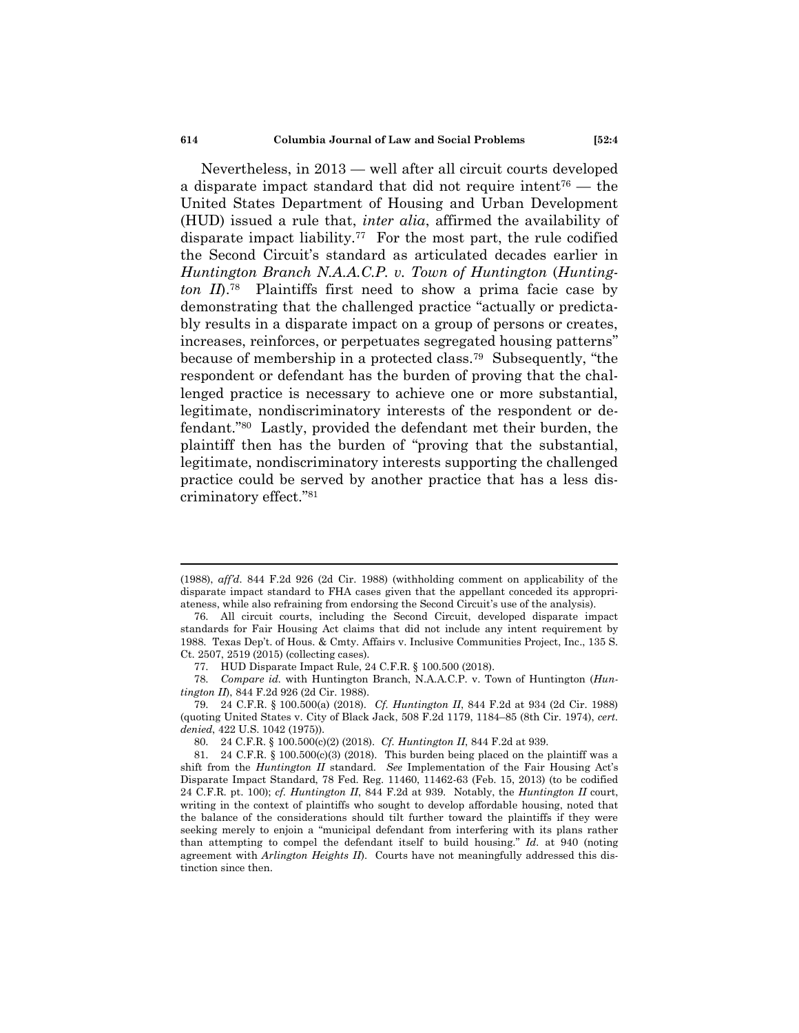#### **614 Columbia Journal of Law and Social Problems [52:4**

Nevertheless, in 2013 — well after all circuit courts developed a disparate impact standard that did not require intent<sup>76</sup> — the United States Department of Housing and Urban Development (HUD) issued a rule that, *inter alia*, affirmed the availability of disparate impact liability.<sup>77</sup> For the most part, the rule codified the Second Circuit's standard as articulated decades earlier in *Huntington Branch N.A.A.C.P. v. Town of Huntington* (*Huntington II*). <sup>78</sup> Plaintiffs first need to show a prima facie case by demonstrating that the challenged practice "actually or predictably results in a disparate impact on a group of persons or creates, increases, reinforces, or perpetuates segregated housing patterns" because of membership in a protected class.<sup>79</sup> Subsequently, "the respondent or defendant has the burden of proving that the challenged practice is necessary to achieve one or more substantial, legitimate, nondiscriminatory interests of the respondent or defendant."<sup>80</sup> Lastly, provided the defendant met their burden, the plaintiff then has the burden of "proving that the substantial, legitimate, nondiscriminatory interests supporting the challenged practice could be served by another practice that has a less discriminatory effect."81

<sup>(1988),</sup> *aff'd.* 844 F.2d 926 (2d Cir. 1988) (withholding comment on applicability of the disparate impact standard to FHA cases given that the appellant conceded its appropriateness, while also refraining from endorsing the Second Circuit's use of the analysis).

<sup>76.</sup> All circuit courts, including the Second Circuit, developed disparate impact standards for Fair Housing Act claims that did not include any intent requirement by 1988. Texas Dep't. of Hous. & Cmty. Affairs v. Inclusive Communities Project, Inc., 135 S. Ct. 2507, 2519 (2015) (collecting cases).

<sup>77.</sup> HUD Disparate Impact Rule, 24 C.F.R. § 100.500 (2018).

<sup>78.</sup> *Compare id.* with Huntington Branch, N.A.A.C.P. v. Town of Huntington (*Huntington II*), 844 F.2d 926 (2d Cir. 1988).

<sup>79.</sup> 24 C.F.R. § 100.500(a) (2018). *Cf. Huntington II*, 844 F.2d at 934 (2d Cir. 1988) (quoting United States v. City of Black Jack, 508 F.2d 1179, 1184–85 (8th Cir. 1974), *cert. denied*, 422 U.S. 1042 (1975)).

<sup>80.</sup> 24 C.F.R. § 100.500(c)(2) (2018). *Cf. Huntington II*, 844 F.2d at 939.

<sup>81. 24</sup> C.F.R. § 100.500(c)(3) (2018). This burden being placed on the plaintiff was a shift from the *Huntington II* standard. *See* Implementation of the Fair Housing Act's Disparate Impact Standard, 78 Fed. Reg. 11460, 11462-63 (Feb. 15, 2013) (to be codified 24 C.F.R. pt. 100); *cf. Huntington II*, 844 F.2d at 939. Notably, the *Huntington II* court, writing in the context of plaintiffs who sought to develop affordable housing, noted that the balance of the considerations should tilt further toward the plaintiffs if they were seeking merely to enjoin a "municipal defendant from interfering with its plans rather than attempting to compel the defendant itself to build housing.‖ *Id.* at 940 (noting agreement with *Arlington Heights II*). Courts have not meaningfully addressed this distinction since then.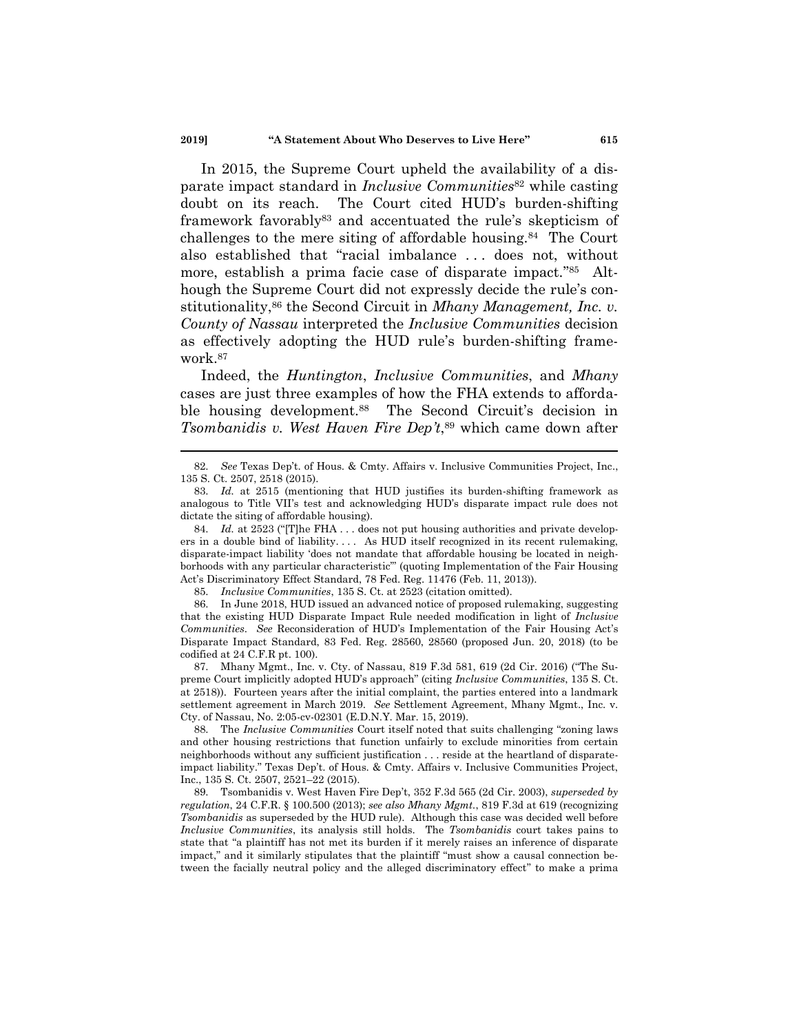In 2015, the Supreme Court upheld the availability of a disparate impact standard in *Inclusive Communities*<sup>82</sup> while casting doubt on its reach. The Court cited HUD's burden-shifting framework favorably<sup>83</sup> and accentuated the rule's skepticism of challenges to the mere siting of affordable housing.<sup>84</sup> The Court also established that "racial imbalance ... does not, without more, establish a prima facie case of disparate impact."<sup>85</sup> Although the Supreme Court did not expressly decide the rule's constitutionality,<sup>86</sup> the Second Circuit in *Mhany Management, Inc. v. County of Nassau* interpreted the *Inclusive Communities* decision as effectively adopting the HUD rule's burden-shifting framework.<sup>87</sup>

Indeed, the *Huntington*, *Inclusive Communities*, and *Mhany* cases are just three examples of how the FHA extends to affordable housing development.<sup>88</sup> The Second Circuit's decision in *Tsombanidis v. West Haven Fire Dep't*, <sup>89</sup> which came down after

85. *Inclusive Communities*, 135 S. Ct. at 2523 (citation omitted).

86. In June 2018, HUD issued an advanced notice of proposed rulemaking, suggesting that the existing HUD Disparate Impact Rule needed modification in light of *Inclusive Communities*. *See* Reconsideration of HUD's Implementation of the Fair Housing Act's Disparate Impact Standard, 83 Fed. Reg. 28560, 28560 (proposed Jun. 20, 2018) (to be codified at 24 C.F.R pt. 100).

87. Mhany Mgmt., Inc. v. Cty. of Nassau, 819 F.3d 581, 619 (2d Cir. 2016) ("The Supreme Court implicitly adopted HUD's approach‖ (citing *Inclusive Communities*, 135 S. Ct. at 2518)). Fourteen years after the initial complaint, the parties entered into a landmark settlement agreement in March 2019. *See* Settlement Agreement, Mhany Mgmt., Inc. v. Cty. of Nassau, No. 2:05-cv-02301 (E.D.N.Y. Mar. 15, 2019).

88. The *Inclusive Communities* Court itself noted that suits challenging "zoning laws and other housing restrictions that function unfairly to exclude minorities from certain neighborhoods without any sufficient justification . . . reside at the heartland of disparateimpact liability.‖ Texas Dep't. of Hous. & Cmty. Affairs v. Inclusive Communities Project, Inc., 135 S. Ct. 2507, 2521–22 (2015).

89. Tsombanidis v. West Haven Fire Dep't, 352 F.3d 565 (2d Cir. 2003), *superseded by regulation*, 24 C.F.R. § 100.500 (2013); *see also Mhany Mgmt.*, 819 F.3d at 619 (recognizing *Tsombanidis* as superseded by the HUD rule). Although this case was decided well before *Inclusive Communities*, its analysis still holds. The *Tsombanidis* court takes pains to state that "a plaintiff has not met its burden if it merely raises an inference of disparate impact," and it similarly stipulates that the plaintiff "must show a causal connection between the facially neutral policy and the alleged discriminatory effect" to make a prima

<span id="page-16-0"></span><sup>82.</sup> *See* Texas Dep't. of Hous. & Cmty. Affairs v. Inclusive Communities Project, Inc., 135 S. Ct. 2507, 2518 (2015).

<sup>83.</sup> *Id.* at 2515 (mentioning that HUD justifies its burden-shifting framework as analogous to Title VII's test and acknowledging HUD's disparate impact rule does not dictate the siting of affordable housing).

<sup>84.</sup> *Id.* at 2523 ("The FHA . . . does not put housing authorities and private developers in a double bind of liability. . . . As HUD itself recognized in its recent rulemaking, disparate-impact liability 'does not mandate that affordable housing be located in neighborhoods with any particular characteristic" (quoting Implementation of the Fair Housing Act's Discriminatory Effect Standard, 78 Fed. Reg. 11476 (Feb. 11, 2013)).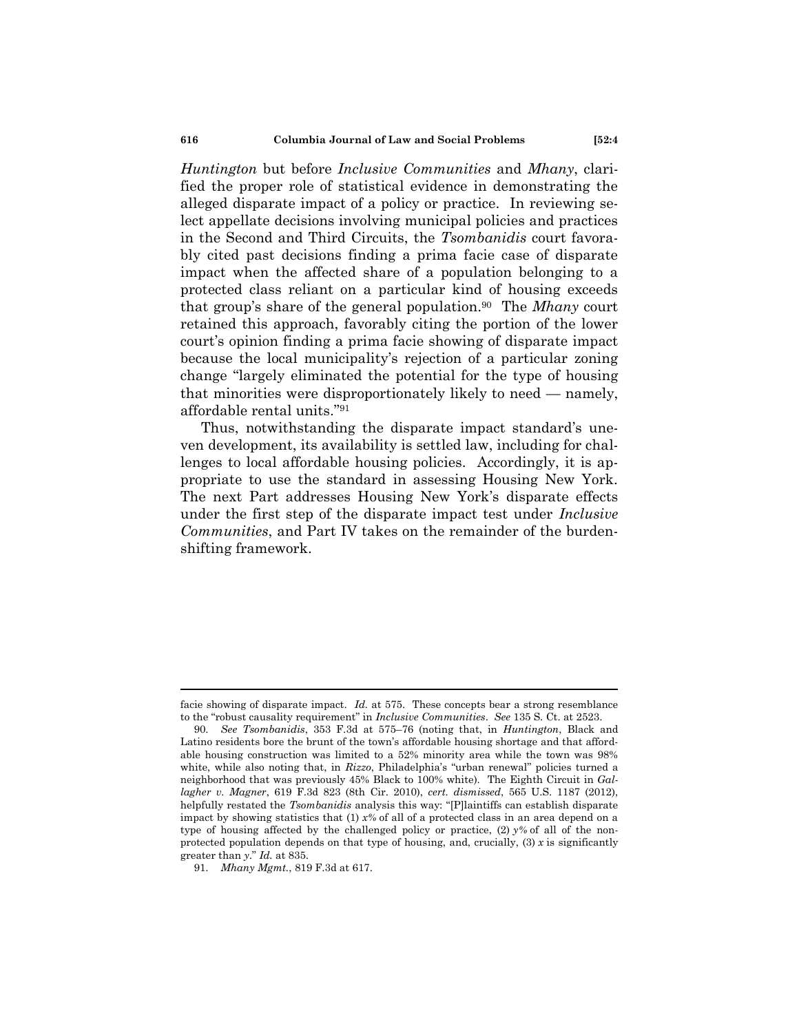*Huntington* but before *Inclusive Communities* and *Mhany*, clarified the proper role of statistical evidence in demonstrating the alleged disparate impact of a policy or practice. In reviewing select appellate decisions involving municipal policies and practices in the Second and Third Circuits, the *Tsombanidis* court favorably cited past decisions finding a prima facie case of disparate impact when the affected share of a population belonging to a protected class reliant on a particular kind of housing exceeds that group's share of the general population.<sup>90</sup> The *Mhany* court retained this approach, favorably citing the portion of the lower court's opinion finding a prima facie showing of disparate impact because the local municipality's rejection of a particular zoning change "largely eliminated the potential for the type of housing that minorities were disproportionately likely to need — namely, affordable rental units."<sup>91</sup>

<span id="page-17-0"></span>Thus, notwithstanding the disparate impact standard's uneven development, its availability is settled law, including for challenges to local affordable housing policies. Accordingly, it is appropriate to use the standard in assessing Housing New York. The next Part addresses Housing New York's disparate effects under the first step of the disparate impact test under *Inclusive Communities*, and Part IV takes on the remainder of the burdenshifting framework.

facie showing of disparate impact. *Id.* at 575. These concepts bear a strong resemblance to the "robust causality requirement" in *Inclusive Communities*. See 135 S. Ct. at 2523.

<sup>90.</sup> *See Tsombanidis*, 353 F.3d at 575–76 (noting that, in *Huntington*, Black and Latino residents bore the brunt of the town's affordable housing shortage and that affordable housing construction was limited to a 52% minority area while the town was 98% white, while also noting that, in *Rizzo*, Philadelphia's "urban renewal" policies turned a neighborhood that was previously 45% Black to 100% white). The Eighth Circuit in *Gallagher v. Magner*, 619 F.3d 823 (8th Cir. 2010), *cert. dismissed*, 565 U.S. 1187 (2012), helpfully restated the *Tsombanidis* analysis this way: "[P]laintiffs can establish disparate impact by showing statistics that (1)  $x\%$  of all of a protected class in an area depend on a type of housing affected by the challenged policy or practice, (2) *y%* of all of the nonprotected population depends on that type of housing, and, crucially,  $(3)$  *x* is significantly greater than *y*.‖ *Id.* at 835.

<sup>91.</sup> *Mhany Mgmt.*, 819 F.3d at 617.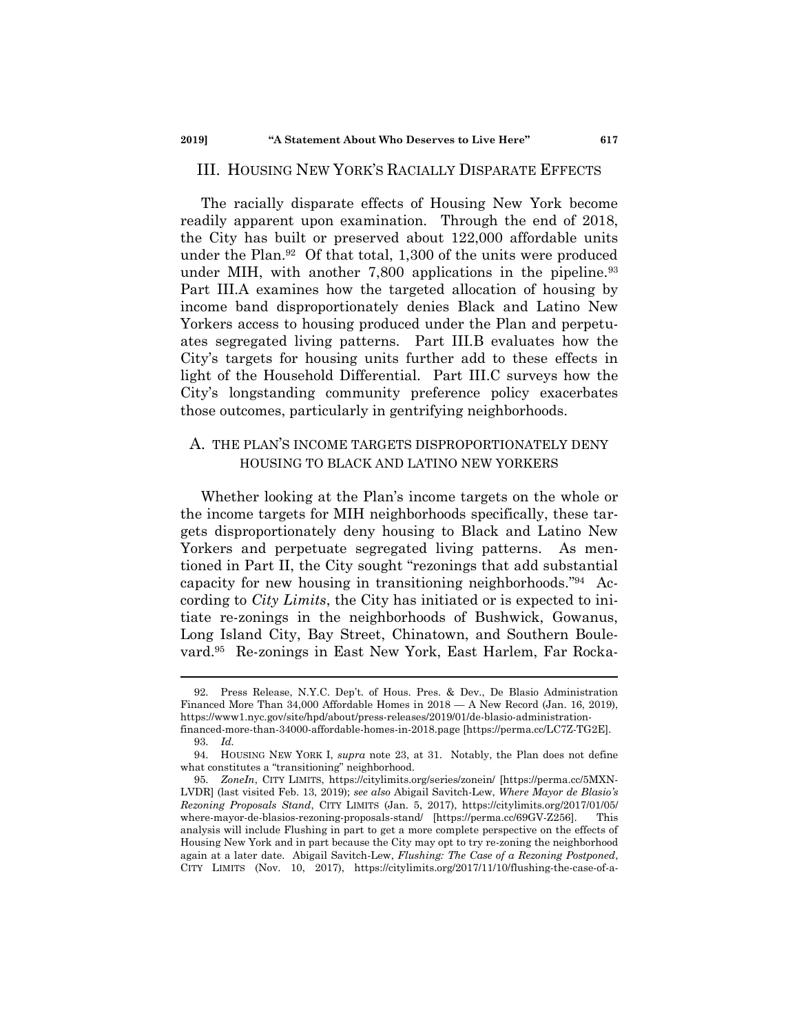#### III. HOUSING NEW YORK'S RACIALLY DISPARATE EFFECTS

The racially disparate effects of Housing New York become readily apparent upon examination. Through the end of 2018, the City has built or preserved about 122,000 affordable units under the Plan.<sup>92</sup> Of that total, 1,300 of the units were produced under MIH, with another  $7,800$  applications in the pipeline.<sup>93</sup> Part III.A examines how the targeted allocation of housing by income band disproportionately denies Black and Latino New Yorkers access to housing produced under the Plan and perpetuates segregated living patterns. Part III.B evaluates how the City's targets for housing units further add to these effects in light of the Household Differential. Part III.C surveys how the City's longstanding community preference policy exacerbates those outcomes, particularly in gentrifying neighborhoods.

### A. THE PLAN'S INCOME TARGETS DISPROPORTIONATELY DENY HOUSING TO BLACK AND LATINO NEW YORKERS

Whether looking at the Plan's income targets on the whole or the income targets for MIH neighborhoods specifically, these targets disproportionately deny housing to Black and Latino New Yorkers and perpetuate segregated living patterns. As mentioned in Part II, the City sought "rezonings that add substantial capacity for new housing in transitioning neighborhoods."<sup>94</sup> According to *City Limits*, the City has initiated or is expected to initiate re-zonings in the neighborhoods of Bushwick, Gowanus, Long Island City, Bay Street, Chinatown, and Southern Boulevard.<sup>95</sup> Re-zonings in East New York, East Harlem, Far Rocka-

<span id="page-18-0"></span><sup>92.</sup> Press Release, N.Y.C. Dep't. of Hous. Pres. & Dev., De Blasio Administration Financed More Than 34,000 Affordable Homes in 2018 — A New Record (Jan. 16, 2019), https://www1.nyc.gov/site/hpd/about/press-releases/2019/01/de-blasio-administrationfinanced-more-than-34000-affordable-homes-in-2018.page [https://perma.cc/LC7Z-TG2E].

<sup>93.</sup> *Id.*

<sup>94.</sup> HOUSING NEW YORK I, *supra* note [23,](#page-4-2) at 31. Notably, the Plan does not define what constitutes a "transitioning" neighborhood.

<sup>95.</sup> *ZoneIn*, CITY LIMITS, https://citylimits.org/series/zonein/ [https://perma.cc/5MXN-LVDR] (last visited Feb. 13, 2019); *see also* Abigail Savitch-Lew, *Where Mayor de Blasio's Rezoning Proposals Stand*, CITY LIMITS (Jan. 5, 2017), https://citylimits.org/2017/01/05/ where-mayor-de-blasios-rezoning-proposals-stand/ [https://perma.cc/69GV-Z256]. This analysis will include Flushing in part to get a more complete perspective on the effects of Housing New York and in part because the City may opt to try re-zoning the neighborhood again at a later date. Abigail Savitch-Lew, *Flushing: The Case of a Rezoning Postponed*, CITY LIMITS (Nov. 10, 2017), https://citylimits.org/2017/11/10/flushing-the-case-of-a-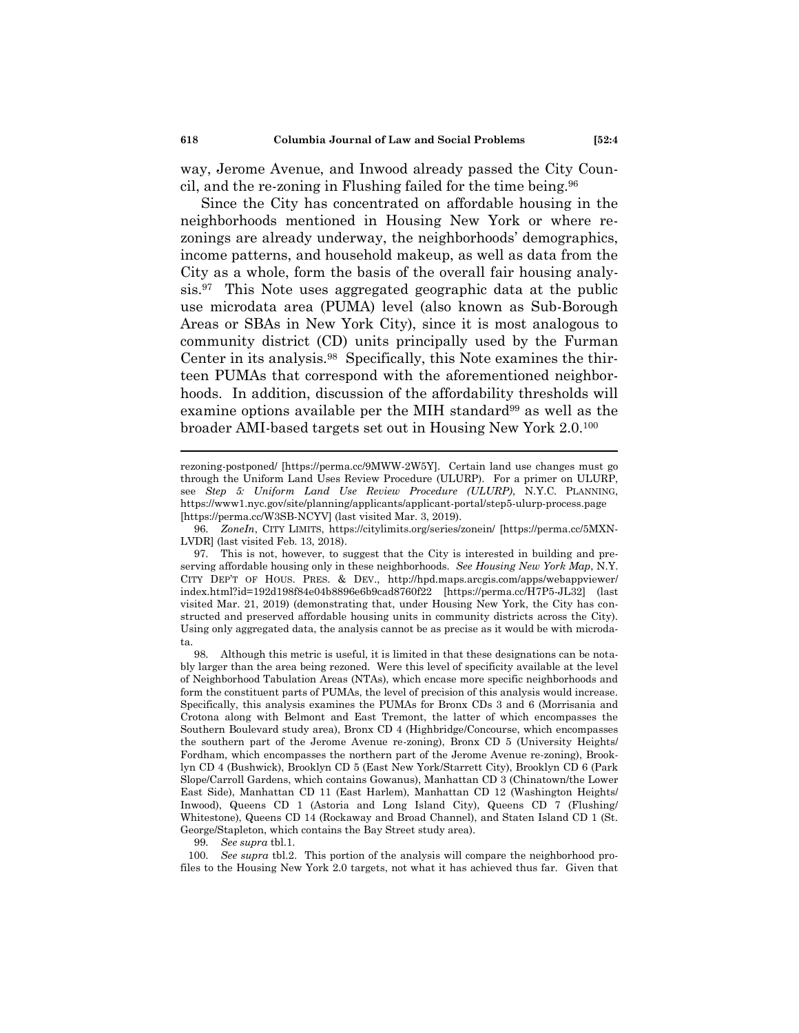way, Jerome Avenue, and Inwood already passed the City Council, and the re-zoning in Flushing failed for the time being.<sup>96</sup>

Since the City has concentrated on affordable housing in the neighborhoods mentioned in Housing New York or where rezonings are already underway, the neighborhoods' demographics, income patterns, and household makeup, as well as data from the City as a whole, form the basis of the overall fair housing analysis.<sup>97</sup> This Note uses aggregated geographic data at the public use microdata area (PUMA) level (also known as Sub-Borough Areas or SBAs in New York City), since it is most analogous to community district (CD) units principally used by the Furman Center in its analysis.<sup>98</sup> Specifically, this Note examines the thirteen PUMAs that correspond with the aforementioned neighborhoods. In addition, discussion of the affordability thresholds will examine options available per the MIH standard<sup>99</sup> as well as the broader AMI-based targets set out in Housing New York 2.0.<sup>100</sup>

96. *ZoneIn*, CITY LIMITS, https://citylimits.org/series/zonein/ [https://perma.cc/5MXN-LVDR] (last visited Feb. 13, 2018).

99. *See supra* tbl.1.

100. *See supra* tbl.2. This portion of the analysis will compare the neighborhood profiles to the Housing New York 2.0 targets, not what it has achieved thus far. Given that

rezoning-postponed/ [https://perma.cc/9MWW-2W5Y]. Certain land use changes must go through the Uniform Land Uses Review Procedure (ULURP). For a primer on ULURP, see *Step 5: Uniform Land Use Review Procedure (ULURP)*, N.Y.C. PLANNING, https://www1.nyc.gov/site/planning/applicants/applicant-portal/step5-ulurp-process.page [https://perma.cc/W3SB-NCYV] (last visited Mar. 3, 2019).

<sup>97.</sup> This is not, however, to suggest that the City is interested in building and preserving affordable housing only in these neighborhoods. *See Housing New York Map*, N.Y. CITY DEP'T OF HOUS. PRES. & DEV., http://hpd.maps.arcgis.com/apps/webappviewer/ index.html?id=192d198f84e04b8896e6b9cad8760f22 [https://perma.cc/H7P5-JL32] (last visited Mar. 21, 2019) (demonstrating that, under Housing New York, the City has constructed and preserved affordable housing units in community districts across the City). Using only aggregated data, the analysis cannot be as precise as it would be with microdata.

<sup>98.</sup> Although this metric is useful, it is limited in that these designations can be notably larger than the area being rezoned. Were this level of specificity available at the level of Neighborhood Tabulation Areas (NTAs), which encase more specific neighborhoods and form the constituent parts of PUMAs, the level of precision of this analysis would increase. Specifically, this analysis examines the PUMAs for Bronx CDs 3 and 6 (Morrisania and Crotona along with Belmont and East Tremont, the latter of which encompasses the Southern Boulevard study area), Bronx CD 4 (Highbridge/Concourse, which encompasses the southern part of the Jerome Avenue re-zoning), Bronx CD 5 (University Heights/ Fordham, which encompasses the northern part of the Jerome Avenue re-zoning), Brooklyn CD 4 (Bushwick), Brooklyn CD 5 (East New York/Starrett City), Brooklyn CD 6 (Park Slope/Carroll Gardens, which contains Gowanus), Manhattan CD 3 (Chinatown/the Lower East Side), Manhattan CD 11 (East Harlem), Manhattan CD 12 (Washington Heights/ Inwood), Queens CD 1 (Astoria and Long Island City), Queens CD 7 (Flushing/ Whitestone), Queens CD 14 (Rockaway and Broad Channel), and Staten Island CD 1 (St. George/Stapleton, which contains the Bay Street study area).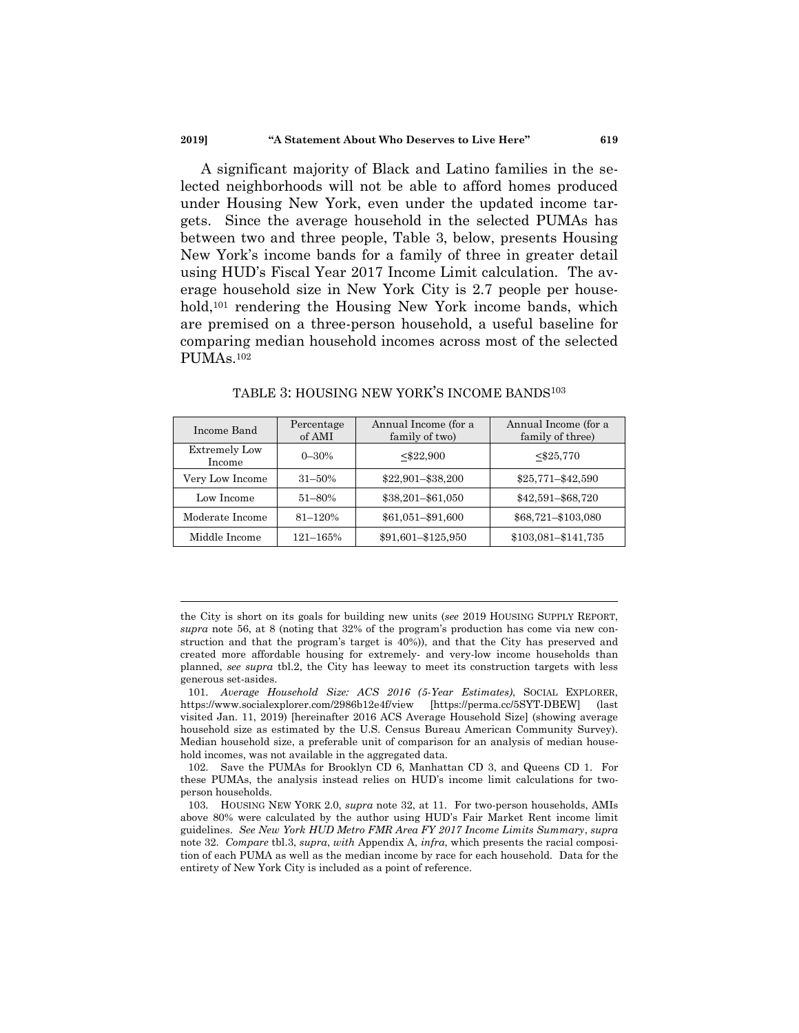A significant majority of Black and Latino families in the selected neighborhoods will not be able to afford homes produced under Housing New York, even under the updated income targets. Since the average household in the selected PUMAs has between two and three people, Table 3, below, presents Housing New York's income bands for a family of three in greater detail using HUD's Fiscal Year 2017 Income Limit calculation. The average household size in New York City is 2.7 people per household,<sup>101</sup> rendering the Housing New York income bands, which are premised on a three-person household, a useful baseline for comparing median household incomes across most of the selected PUMAs.<sup>102</sup>

| Income Band                    | Percentage<br>of AMI | Annual Income (for a<br>family of two) | Annual Income (for a<br>family of three) |  |  |
|--------------------------------|----------------------|----------------------------------------|------------------------------------------|--|--|
| <b>Extremely Low</b><br>Income | $0 - 30\%$           | $<$ \$22,900                           | $<$ \$25,770                             |  |  |
| Very Low Income                | $31 - 50\%$          | \$22,901-\$38,200                      | \$25,771-\$42,590                        |  |  |
| Low Income                     | 51-80%               | \$38,201-\$61,050                      | \$42,591-\$68,720                        |  |  |
| Moderate Income                | $81 - 120%$          | \$61,051-\$91,600                      | \$68,721-\$103,080                       |  |  |
| Middle Income                  | $121 - 165%$         | \$91,601-\$125,950                     | \$103,081-\$141,735                      |  |  |

<span id="page-20-0"></span>TABLE 3: HOUSING NEW YORK'S INCOME BANDS<sup>103</sup>

the City is short on its goals for building new units (*see* 2019 HOUSING SUPPLY REPORT, *supra* note [56,](#page-11-0) at 8 (noting that 32% of the program's production has come via new construction and that the program's target is 40%)), and that the City has preserved and created more affordable housing for extremely- and very-low income households than planned, *see supra* tbl.2, the City has leeway to meet its construction targets with less generous set-asides.

<sup>101.</sup> *Average Household Size: ACS 2016 (5-Year Estimates)*, SOCIAL EXPLORER, https://www.socialexplorer.com/2986b12e4f/view [https://perma.cc/5SYT-DBEW] (last visited Jan. 11, 2019) [hereinafter 2016 ACS Average Household Size] (showing average household size as estimated by the U.S. Census Bureau American Community Survey). Median household size, a preferable unit of comparison for an analysis of median household incomes, was not available in the aggregated data.

<sup>102.</sup> Save the PUMAs for Brooklyn CD 6, Manhattan CD 3, and Queens CD 1. For these PUMAs, the analysis instead relies on HUD's income limit calculations for twoperson households.

<sup>103.</sup> HOUSING NEW YORK 2.0, *supra* note [32,](#page-7-0) at 11. For two-person households, AMIs above 80% were calculated by the author using HUD's Fair Market Rent income limit guidelines. *See New York HUD Metro FMR Area FY 2017 Income Limits Summary*, *supra* not[e 32.](#page-7-0) *Compare* tbl.3, *supra*, *with* Appendix A, *infra*, which presents the racial composition of each PUMA as well as the median income by race for each household. Data for the entirety of New York City is included as a point of reference.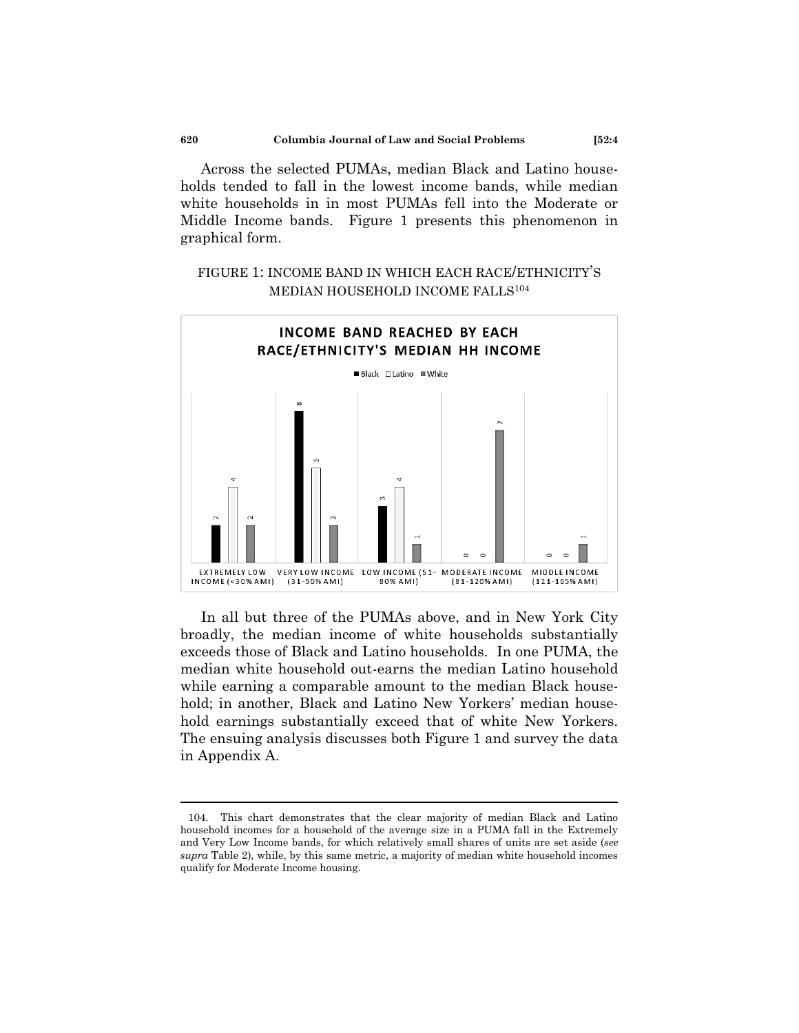Across the selected PUMAs, median Black and Latino households tended to fall in the lowest income bands, while median white households in in most PUMAs fell into the Moderate or Middle Income bands. Figure 1 presents this phenomenon in graphical form.

### FIGURE 1: INCOME BAND IN WHICH EACH RACE/ETHNICITY'S MEDIAN HOUSEHOLD INCOME FALLS<sup>104</sup>



In all but three of the PUMAs above, and in New York City broadly, the median income of white households substantially exceeds those of Black and Latino households. In one PUMA, the median white household out-earns the median Latino household while earning a comparable amount to the median Black household; in another, Black and Latino New Yorkers' median household earnings substantially exceed that of white New Yorkers. The ensuing analysis discusses both Figure 1 and survey the data in Appendix A.

<sup>104.</sup> This chart demonstrates that the clear majority of median Black and Latino household incomes for a household of the average size in a PUMA fall in the Extremely and Very Low Income bands, for which relatively small shares of units are set aside (*see supra* Table 2), while, by this same metric, a majority of median white household incomes qualify for Moderate Income housing.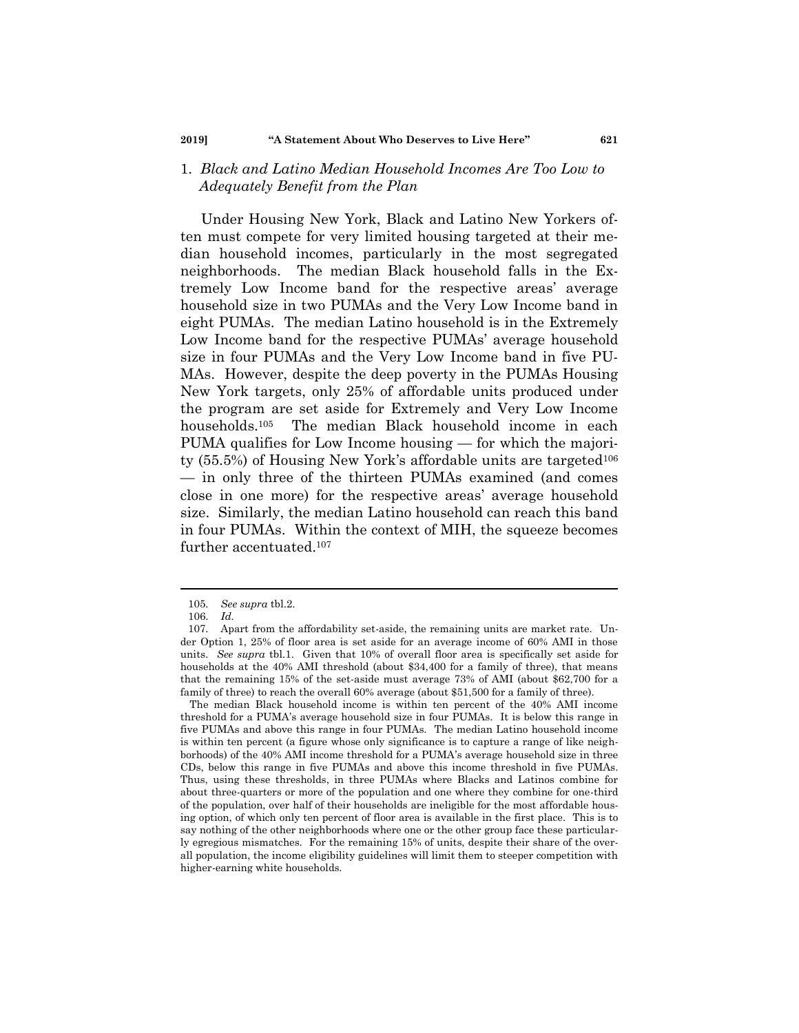#### 1. *Black and Latino Median Household Incomes Are Too Low to Adequately Benefit from the Plan*

Under Housing New York, Black and Latino New Yorkers often must compete for very limited housing targeted at their median household incomes, particularly in the most segregated neighborhoods. The median Black household falls in the Extremely Low Income band for the respective areas' average household size in two PUMAs and the Very Low Income band in eight PUMAs. The median Latino household is in the Extremely Low Income band for the respective PUMAs' average household size in four PUMAs and the Very Low Income band in five PU-MAs. However, despite the deep poverty in the PUMAs Housing New York targets, only 25% of affordable units produced under the program are set aside for Extremely and Very Low Income households.<sup>105</sup> The median Black household income in each PUMA qualifies for Low Income housing — for which the majority  $(55.5%)$  of Housing New York's affordable units are targeted<sup>106</sup> — in only three of the thirteen PUMAs examined (and comes close in one more) for the respective areas' average household size. Similarly, the median Latino household can reach this band in four PUMAs. Within the context of MIH, the squeeze becomes further accentuated.<sup>107</sup>

The median Black household income is within ten percent of the 40% AMI income threshold for a PUMA's average household size in four PUMAs. It is below this range in five PUMAs and above this range in four PUMAs. The median Latino household income is within ten percent (a figure whose only significance is to capture a range of like neighborhoods) of the 40% AMI income threshold for a PUMA's average household size in three CDs, below this range in five PUMAs and above this income threshold in five PUMAs. Thus, using these thresholds, in three PUMAs where Blacks and Latinos combine for about three-quarters or more of the population and one where they combine for one-third of the population, over half of their households are ineligible for the most affordable housing option, of which only ten percent of floor area is available in the first place. This is to say nothing of the other neighborhoods where one or the other group face these particularly egregious mismatches. For the remaining 15% of units, despite their share of the overall population, the income eligibility guidelines will limit them to steeper competition with higher-earning white households.

<sup>105.</sup> *See supra* tbl.2.

<sup>106.</sup> *Id.*

<sup>107.</sup> Apart from the affordability set-aside, the remaining units are market rate. Under Option 1, 25% of floor area is set aside for an average income of 60% AMI in those units. *See supra* tbl.1. Given that 10% of overall floor area is specifically set aside for households at the 40% AMI threshold (about \$34,400 for a family of three), that means that the remaining 15% of the set-aside must average 73% of AMI (about \$62,700 for a family of three) to reach the overall 60% average (about \$51,500 for a family of three).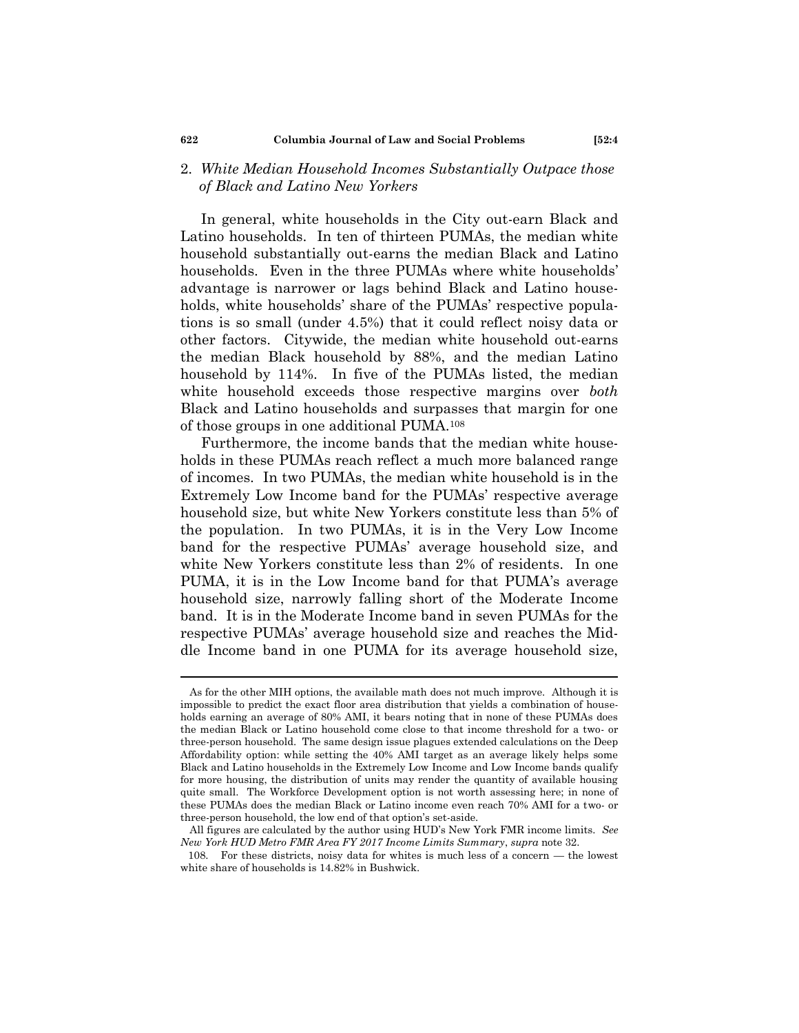#### 2. *White Median Household Incomes Substantially Outpace those of Black and Latino New Yorkers*

In general, white households in the City out-earn Black and Latino households. In ten of thirteen PUMAs, the median white household substantially out-earns the median Black and Latino households. Even in the three PUMAs where white households' advantage is narrower or lags behind Black and Latino households, white households' share of the PUMAs' respective populations is so small (under 4.5%) that it could reflect noisy data or other factors. Citywide, the median white household out-earns the median Black household by 88%, and the median Latino household by 114%. In five of the PUMAs listed, the median white household exceeds those respective margins over *both* Black and Latino households and surpasses that margin for one of those groups in one additional PUMA.<sup>108</sup>

Furthermore, the income bands that the median white households in these PUMAs reach reflect a much more balanced range of incomes. In two PUMAs, the median white household is in the Extremely Low Income band for the PUMAs' respective average household size, but white New Yorkers constitute less than 5% of the population. In two PUMAs, it is in the Very Low Income band for the respective PUMAs' average household size, and white New Yorkers constitute less than 2% of residents. In one PUMA, it is in the Low Income band for that PUMA's average household size, narrowly falling short of the Moderate Income band. It is in the Moderate Income band in seven PUMAs for the respective PUMAs' average household size and reaches the Middle Income band in one PUMA for its average household size,

As for the other MIH options, the available math does not much improve. Although it is impossible to predict the exact floor area distribution that yields a combination of households earning an average of 80% AMI, it bears noting that in none of these PUMAs does the median Black or Latino household come close to that income threshold for a two- or three-person household. The same design issue plagues extended calculations on the Deep Affordability option: while setting the 40% AMI target as an average likely helps some Black and Latino households in the Extremely Low Income and Low Income bands qualify for more housing, the distribution of units may render the quantity of available housing quite small. The Workforce Development option is not worth assessing here; in none of these PUMAs does the median Black or Latino income even reach 70% AMI for a two- or three-person household, the low end of that option's set-aside.

All figures are calculated by the author using HUD's New York FMR income limits. *See New York HUD Metro FMR Area FY 2017 Income Limits Summary*, *supra* note [32.](#page-7-0)

<sup>108.</sup> For these districts, noisy data for whites is much less of a concern — the lowest white share of households is 14.82% in Bushwick.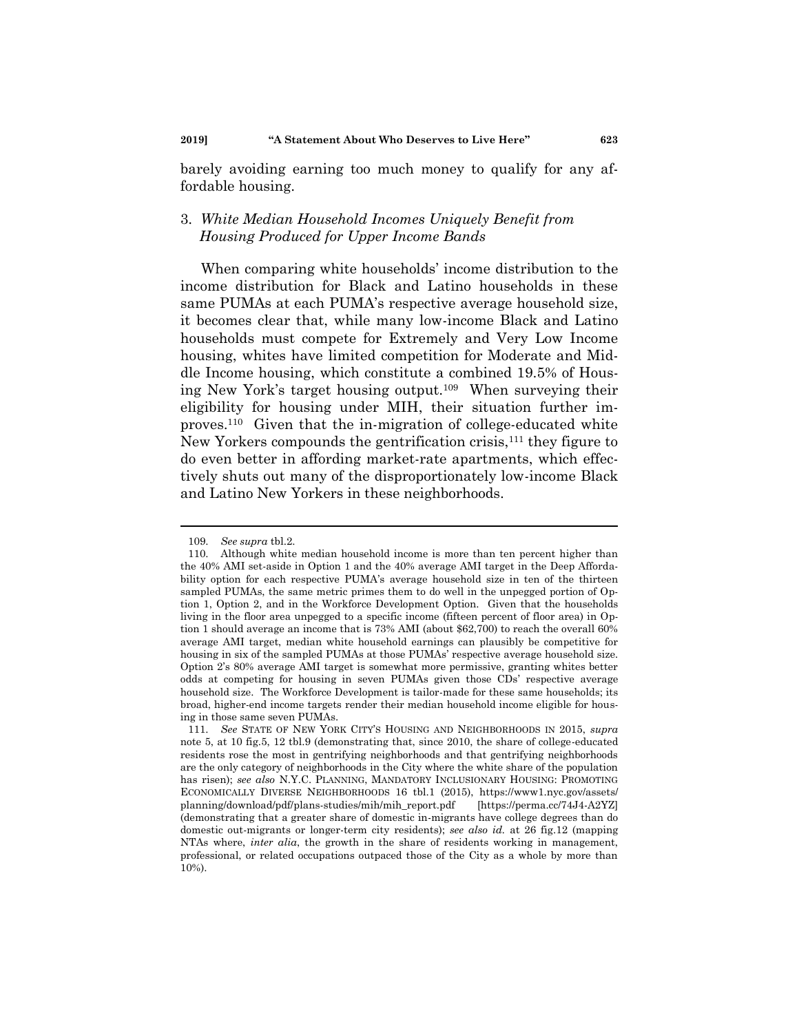barely avoiding earning too much money to qualify for any affordable housing.

### 3. *White Median Household Incomes Uniquely Benefit from Housing Produced for Upper Income Bands*

When comparing white households' income distribution to the income distribution for Black and Latino households in these same PUMAs at each PUMA's respective average household size, it becomes clear that, while many low-income Black and Latino households must compete for Extremely and Very Low Income housing, whites have limited competition for Moderate and Middle Income housing, which constitute a combined 19.5% of Housing New York's target housing output.<sup>109</sup> When surveying their eligibility for housing under MIH, their situation further improves.<sup>110</sup> Given that the in-migration of college-educated white New Yorkers compounds the gentrification crisis,<sup>111</sup> they figure to do even better in affording market-rate apartments, which effectively shuts out many of the disproportionately low-income Black and Latino New Yorkers in these neighborhoods.

<sup>109.</sup> *See supra* tbl.2.

<sup>110.</sup> Although white median household income is more than ten percent higher than the 40% AMI set-aside in Option 1 and the 40% average AMI target in the Deep Affordability option for each respective PUMA's average household size in ten of the thirteen sampled PUMAs, the same metric primes them to do well in the unpegged portion of Option 1, Option 2, and in the Workforce Development Option. Given that the households living in the floor area unpegged to a specific income (fifteen percent of floor area) in Option 1 should average an income that is 73% AMI (about \$62,700) to reach the overall 60% average AMI target, median white household earnings can plausibly be competitive for housing in six of the sampled PUMAs at those PUMAs' respective average household size. Option 2's 80% average AMI target is somewhat more permissive, granting whites better odds at competing for housing in seven PUMAs given those CDs' respective average household size. The Workforce Development is tailor-made for these same households; its broad, higher-end income targets render their median household income eligible for housing in those same seven PUMAs.

<sup>111.</sup> *See* STATE OF NEW YORK CITY'S HOUSING AND NEIGHBORHOODS IN 2015, *supra* note [5,](#page-1-0) at 10 fig.5, 12 tbl.9 (demonstrating that, since 2010, the share of college-educated residents rose the most in gentrifying neighborhoods and that gentrifying neighborhoods are the only category of neighborhoods in the City where the white share of the population has risen); *see also* N.Y.C. PLANNING, MANDATORY INCLUSIONARY HOUSING: PROMOTING ECONOMICALLY DIVERSE NEIGHBORHOODS 16 tbl.1 (2015), https://www1.nyc.gov/assets/ planning/download/pdf/plans-studies/mih/mih\_report.pdf [https://perma.cc/74J4-A2YZ] (demonstrating that a greater share of domestic in-migrants have college degrees than do domestic out-migrants or longer-term city residents); *see also id.* at 26 fig.12 (mapping NTAs where, *inter alia*, the growth in the share of residents working in management, professional, or related occupations outpaced those of the City as a whole by more than 10%).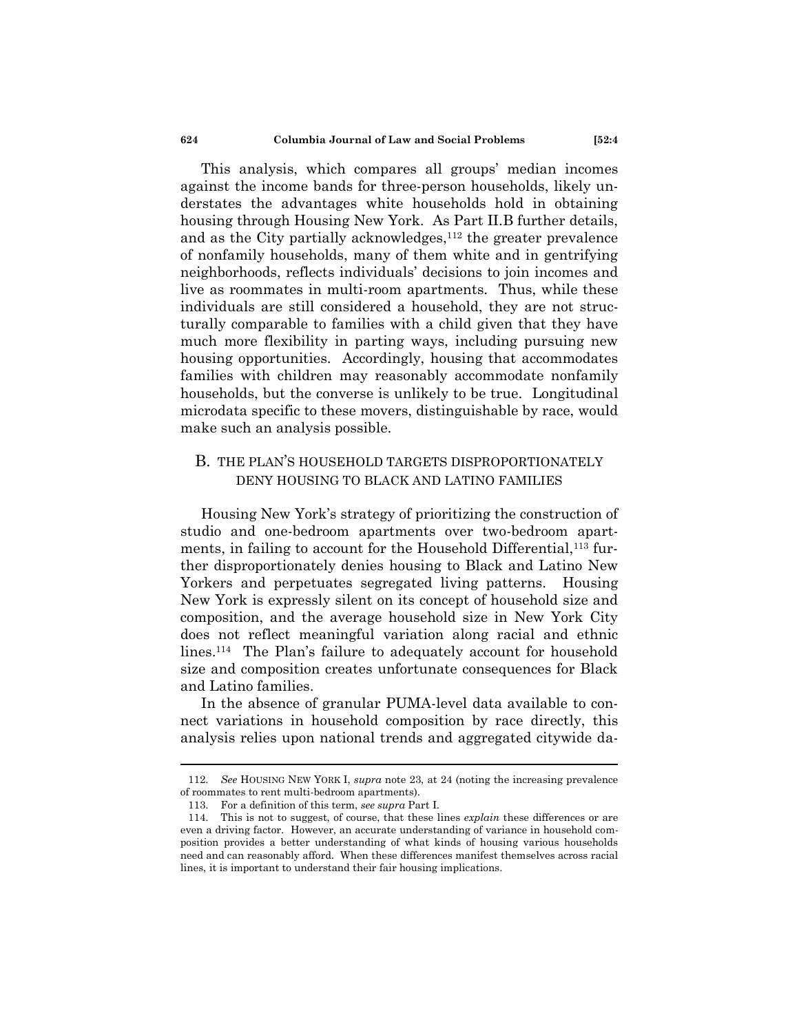This analysis, which compares all groups' median incomes against the income bands for three-person households, likely understates the advantages white households hold in obtaining housing through Housing New York. As Part II.B further details, and as the City partially acknowledges,<sup>112</sup> the greater prevalence of nonfamily households, many of them white and in gentrifying neighborhoods, reflects individuals' decisions to join incomes and live as roommates in multi-room apartments. Thus, while these individuals are still considered a household, they are not structurally comparable to families with a child given that they have much more flexibility in parting ways, including pursuing new housing opportunities. Accordingly, housing that accommodates families with children may reasonably accommodate nonfamily households, but the converse is unlikely to be true. Longitudinal microdata specific to these movers, distinguishable by race, would make such an analysis possible.

### B. THE PLAN'S HOUSEHOLD TARGETS DISPROPORTIONATELY DENY HOUSING TO BLACK AND LATINO FAMILIES

Housing New York's strategy of prioritizing the construction of studio and one-bedroom apartments over two-bedroom apartments, in failing to account for the Household Differential,<sup>113</sup> further disproportionately denies housing to Black and Latino New Yorkers and perpetuates segregated living patterns. Housing New York is expressly silent on its concept of household size and composition, and the average household size in New York City does not reflect meaningful variation along racial and ethnic lines.<sup>114</sup> The Plan's failure to adequately account for household size and composition creates unfortunate consequences for Black and Latino families.

In the absence of granular PUMA-level data available to connect variations in household composition by race directly, this analysis relies upon national trends and aggregated citywide da-

<sup>112.</sup> *See* HOUSING NEW YORK I, *supra* not[e 23,](#page-4-2) at 24 (noting the increasing prevalence of roommates to rent multi-bedroom apartments).

<sup>113.</sup> For a definition of this term, *see supra* Part I.

<sup>114.</sup> This is not to suggest, of course, that these lines *explain* these differences or are even a driving factor. However, an accurate understanding of variance in household composition provides a better understanding of what kinds of housing various households need and can reasonably afford. When these differences manifest themselves across racial lines, it is important to understand their fair housing implications.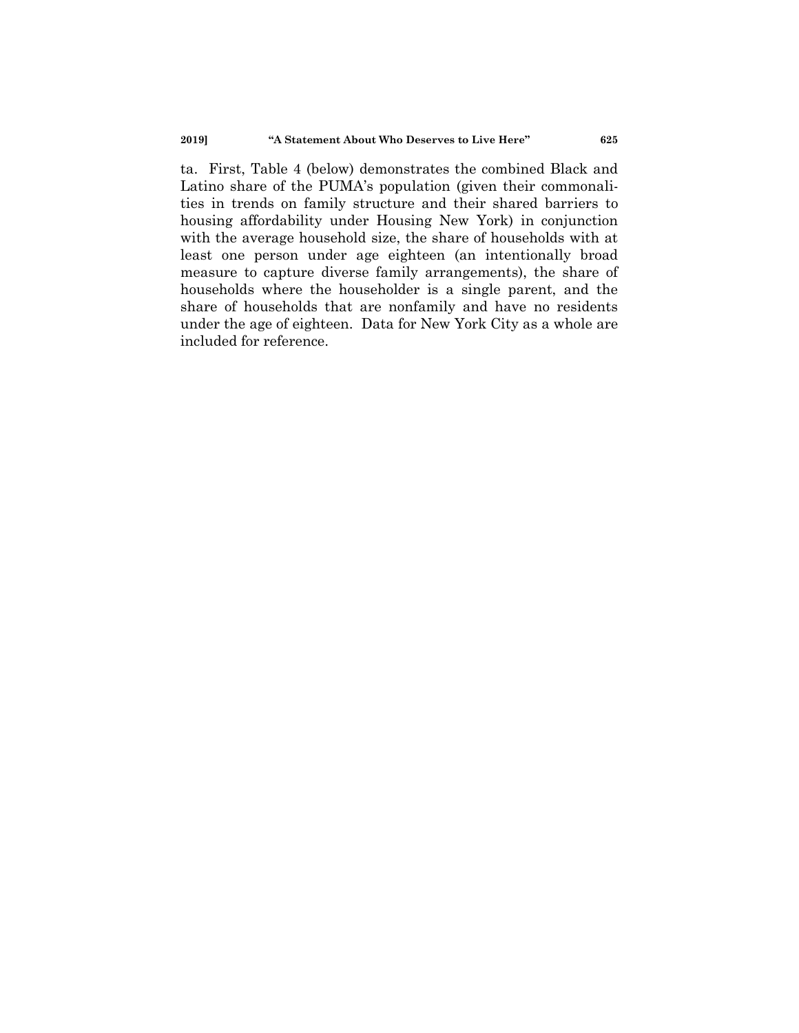ta. First, Table 4 (below) demonstrates the combined Black and Latino share of the PUMA's population (given their commonalities in trends on family structure and their shared barriers to housing affordability under Housing New York) in conjunction with the average household size, the share of households with at least one person under age eighteen (an intentionally broad measure to capture diverse family arrangements), the share of households where the householder is a single parent, and the share of households that are nonfamily and have no residents under the age of eighteen. Data for New York City as a whole are included for reference.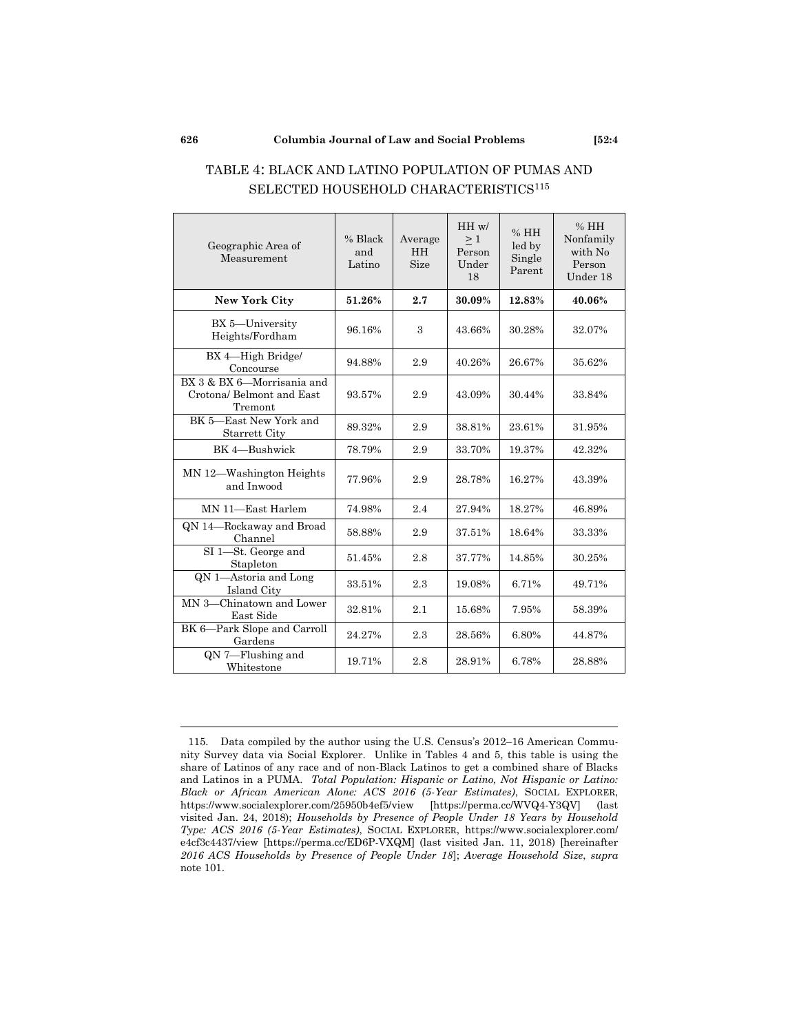| Geographic Area of<br>Measurement                                  | % Black<br>and<br>Latino | Average<br><b>HH</b><br><b>Size</b> | $HH$ w/<br>>1<br>Person<br>Under<br>18 | %HH<br>led by<br>Single<br>Parent | %HH<br>Nonfamily<br>with No<br>Person<br>Under 18 |
|--------------------------------------------------------------------|--------------------------|-------------------------------------|----------------------------------------|-----------------------------------|---------------------------------------------------|
| <b>New York City</b>                                               | 51.26%                   | 2.7                                 | 30.09%                                 | 12.83%                            | 40.06%                                            |
| BX 5-University<br>Heights/Fordham                                 | 96.16%                   | 3                                   | 43.66%                                 | 30.28%                            | 32.07%                                            |
| BX 4-High Bridge/<br>Concourse                                     | 94.88%                   | 2.9                                 | 40.26%                                 | 26.67%                            | 35.62%                                            |
| BX 3 & BX 6-Morrisania and<br>Crotona/ Belmont and East<br>Tremont | 93.57%                   | 2.9                                 | 43.09%                                 | 30.44%                            | 33.84%                                            |
| BK 5-East New York and<br>Starrett City                            | 89.32%                   | 2.9                                 | 38.81%                                 | 23.61%                            | 31.95%                                            |
| BK 4-Bushwick                                                      | 78.79%                   | 2.9                                 | 33.70%                                 | 19.37%                            | 42.32%                                            |
| MN 12-Washington Heights<br>and Inwood                             | 77.96%                   | 2.9                                 | 28.78%                                 | 16.27%                            | 43.39%                                            |
| MN 11-East Harlem                                                  | 74.98%                   | 2.4                                 | 27.94%                                 | 18.27%                            | 46.89%                                            |
| QN 14-Rockaway and Broad<br>Channel                                | 58.88%                   | 2.9                                 | 37.51%                                 | 18.64%                            | 33.33%                                            |
| SI 1-St. George and<br>Stapleton                                   | 51.45%                   | 2.8                                 | 37.77%                                 | 14.85%                            | 30.25%                                            |
| QN 1-Astoria and Long<br>Island City                               | 33.51%                   | 2.3                                 | 19.08%                                 | 6.71%                             | 49.71%                                            |
| MN 3-Chinatown and Lower<br>East Side                              | 32.81%                   | 2.1                                 | 15.68%                                 | 7.95%                             | 58.39%                                            |
| BK 6-Park Slope and Carroll<br>Gardens                             | 24.27%                   | 2.3                                 | 28.56%                                 | 6.80%                             | 44.87%                                            |
| QN 7-Flushing and<br>Whitestone                                    | 19.71%                   | 2.8                                 | 28.91%                                 | 6.78%                             | 28.88%                                            |

### <span id="page-27-0"></span>TABLE 4: BLACK AND LATINO POPULATION OF PUMAS AND SELECTED HOUSEHOLD CHARACTERISTICS<sup>115</sup>

<sup>115.</sup> Data compiled by the author using the U.S. Census's 2012–16 American Community Survey data via Social Explorer. Unlike in Tables 4 and 5, this table is using the share of Latinos of any race and of non-Black Latinos to get a combined share of Blacks and Latinos in a PUMA. *Total Population: Hispanic or Latino, Not Hispanic or Latino: Black or African American Alone: ACS 2016 (5-Year Estimates)*, SOCIAL EXPLORER, https://www.socialexplorer.com/25950b4ef5/view [https://perma.cc/WVQ4-Y3QV] (last visited Jan. 24, 2018); *Households by Presence of People Under 18 Years by Household Type: ACS 2016 (5-Year Estimates)*, SOCIAL EXPLORER, https://www.socialexplorer.com/ e4cf3c4437/view [https://perma.cc/ED6P-VXQM] (last visited Jan. 11, 2018) [hereinafter *2016 ACS Households by Presence of People Under 18*]; *Average Household Size*, *supra*  not[e 101.](#page-20-0)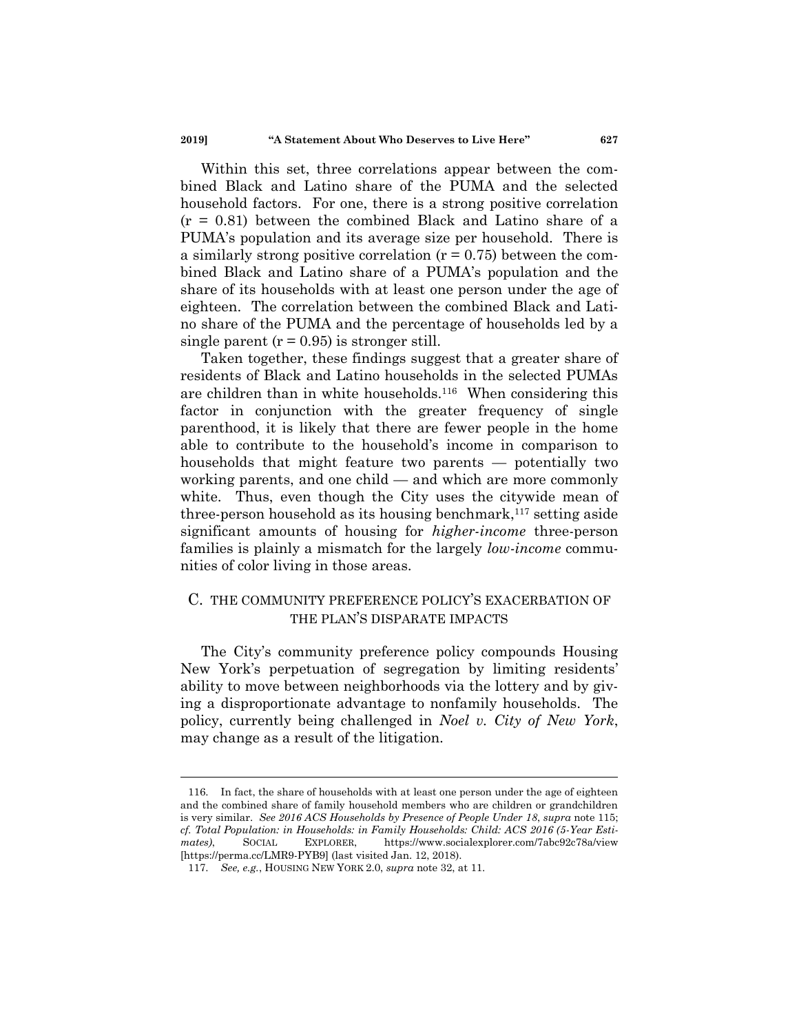Within this set, three correlations appear between the combined Black and Latino share of the PUMA and the selected household factors. For one, there is a strong positive correlation (r = 0.81) between the combined Black and Latino share of a PUMA's population and its average size per household. There is a similarly strong positive correlation  $(r = 0.75)$  between the combined Black and Latino share of a PUMA's population and the share of its households with at least one person under the age of eighteen. The correlation between the combined Black and Latino share of the PUMA and the percentage of households led by a single parent  $(r = 0.95)$  is stronger still.

Taken together, these findings suggest that a greater share of residents of Black and Latino households in the selected PUMAs are children than in white households.<sup>116</sup> When considering this factor in conjunction with the greater frequency of single parenthood, it is likely that there are fewer people in the home able to contribute to the household's income in comparison to households that might feature two parents — potentially two working parents, and one child — and which are more commonly white. Thus, even though the City uses the citywide mean of three-person household as its housing benchmark,<sup>117</sup> setting aside significant amounts of housing for *higher-income* three-person families is plainly a mismatch for the largely *low-income* communities of color living in those areas.

### C. THE COMMUNITY PREFERENCE POLICY'S EXACERBATION OF THE PLAN'S DISPARATE IMPACTS

The City's community preference policy compounds Housing New York's perpetuation of segregation by limiting residents' ability to move between neighborhoods via the lottery and by giving a disproportionate advantage to nonfamily households. The policy, currently being challenged in *Noel v. City of New York*, may change as a result of the litigation.

<sup>116.</sup> In fact, the share of households with at least one person under the age of eighteen and the combined share of family household members who are children or grandchildren is very similar. *See 2016 ACS Households by Presence of People Under 18*, *supra* not[e 115;](#page-27-0)  *cf. Total Population: in Households: in Family Households: Child: ACS 2016 (5-Year Estimates)*, SOCIAL EXPLORER, https://www.socialexplorer.com/7abc92c78a/view [https://perma.cc/LMR9-PYB9] (last visited Jan. 12, 2018).

<sup>117.</sup> *See, e.g.*, HOUSING NEW YORK 2.0, *supra* not[e 32,](#page-7-0) at 11.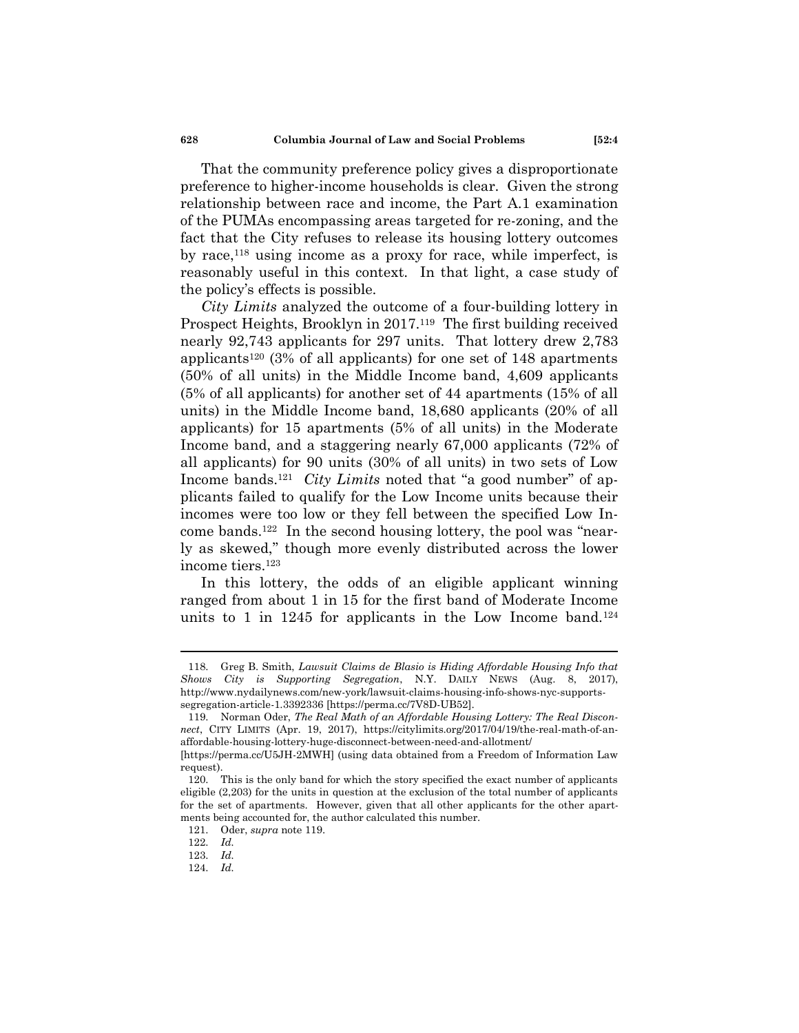That the community preference policy gives a disproportionate preference to higher-income households is clear. Given the strong relationship between race and income, the Part A.1 examination of the PUMAs encompassing areas targeted for re-zoning, and the fact that the City refuses to release its housing lottery outcomes by race,<sup>118</sup> using income as a proxy for race, while imperfect, is reasonably useful in this context. In that light, a case study of the policy's effects is possible.

<span id="page-29-0"></span>*City Limits* analyzed the outcome of a four-building lottery in Prospect Heights, Brooklyn in 2017.<sup>119</sup> The first building received nearly 92,743 applicants for 297 units. That lottery drew 2,783 applicants<sup>120</sup> (3% of all applicants) for one set of  $148$  apartments (50% of all units) in the Middle Income band, 4,609 applicants (5% of all applicants) for another set of 44 apartments (15% of all units) in the Middle Income band, 18,680 applicants (20% of all applicants) for 15 apartments (5% of all units) in the Moderate Income band, and a staggering nearly 67,000 applicants (72% of all applicants) for 90 units (30% of all units) in two sets of Low Income bands.<sup>121</sup> *City Limits* noted that "a good number" of applicants failed to qualify for the Low Income units because their incomes were too low or they fell between the specified Low Income bands.<sup>122</sup> In the second housing lottery, the pool was "nearly as skewed," though more evenly distributed across the lower income tiers.<sup>123</sup>

In this lottery, the odds of an eligible applicant winning ranged from about 1 in 15 for the first band of Moderate Income units to 1 in 1245 for applicants in the Low Income band.<sup>124</sup>

<sup>118.</sup> Greg B. Smith, *Lawsuit Claims de Blasio is Hiding Affordable Housing Info that Shows City is Supporting Segregation*, N.Y. DAILY NEWS (Aug. 8, 2017), http://www.nydailynews.com/new-york/lawsuit-claims-housing-info-shows-nyc-supportssegregation-article-1.3392336 [https://perma.cc/7V8D-UB52].

<sup>119.</sup> Norman Oder, *The Real Math of an Affordable Housing Lottery: The Real Disconnect*, CITY LIMITS (Apr. 19, 2017), https://citylimits.org/2017/04/19/the-real-math-of-anaffordable-housing-lottery-huge-disconnect-between-need-and-allotment/

<sup>[</sup>https://perma.cc/U5JH-2MWH] (using data obtained from a Freedom of Information Law request).

<sup>120.</sup> This is the only band for which the story specified the exact number of applicants eligible (2,203) for the units in question at the exclusion of the total number of applicants for the set of apartments. However, given that all other applicants for the other apartments being accounted for, the author calculated this number.

<sup>121.</sup> Oder, *supra* not[e 119.](#page-29-0)

<sup>122.</sup> *Id.*

<sup>123.</sup> *Id.*

<sup>124.</sup> *Id.*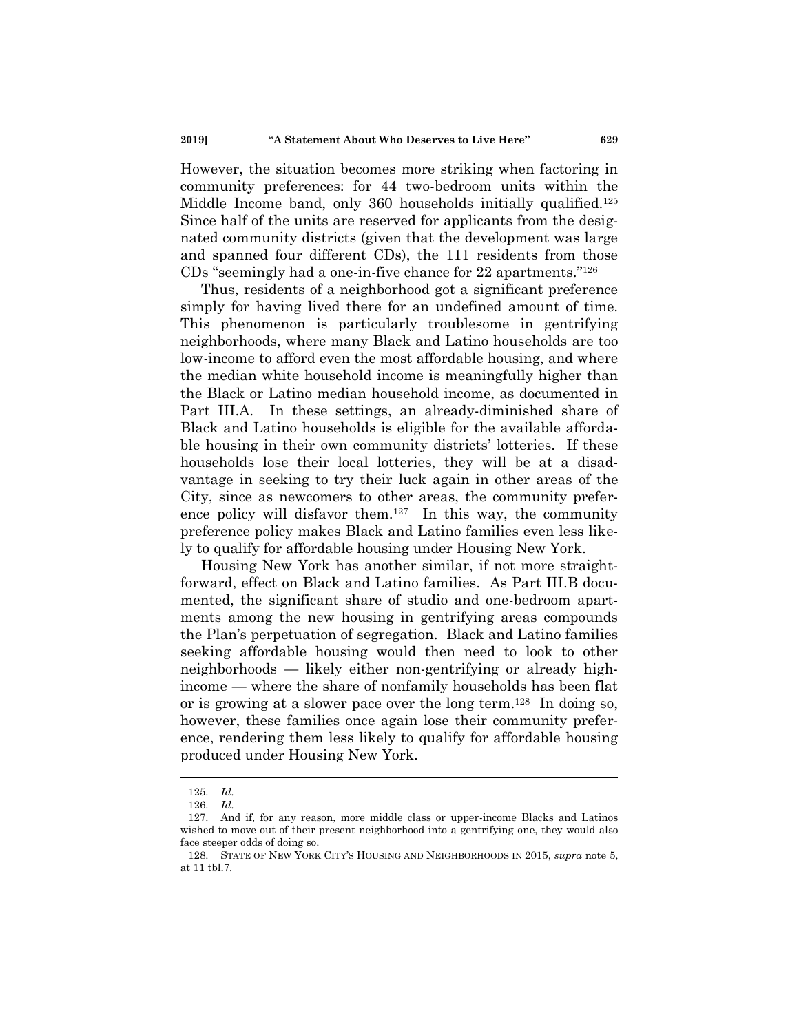However, the situation becomes more striking when factoring in community preferences: for 44 two-bedroom units within the Middle Income band, only 360 households initially qualified.<sup>125</sup> Since half of the units are reserved for applicants from the designated community districts (given that the development was large and spanned four different CDs), the 111 residents from those CDs "seemingly had a one-in-five chance for  $22$  apartments."<sup>126</sup>

Thus, residents of a neighborhood got a significant preference simply for having lived there for an undefined amount of time. This phenomenon is particularly troublesome in gentrifying neighborhoods, where many Black and Latino households are too low-income to afford even the most affordable housing, and where the median white household income is meaningfully higher than the Black or Latino median household income, as documented in Part III.A. In these settings, an already-diminished share of Black and Latino households is eligible for the available affordable housing in their own community districts' lotteries. If these households lose their local lotteries, they will be at a disadvantage in seeking to try their luck again in other areas of the City, since as newcomers to other areas, the community preference policy will disfavor them.<sup>127</sup> In this way, the community preference policy makes Black and Latino families even less likely to qualify for affordable housing under Housing New York.

Housing New York has another similar, if not more straightforward, effect on Black and Latino families. As Part III.B documented, the significant share of studio and one-bedroom apartments among the new housing in gentrifying areas compounds the Plan's perpetuation of segregation. Black and Latino families seeking affordable housing would then need to look to other neighborhoods — likely either non-gentrifying or already highincome — where the share of nonfamily households has been flat or is growing at a slower pace over the long term.<sup>128</sup> In doing so, however, these families once again lose their community preference, rendering them less likely to qualify for affordable housing produced under Housing New York.

<sup>125.</sup> *Id.*

<sup>126.</sup> *Id.*

<sup>127.</sup> And if, for any reason, more middle class or upper-income Blacks and Latinos wished to move out of their present neighborhood into a gentrifying one, they would also face steeper odds of doing so.

<sup>128.</sup> STATE OF NEW YORK CITY'S HOUSING AND NEIGHBORHOODS IN 2015, *supra* note [5,](#page-1-0)  at 11 tbl.7.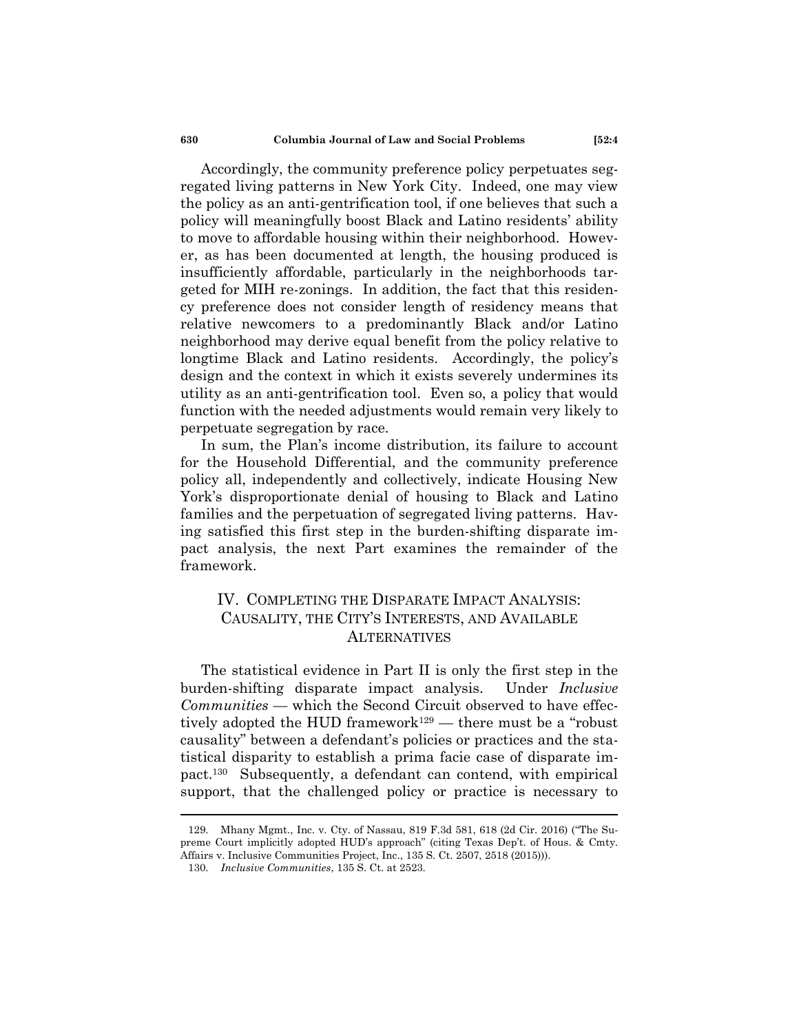Accordingly, the community preference policy perpetuates segregated living patterns in New York City. Indeed, one may view the policy as an anti-gentrification tool, if one believes that such a policy will meaningfully boost Black and Latino residents' ability to move to affordable housing within their neighborhood. However, as has been documented at length, the housing produced is insufficiently affordable, particularly in the neighborhoods targeted for MIH re-zonings. In addition, the fact that this residency preference does not consider length of residency means that relative newcomers to a predominantly Black and/or Latino neighborhood may derive equal benefit from the policy relative to longtime Black and Latino residents. Accordingly, the policy's design and the context in which it exists severely undermines its utility as an anti-gentrification tool. Even so, a policy that would function with the needed adjustments would remain very likely to perpetuate segregation by race.

In sum, the Plan's income distribution, its failure to account for the Household Differential, and the community preference policy all, independently and collectively, indicate Housing New York's disproportionate denial of housing to Black and Latino families and the perpetuation of segregated living patterns. Having satisfied this first step in the burden-shifting disparate impact analysis, the next Part examines the remainder of the framework.

# IV. COMPLETING THE DISPARATE IMPACT ANALYSIS: CAUSALITY, THE CITY'S INTERESTS, AND AVAILABLE ALTERNATIVES

The statistical evidence in Part II is only the first step in the burden-shifting disparate impact analysis. Under *Inclusive Communities* — which the Second Circuit observed to have effectively adopted the HUD framework<sup>129</sup> — there must be a "robust" causality" between a defendant's policies or practices and the statistical disparity to establish a prima facie case of disparate impact.<sup>130</sup> Subsequently, a defendant can contend, with empirical support, that the challenged policy or practice is necessary to

<sup>129.</sup> Mhany Mgmt., Inc. v. Cty. of Nassau, 819 F.3d 581, 618 (2d Cir. 2016) ("The Supreme Court implicitly adopted HUD's approach‖ (citing Texas Dep't. of Hous. & Cmty. Affairs v. Inclusive Communities Project, Inc., 135 S. Ct. 2507, 2518 (2015))).

<sup>130.</sup> *Inclusive Communities*, 135 S. Ct. at 2523.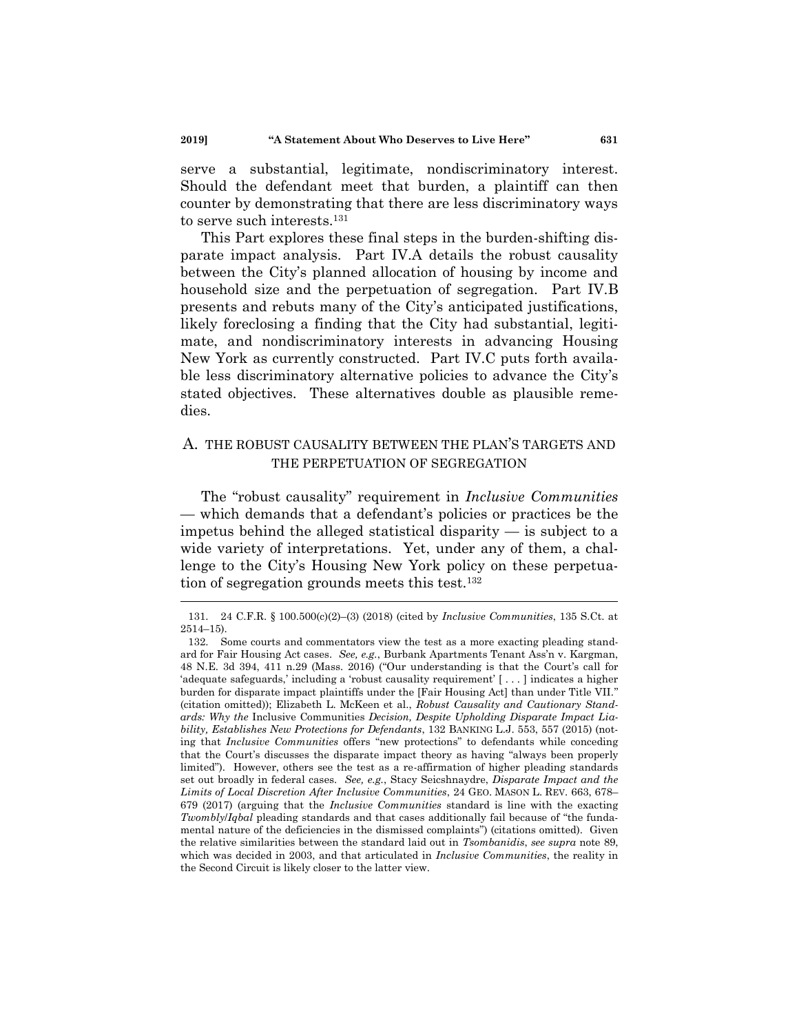serve a substantial, legitimate, nondiscriminatory interest. Should the defendant meet that burden, a plaintiff can then counter by demonstrating that there are less discriminatory ways to serve such interests.<sup>131</sup>

This Part explores these final steps in the burden-shifting disparate impact analysis. Part IV.A details the robust causality between the City's planned allocation of housing by income and household size and the perpetuation of segregation. Part IV.B presents and rebuts many of the City's anticipated justifications, likely foreclosing a finding that the City had substantial, legitimate, and nondiscriminatory interests in advancing Housing New York as currently constructed. Part IV.C puts forth available less discriminatory alternative policies to advance the City's stated objectives. These alternatives double as plausible remedies.

# A. THE ROBUST CAUSALITY BETWEEN THE PLAN'S TARGETS AND THE PERPETUATION OF SEGREGATION

The "robust causality" requirement in *Inclusive Communities* — which demands that a defendant's policies or practices be the impetus behind the alleged statistical disparity — is subject to a wide variety of interpretations. Yet, under any of them, a challenge to the City's Housing New York policy on these perpetuation of segregation grounds meets this test.<sup>132</sup>

<sup>131.</sup> 24 C.F.R. § 100.500(c)(2)–(3) (2018) (cited by *Inclusive Communities*, 135 S.Ct. at 2514–15).

<sup>132.</sup> Some courts and commentators view the test as a more exacting pleading standard for Fair Housing Act cases. *See, e.g.*, Burbank Apartments Tenant Ass'n v. Kargman,  $48$  N.E. 3d 394,  $411$  n.29 (Mass. 2016) ("Our understanding is that the Court's call for 'adequate safeguards,' including a 'robust causality requirement'  $[ \dots ]$  indicates a higher burden for disparate impact plaintiffs under the [Fair Housing Act] than under Title VII." (citation omitted)); Elizabeth L. McKeen et al., *Robust Causality and Cautionary Standards: Why the* Inclusive Communities *Decision, Despite Upholding Disparate Impact Liability, Establishes New Protections for Defendants*, 132 BANKING L.J. 553, 557 (2015) (noting that *Inclusive Communities* offers "new protections" to defendants while conceding that the Court's discusses the disparate impact theory as having "always been properly limited"). However, others see the test as a re-affirmation of higher pleading standards set out broadly in federal cases. *See, e.g.*, Stacy Seicshnaydre, *Disparate Impact and the Limits of Local Discretion After Inclusive Communities*, 24 GEO. MASON L. REV. 663, 678– 679 (2017) (arguing that the *Inclusive Communities* standard is line with the exacting *Twombly*/*Iqbal* pleading standards and that cases additionally fail because of "the fundamental nature of the deficiencies in the dismissed complaints") (citations omitted). Given the relative similarities between the standard laid out in *Tsombanidis*, *see supra* not[e 89,](#page-16-0)  which was decided in 2003, and that articulated in *Inclusive Communities*, the reality in the Second Circuit is likely closer to the latter view.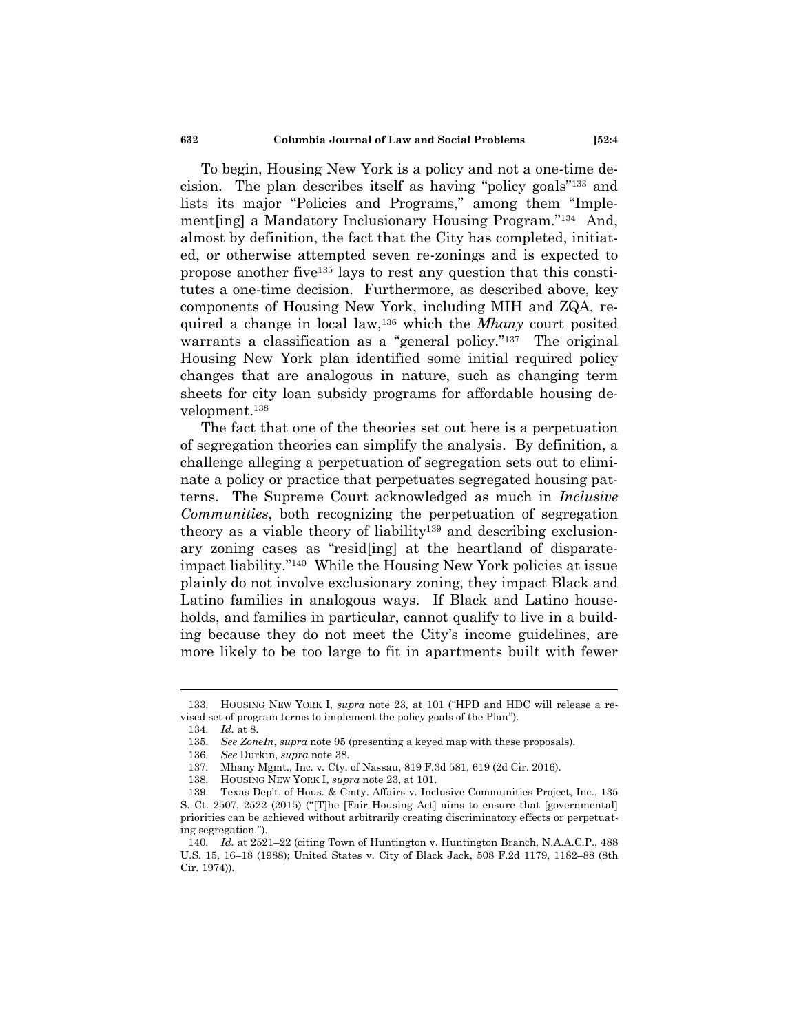To begin, Housing New York is a policy and not a one-time decision. The plan describes itself as having "policy goals"<sup>133</sup> and lists its major "Policies and Programs," among them "Implement[ing] a Mandatory Inclusionary Housing Program."<sup>134</sup> And, almost by definition, the fact that the City has completed, initiated, or otherwise attempted seven re-zonings and is expected to propose another five<sup>135</sup> lays to rest any question that this constitutes a one-time decision. Furthermore, as described above, key components of Housing New York, including MIH and ZQA, required a change in local law,<sup>136</sup> which the *Mhany* court posited warrants a classification as a "general policy."<sup>137</sup> The original Housing New York plan identified some initial required policy changes that are analogous in nature, such as changing term sheets for city loan subsidy programs for affordable housing development.<sup>138</sup>

The fact that one of the theories set out here is a perpetuation of segregation theories can simplify the analysis. By definition, a challenge alleging a perpetuation of segregation sets out to eliminate a policy or practice that perpetuates segregated housing patterns. The Supreme Court acknowledged as much in *Inclusive Communities*, both recognizing the perpetuation of segregation theory as a viable theory of liability<sup>139</sup> and describing exclusionary zoning cases as "resid [ing] at the heartland of disparateimpact liability."<sup>140</sup> While the Housing New York policies at issue plainly do not involve exclusionary zoning, they impact Black and Latino families in analogous ways. If Black and Latino households, and families in particular, cannot qualify to live in a building because they do not meet the City's income guidelines, are more likely to be too large to fit in apartments built with fewer

<sup>133.</sup> HOUSING NEW YORK I, *supra* note [23,](#page-4-2) at 101 ("HPD and HDC will release a revised set of program terms to implement the policy goals of the Plan").

<sup>134.</sup> *Id.* at 8.

<sup>135.</sup> *See ZoneIn*, *supra* note [95](#page-18-0) (presenting a keyed map with these proposals).

<sup>136.</sup> *See* Durkin, *supra* not[e 38.](#page-8-2)

<sup>137.</sup> Mhany Mgmt., Inc. v. Cty. of Nassau, 819 F.3d 581, 619 (2d Cir. 2016).

<sup>138.</sup> HOUSING NEW YORK I, *supra* note [23,](#page-4-2) at 101.

<sup>139.</sup> Texas Dep't. of Hous. & Cmty. Affairs v. Inclusive Communities Project, Inc., 135 S. Ct. 2507, 2522 (2015) ("The [Fair Housing Act] aims to ensure that [governmental] priorities can be achieved without arbitrarily creating discriminatory effects or perpetuating segregation.").

<sup>140.</sup> *Id.* at 2521–22 (citing Town of Huntington v. Huntington Branch, N.A.A.C.P., 488 U.S. 15, 16–18 (1988); United States v. City of Black Jack, 508 F.2d 1179, 1182–88 (8th Cir. 1974)).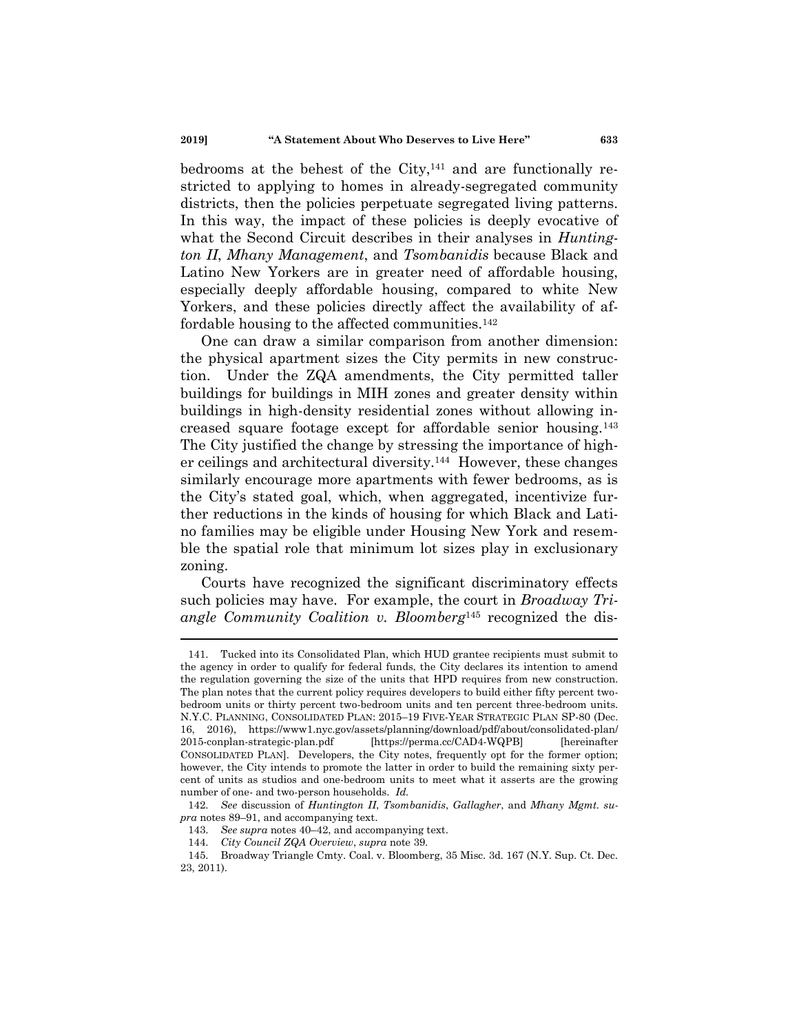<span id="page-34-0"></span>bedrooms at the behest of the  $City<sub>141</sub>$  and are functionally restricted to applying to homes in already-segregated community districts, then the policies perpetuate segregated living patterns. In this way, the impact of these policies is deeply evocative of what the Second Circuit describes in their analyses in *Huntington II*, *Mhany Management*, and *Tsombanidis* because Black and Latino New Yorkers are in greater need of affordable housing, especially deeply affordable housing, compared to white New Yorkers, and these policies directly affect the availability of affordable housing to the affected communities.<sup>142</sup>

One can draw a similar comparison from another dimension: the physical apartment sizes the City permits in new construction. Under the ZQA amendments, the City permitted taller buildings for buildings in MIH zones and greater density within buildings in high-density residential zones without allowing increased square footage except for affordable senior housing.<sup>143</sup> The City justified the change by stressing the importance of higher ceilings and architectural diversity.<sup>144</sup> However, these changes similarly encourage more apartments with fewer bedrooms, as is the City's stated goal, which, when aggregated, incentivize further reductions in the kinds of housing for which Black and Latino families may be eligible under Housing New York and resemble the spatial role that minimum lot sizes play in exclusionary zoning.

Courts have recognized the significant discriminatory effects such policies may have. For example, the court in *Broadway Triangle Community Coalition v. Bloomberg*<sup>145</sup> recognized the dis-

<sup>141.</sup> Tucked into its Consolidated Plan, which HUD grantee recipients must submit to the agency in order to qualify for federal funds, the City declares its intention to amend the regulation governing the size of the units that HPD requires from new construction. The plan notes that the current policy requires developers to build either fifty percent twobedroom units or thirty percent two-bedroom units and ten percent three-bedroom units. N.Y.C. PLANNING, CONSOLIDATED PLAN: 2015–19 FIVE-YEAR STRATEGIC PLAN SP-80 (Dec. 16, 2016), https://www1.nyc.gov/assets/planning/download/pdf/about/consolidated-plan/ 2015-conplan-strategic-plan.pdf [https://perma.cc/CAD4-WQPB] [hereinafter CONSOLIDATED PLAN]. Developers, the City notes, frequently opt for the former option; however, the City intends to promote the latter in order to build the remaining sixty percent of units as studios and one-bedroom units to meet what it asserts are the growing number of one- and two-person households. *Id.*

<sup>142.</sup> *See* discussion of *Huntington II*, *Tsombanidis*, *Gallagher*, and *Mhany Mgmt. supra* note[s 89](#page-16-0)–[91,](#page-17-0) and accompanying text.

<sup>143.</sup> *See supra* note[s 40](#page-9-0)–[42,](#page-9-1) and accompanying text.

<sup>144.</sup> *City Council ZQA Overview*, *supra* note [39.](#page-8-0)

<sup>145.</sup> Broadway Triangle Cmty. Coal. v. Bloomberg, 35 Misc. 3d. 167 (N.Y. Sup. Ct. Dec. 23, 2011).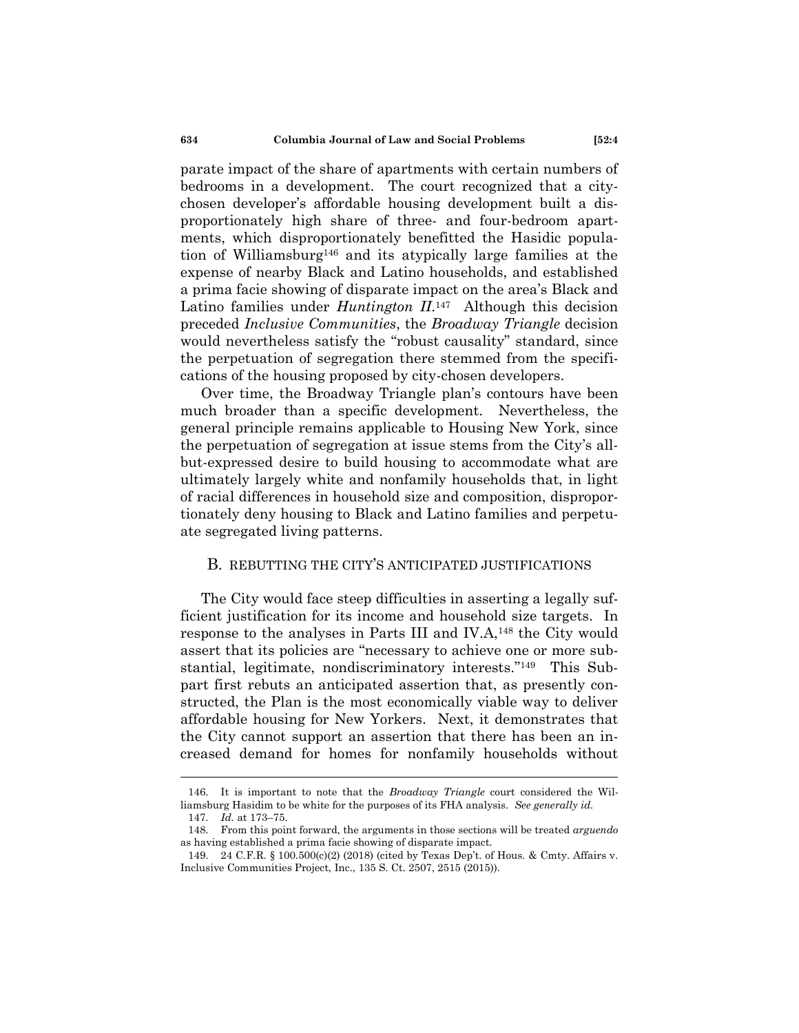parate impact of the share of apartments with certain numbers of bedrooms in a development. The court recognized that a citychosen developer's affordable housing development built a disproportionately high share of three- and four-bedroom apartments, which disproportionately benefitted the Hasidic population of Williamsburg<sup>146</sup> and its atypically large families at the expense of nearby Black and Latino households, and established a prima facie showing of disparate impact on the area's Black and Latino families under *Huntington II*.<sup>147</sup> Although this decision preceded *Inclusive Communities*, the *Broadway Triangle* decision would nevertheless satisfy the "robust causality" standard, since the perpetuation of segregation there stemmed from the specifications of the housing proposed by city-chosen developers.

Over time, the Broadway Triangle plan's contours have been much broader than a specific development. Nevertheless, the general principle remains applicable to Housing New York, since the perpetuation of segregation at issue stems from the City's allbut-expressed desire to build housing to accommodate what are ultimately largely white and nonfamily households that, in light of racial differences in household size and composition, disproportionately deny housing to Black and Latino families and perpetuate segregated living patterns.

#### B. REBUTTING THE CITY'S ANTICIPATED JUSTIFICATIONS

The City would face steep difficulties in asserting a legally sufficient justification for its income and household size targets. In response to the analyses in Parts III and IV.A,<sup>148</sup> the City would assert that its policies are "necessary to achieve one or more substantial, legitimate, nondiscriminatory interests."<sup>149</sup> This Subpart first rebuts an anticipated assertion that, as presently constructed, the Plan is the most economically viable way to deliver affordable housing for New Yorkers. Next, it demonstrates that the City cannot support an assertion that there has been an increased demand for homes for nonfamily households without

<sup>146.</sup> It is important to note that the *Broadway Triangle* court considered the Williamsburg Hasidim to be white for the purposes of its FHA analysis. *See generally id.* 147. *Id.* at 173–75.

<sup>148.</sup> From this point forward, the arguments in those sections will be treated *arguendo* as having established a prima facie showing of disparate impact.

<sup>149.</sup> 24 C.F.R. § 100.500(c)(2) (2018) (cited by Texas Dep't. of Hous. & Cmty. Affairs v. Inclusive Communities Project, Inc., 135 S. Ct. 2507, 2515 (2015)).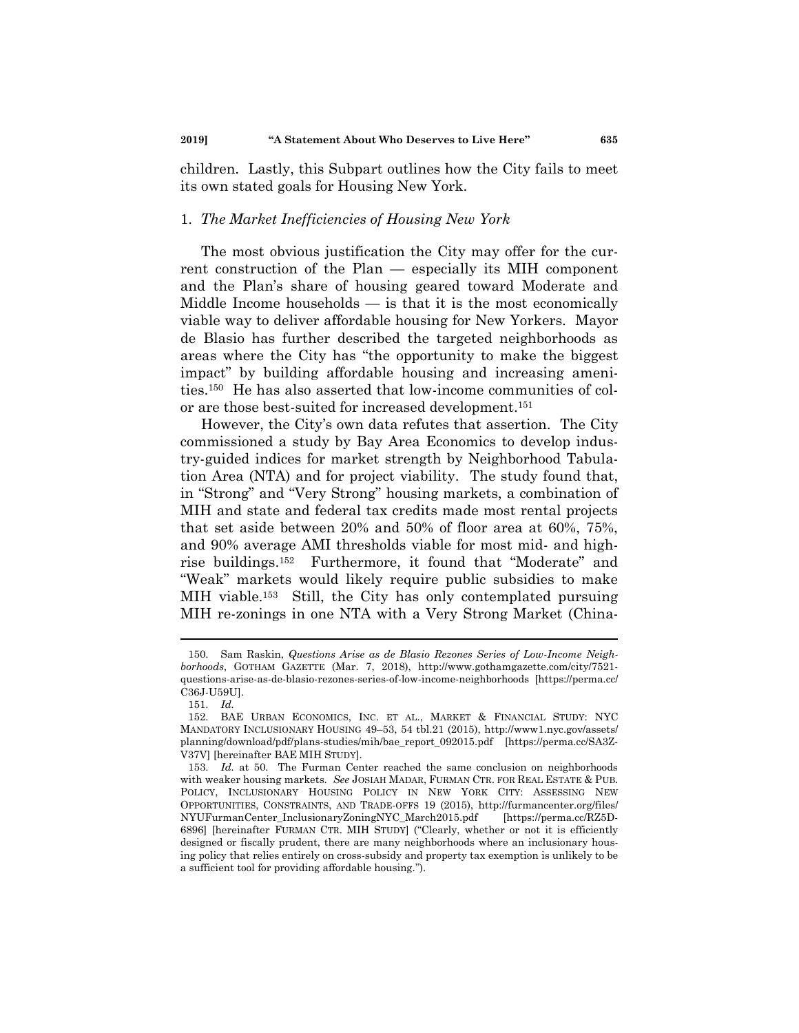children. Lastly, this Subpart outlines how the City fails to meet its own stated goals for Housing New York.

#### 1. *The Market Inefficiencies of Housing New York*

The most obvious justification the City may offer for the current construction of the Plan — especially its MIH component and the Plan's share of housing geared toward Moderate and Middle Income households  $-$  is that it is the most economically viable way to deliver affordable housing for New Yorkers. Mayor de Blasio has further described the targeted neighborhoods as areas where the City has "the opportunity to make the biggest impact" by building affordable housing and increasing amenities.<sup>150</sup> He has also asserted that low-income communities of color are those best-suited for increased development.<sup>151</sup>

However, the City's own data refutes that assertion. The City commissioned a study by Bay Area Economics to develop industry-guided indices for market strength by Neighborhood Tabulation Area (NTA) and for project viability. The study found that, in "Strong" and "Very Strong" housing markets, a combination of MIH and state and federal tax credits made most rental projects that set aside between 20% and 50% of floor area at 60%, 75%, and 90% average AMI thresholds viable for most mid- and highrise buildings.<sup>152</sup> Furthermore, it found that "Moderate" and ―Weak‖ markets would likely require public subsidies to make MIH viable.<sup>153</sup> Still, the City has only contemplated pursuing MIH re-zonings in one NTA with a Very Strong Market (China-

<span id="page-36-1"></span><span id="page-36-0"></span><sup>150.</sup> Sam Raskin, *Questions Arise as de Blasio Rezones Series of Low-Income Neighborhoods*, GOTHAM GAZETTE (Mar. 7, 2018), http://www.gothamgazette.com/city/7521 questions-arise-as-de-blasio-rezones-series-of-low-income-neighborhoods [https://perma.cc/ C36J-U59U].

<sup>151.</sup> *Id.*

<sup>152.</sup> BAE URBAN ECONOMICS, INC. ET AL., MARKET & FINANCIAL STUDY: NYC MANDATORY INCLUSIONARY HOUSING 49–53, 54 tbl.21 (2015), http://www1.nyc.gov/assets/ planning/download/pdf/plans-studies/mih/bae\_report\_092015.pdf [https://perma.cc/SA3Z-V37V] [hereinafter BAE MIH STUDY].

<sup>153.</sup> *Id.* at 50. The Furman Center reached the same conclusion on neighborhoods with weaker housing markets. *See* JOSIAH MADAR, FURMAN CTR. FOR REAL ESTATE & PUB. POLICY, INCLUSIONARY HOUSING POLICY IN NEW YORK CITY: ASSESSING NEW OPPORTUNITIES, CONSTRAINTS, AND TRADE-OFFS 19 (2015), http://furmancenter.org/files/ NYUFurmanCenter\_InclusionaryZoningNYC\_March2015.pdf [https://perma.cc/RZ5D-6896] [hereinafter FURMAN CTR. MIH STUDY] ("Clearly, whether or not it is efficiently designed or fiscally prudent, there are many neighborhoods where an inclusionary housing policy that relies entirely on cross-subsidy and property tax exemption is unlikely to be a sufficient tool for providing affordable housing.").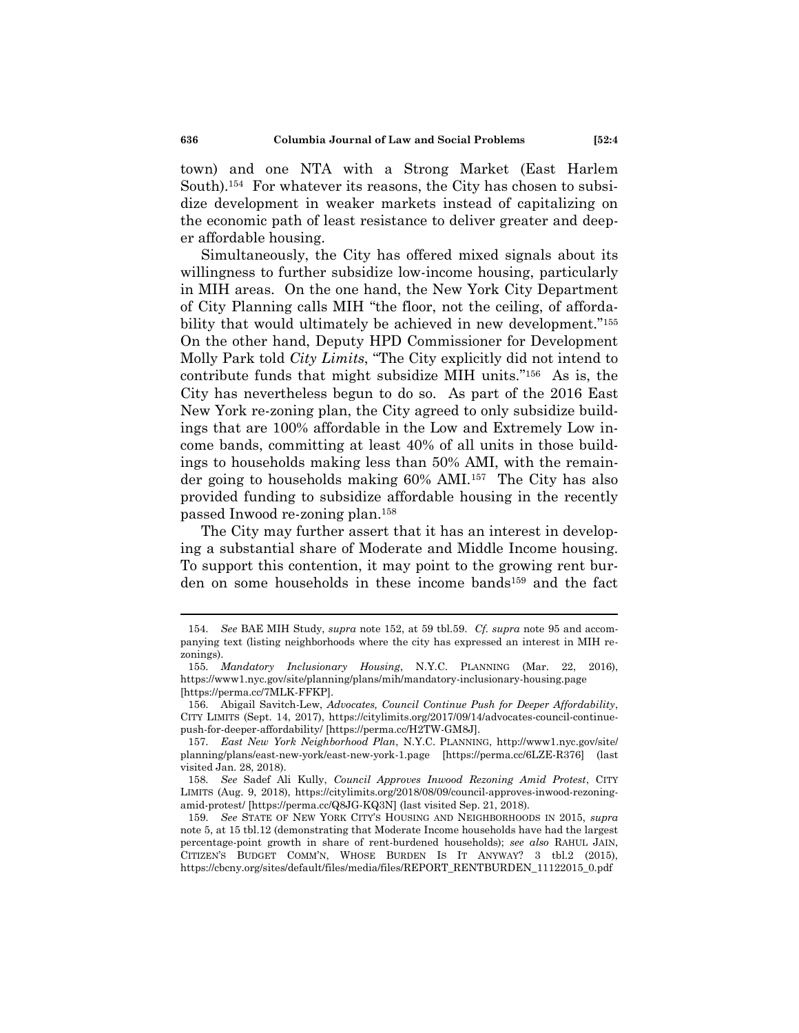town) and one NTA with a Strong Market (East Harlem South).<sup>154</sup> For whatever its reasons, the City has chosen to subsidize development in weaker markets instead of capitalizing on the economic path of least resistance to deliver greater and deeper affordable housing.

Simultaneously, the City has offered mixed signals about its willingness to further subsidize low-income housing, particularly in MIH areas. On the one hand, the New York City Department of City Planning calls MIH "the floor, not the ceiling, of affordability that would ultimately be achieved in new development."<sup>155</sup> On the other hand, Deputy HPD Commissioner for Development Molly Park told *City Limits*, "The City explicitly did not intend to contribute funds that might subsidize MIH units." $156$  As is, the City has nevertheless begun to do so. As part of the 2016 East New York re-zoning plan, the City agreed to only subsidize buildings that are 100% affordable in the Low and Extremely Low income bands, committing at least 40% of all units in those buildings to households making less than 50% AMI, with the remainder going to households making 60% AMI.<sup>157</sup> The City has also provided funding to subsidize affordable housing in the recently passed Inwood re-zoning plan.<sup>158</sup>

The City may further assert that it has an interest in developing a substantial share of Moderate and Middle Income housing. To support this contention, it may point to the growing rent burden on some households in these income bands<sup>159</sup> and the fact

<span id="page-37-0"></span><sup>154.</sup> *See* BAE MIH Study, *supra* note [152,](#page-36-0) at 59 tbl.59. *Cf. supra* note [95](#page-18-0) and accompanying text (listing neighborhoods where the city has expressed an interest in MIH rezonings).

<sup>155.</sup> *Mandatory Inclusionary Housing*, N.Y.C. PLANNING (Mar. 22, 2016), https://www1.nyc.gov/site/planning/plans/mih/mandatory-inclusionary-housing.page [https://perma.cc/7MLK-FFKP].

<sup>156.</sup> Abigail Savitch-Lew, *Advocates, Council Continue Push for Deeper Affordability*, CITY LIMITS (Sept. 14, 2017), https://citylimits.org/2017/09/14/advocates-council-continuepush-for-deeper-affordability/ [https://perma.cc/H2TW-GM8J].

<sup>157.</sup> *East New York Neighborhood Plan*, N.Y.C. PLANNING, http://www1.nyc.gov/site/ planning/plans/east-new-york/east-new-york-1.page [https://perma.cc/6LZE-R376] (last visited Jan. 28, 2018).

<sup>158.</sup> *See* Sadef Ali Kully, *Council Approves Inwood Rezoning Amid Protest*, CITY LIMITS (Aug. 9, 2018), https://citylimits.org/2018/08/09/council-approves-inwood-rezoningamid-protest/ [https://perma.cc/Q8JG-KQ3N] (last visited Sep. 21, 2018).

<sup>159.</sup> *See* STATE OF NEW YORK CITY'S HOUSING AND NEIGHBORHOODS IN 2015, *supra* not[e 5,](#page-1-0) at 15 tbl.12 (demonstrating that Moderate Income households have had the largest percentage-point growth in share of rent-burdened households); *see also* RAHUL JAIN, CITIZEN'S BUDGET COMM'N, WHOSE BURDEN IS IT ANYWAY? 3 tbl.2 (2015), https://cbcny.org/sites/default/files/media/files/REPORT\_RENTBURDEN\_11122015\_0.pdf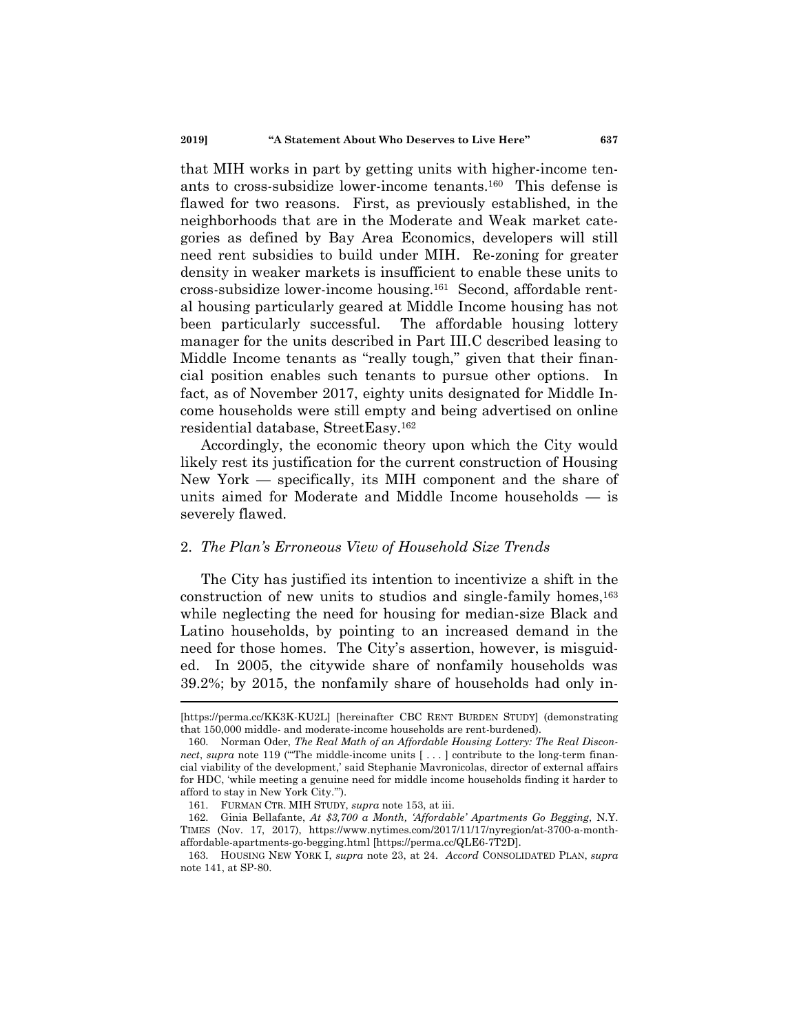that MIH works in part by getting units with higher-income tenants to cross-subsidize lower-income tenants.<sup>160</sup> This defense is flawed for two reasons. First, as previously established, in the neighborhoods that are in the Moderate and Weak market categories as defined by Bay Area Economics, developers will still need rent subsidies to build under MIH. Re-zoning for greater density in weaker markets is insufficient to enable these units to cross-subsidize lower-income housing.<sup>161</sup> Second, affordable rental housing particularly geared at Middle Income housing has not been particularly successful. The affordable housing lottery manager for the units described in Part III.C described leasing to Middle Income tenants as "really tough," given that their financial position enables such tenants to pursue other options. In fact, as of November 2017, eighty units designated for Middle Income households were still empty and being advertised on online residential database, StreetEasy.<sup>162</sup>

Accordingly, the economic theory upon which the City would likely rest its justification for the current construction of Housing New York — specifically, its MIH component and the share of units aimed for Moderate and Middle Income households — is severely flawed.

#### 2. *The Plan's Erroneous View of Household Size Trends*

The City has justified its intention to incentivize a shift in the construction of new units to studios and single-family homes,<sup>163</sup> while neglecting the need for housing for median-size Black and Latino households, by pointing to an increased demand in the need for those homes. The City's assertion, however, is misguided. In 2005, the citywide share of nonfamily households was 39.2%; by 2015, the nonfamily share of households had only in-

<sup>[</sup>https://perma.cc/KK3K-KU2L] [hereinafter CBC RENT BURDEN STUDY] (demonstrating that 150,000 middle- and moderate-income households are rent-burdened).

<sup>160.</sup> Norman Oder, *The Real Math of an Affordable Housing Lottery: The Real Disconnect*, *supra* note [119](#page-29-0) ("The middle-income units  $[ \dots ]$  contribute to the long-term financial viability of the development,' said Stephanie Mavronicolas, director of external affairs for HDC, 'while meeting a genuine need for middle income households finding it harder to afford to stay in New York City."".

<sup>161.</sup> FURMAN CTR. MIH STUDY, *supra* note [153,](#page-36-1) at iii.

<sup>162.</sup> Ginia Bellafante, *At \$3,700 a Month, 'Affordable' Apartments Go Begging*, N.Y. TIMES (Nov. 17, 2017), https://www.nytimes.com/2017/11/17/nyregion/at-3700-a-monthaffordable-apartments-go-begging.html [https://perma.cc/QLE6-7T2D].

<sup>163.</sup> HOUSING NEW YORK I, *supra* note [23,](#page-4-2) at 24. *Accord* CONSOLIDATED PLAN, *supra* not[e 141,](#page-34-0) at SP-80.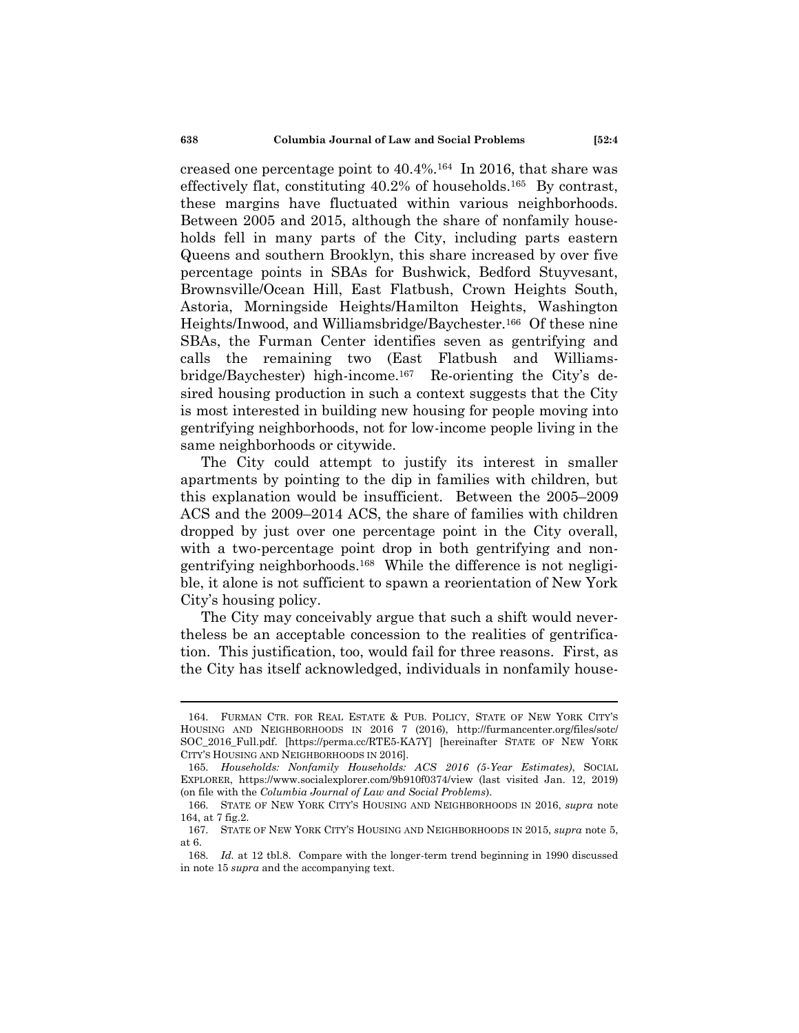<span id="page-39-0"></span>creased one percentage point to 40.4%.<sup>164</sup> In 2016, that share was effectively flat, constituting 40.2% of households.<sup>165</sup> By contrast, these margins have fluctuated within various neighborhoods. Between 2005 and 2015, although the share of nonfamily households fell in many parts of the City, including parts eastern Queens and southern Brooklyn, this share increased by over five percentage points in SBAs for Bushwick, Bedford Stuyvesant, Brownsville/Ocean Hill, East Flatbush, Crown Heights South, Astoria, Morningside Heights/Hamilton Heights, Washington Heights/Inwood, and Williamsbridge/Baychester.<sup>166</sup> Of these nine SBAs, the Furman Center identifies seven as gentrifying and calls the remaining two (East Flatbush and Williamsbridge/Baychester) high-income.<sup>167</sup> Re-orienting the City's desired housing production in such a context suggests that the City is most interested in building new housing for people moving into gentrifying neighborhoods, not for low-income people living in the same neighborhoods or citywide.

<span id="page-39-1"></span>The City could attempt to justify its interest in smaller apartments by pointing to the dip in families with children, but this explanation would be insufficient. Between the 2005–2009 ACS and the 2009–2014 ACS, the share of families with children dropped by just over one percentage point in the City overall, with a two-percentage point drop in both gentrifying and nongentrifying neighborhoods.<sup>168</sup> While the difference is not negligible, it alone is not sufficient to spawn a reorientation of New York City's housing policy.

The City may conceivably argue that such a shift would nevertheless be an acceptable concession to the realities of gentrification. This justification, too, would fail for three reasons. First, as the City has itself acknowledged, individuals in nonfamily house-

<sup>164.</sup> FURMAN CTR. FOR REAL ESTATE & PUB. POLICY, STATE OF NEW YORK CITY'S HOUSING AND NEIGHBORHOODS IN 2016 7 (2016), http://furmancenter.org/files/sotc/ SOC\_2016\_Full.pdf. [https://perma.cc/RTE5-KA7Y] [hereinafter STATE OF NEW YORK CITY'S HOUSING AND NEIGHBORHOODS IN 2016].

<sup>165.</sup> *Households: Nonfamily Households: ACS 2016 (5-Year Estimates)*, SOCIAL EXPLORER, https://www.socialexplorer.com/9b910f0374/view (last visited Jan. 12, 2019) (on file with the *Columbia Journal of Law and Social Problems*).

<sup>166.</sup> STATE OF NEW YORK CITY'S HOUSING AND NEIGHBORHOODS IN 2016, *supra* note [164,](#page-39-0) at 7 fig.2.

<sup>167.</sup> STATE OF NEW YORK CITY'S HOUSING AND NEIGHBORHOODS IN 2015, *supra* note [5,](#page-1-0)  at 6.

<sup>168.</sup> *Id.* at 12 tbl.8. Compare with the longer-term trend beginning in 1990 discussed in note [15](#page-3-0) *supra* and the accompanying text.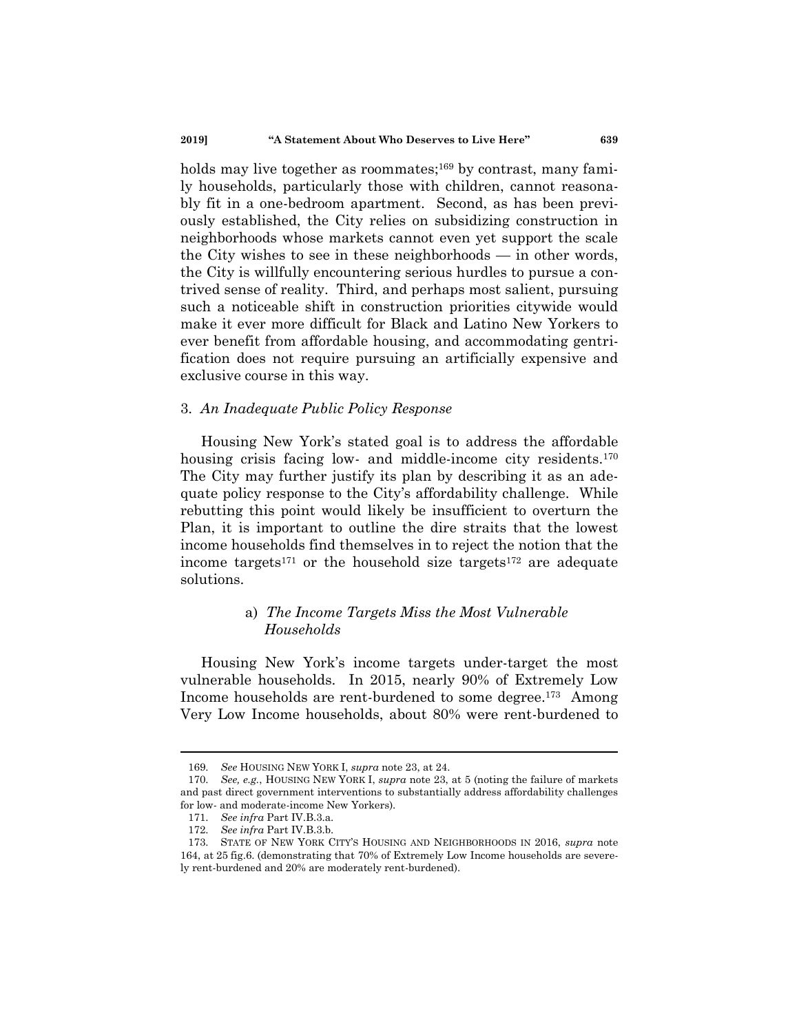holds may live together as roommates;<sup>169</sup> by contrast, many family households, particularly those with children, cannot reasonably fit in a one-bedroom apartment. Second, as has been previously established, the City relies on subsidizing construction in neighborhoods whose markets cannot even yet support the scale the City wishes to see in these neighborhoods — in other words, the City is willfully encountering serious hurdles to pursue a contrived sense of reality. Third, and perhaps most salient, pursuing such a noticeable shift in construction priorities citywide would make it ever more difficult for Black and Latino New Yorkers to ever benefit from affordable housing, and accommodating gentrification does not require pursuing an artificially expensive and exclusive course in this way.

#### 3. *An Inadequate Public Policy Response*

Housing New York's stated goal is to address the affordable housing crisis facing low- and middle-income city residents.<sup>170</sup> The City may further justify its plan by describing it as an adequate policy response to the City's affordability challenge. While rebutting this point would likely be insufficient to overturn the Plan, it is important to outline the dire straits that the lowest income households find themselves in to reject the notion that the income targets<sup>171</sup> or the household size targets<sup>172</sup> are adequate solutions.

### a) *The Income Targets Miss the Most Vulnerable Households*

Housing New York's income targets under-target the most vulnerable households. In 2015, nearly 90% of Extremely Low Income households are rent-burdened to some degree.<sup>173</sup> Among Very Low Income households, about 80% were rent-burdened to

<sup>169.</sup> *See* HOUSING NEW YORK I, *supra* not[e 23,](#page-4-2) at 24.

<sup>170.</sup> *See, e.g.*, HOUSING NEW YORK I, *supra* note [23,](#page-4-2) at 5 (noting the failure of markets and past direct government interventions to substantially address affordability challenges for low- and moderate-income New Yorkers).

<sup>171.</sup> *See infra* Part IV.B.3.a.

<sup>172.</sup> *See infra* Part IV.B.3.b.

<sup>173.</sup> STATE OF NEW YORK CITY'S HOUSING AND NEIGHBORHOODS IN 2016, *supra* note [164,](#page-39-0) at 25 fig.6. (demonstrating that 70% of Extremely Low Income households are severely rent-burdened and 20% are moderately rent-burdened).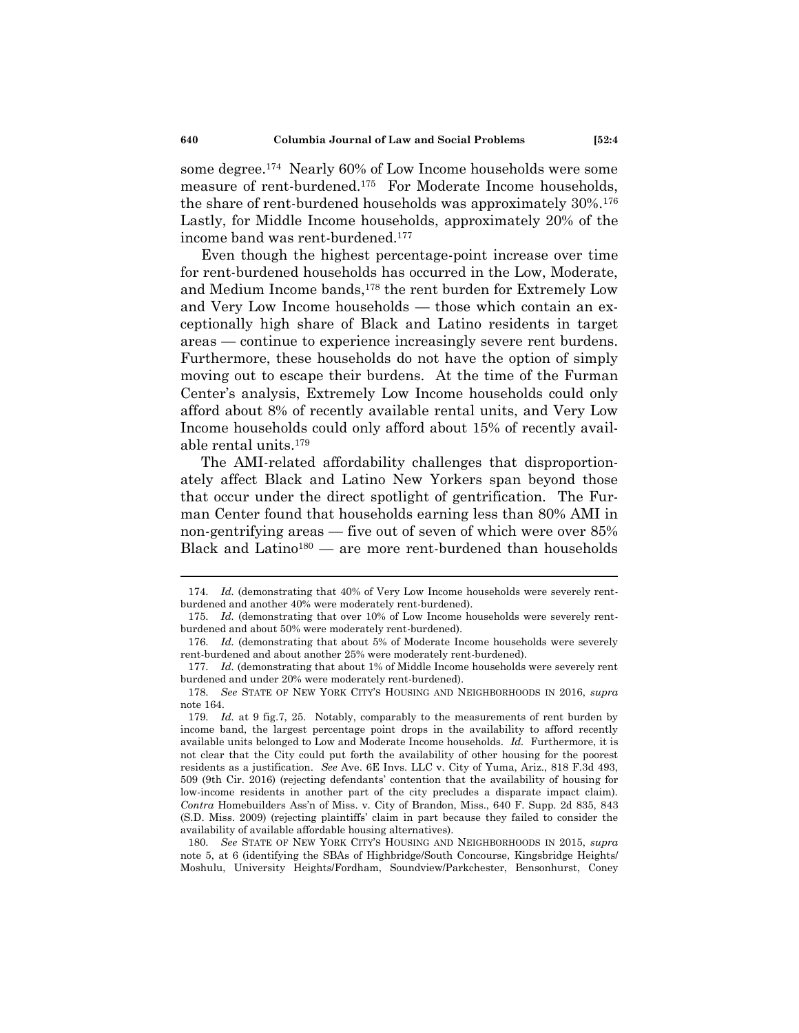some degree.<sup>174</sup> Nearly 60% of Low Income households were some measure of rent-burdened.<sup>175</sup> For Moderate Income households, the share of rent-burdened households was approximately 30%.<sup>176</sup> Lastly, for Middle Income households, approximately 20% of the income band was rent-burdened.<sup>177</sup>

Even though the highest percentage-point increase over time for rent-burdened households has occurred in the Low, Moderate, and Medium Income bands,<sup>178</sup> the rent burden for Extremely Low and Very Low Income households — those which contain an exceptionally high share of Black and Latino residents in target areas — continue to experience increasingly severe rent burdens. Furthermore, these households do not have the option of simply moving out to escape their burdens. At the time of the Furman Center's analysis, Extremely Low Income households could only afford about 8% of recently available rental units, and Very Low Income households could only afford about 15% of recently available rental units.<sup>179</sup>

The AMI-related affordability challenges that disproportionately affect Black and Latino New Yorkers span beyond those that occur under the direct spotlight of gentrification. The Furman Center found that households earning less than 80% AMI in non-gentrifying areas — five out of seven of which were over 85% Black and Latino<sup>180</sup> — are more rent-burdened than households

180. *See* STATE OF NEW YORK CITY'S HOUSING AND NEIGHBORHOODS IN 2015, *supra* note [5,](#page-1-0) at 6 (identifying the SBAs of Highbridge/South Concourse, Kingsbridge Heights/ Moshulu, University Heights/Fordham, Soundview/Parkchester, Bensonhurst, Coney

<sup>174.</sup> *Id.* (demonstrating that 40% of Very Low Income households were severely rentburdened and another 40% were moderately rent-burdened).

<sup>175.</sup> *Id.* (demonstrating that over 10% of Low Income households were severely rentburdened and about 50% were moderately rent-burdened).

<sup>176.</sup> *Id.* (demonstrating that about 5% of Moderate Income households were severely rent-burdened and about another 25% were moderately rent-burdened).

<sup>177.</sup> *Id.* (demonstrating that about 1% of Middle Income households were severely rent burdened and under 20% were moderately rent-burdened).

<sup>178.</sup> *See* STATE OF NEW YORK CITY'S HOUSING AND NEIGHBORHOODS IN 2016, *supra* not[e 164.](#page-39-0)

<sup>179.</sup> *Id.* at 9 fig.7, 25. Notably, comparably to the measurements of rent burden by income band, the largest percentage point drops in the availability to afford recently available units belonged to Low and Moderate Income households. *Id.* Furthermore, it is not clear that the City could put forth the availability of other housing for the poorest residents as a justification. *See* Ave. 6E Invs. LLC v. City of Yuma, Ariz., 818 F.3d 493, 509 (9th Cir. 2016) (rejecting defendants' contention that the availability of housing for low-income residents in another part of the city precludes a disparate impact claim). *Contra* Homebuilders Ass'n of Miss. v. City of Brandon, Miss., 640 F. Supp. 2d 835, 843 (S.D. Miss. 2009) (rejecting plaintiffs' claim in part because they failed to consider the availability of available affordable housing alternatives).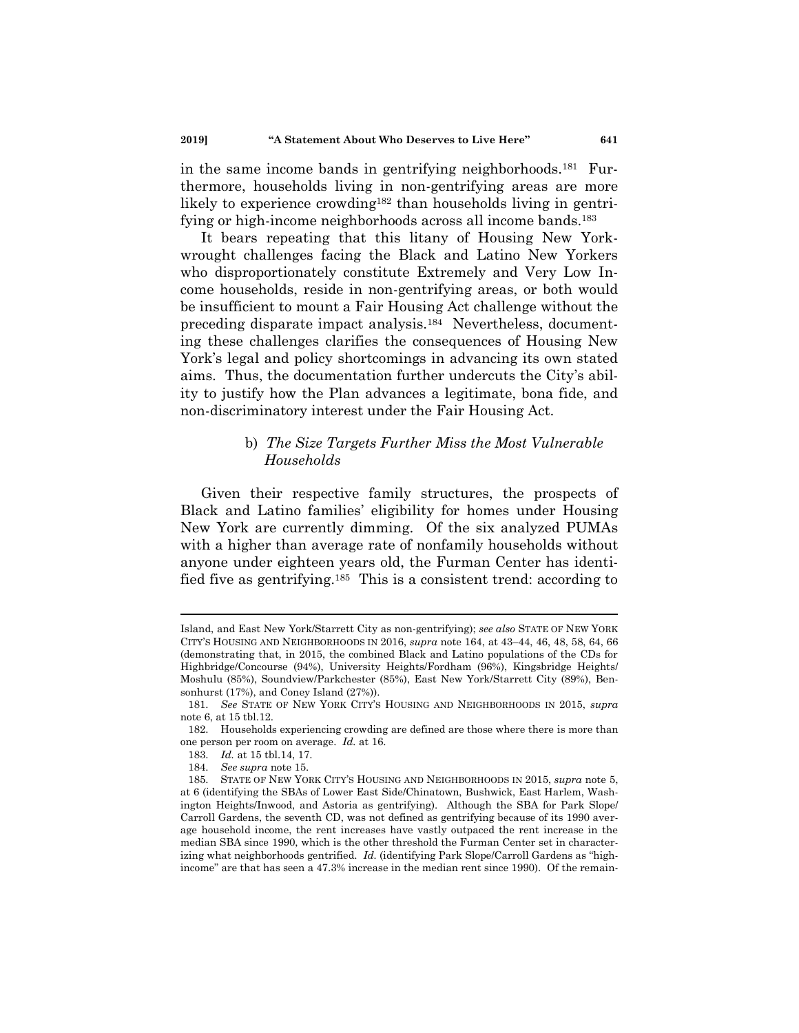in the same income bands in gentrifying neighborhoods.<sup>181</sup> Furthermore, households living in non-gentrifying areas are more likely to experience crowding<sup>182</sup> than households living in gentrifying or high-income neighborhoods across all income bands.<sup>183</sup>

It bears repeating that this litany of Housing New Yorkwrought challenges facing the Black and Latino New Yorkers who disproportionately constitute Extremely and Very Low Income households, reside in non-gentrifying areas, or both would be insufficient to mount a Fair Housing Act challenge without the preceding disparate impact analysis.<sup>184</sup> Nevertheless, documenting these challenges clarifies the consequences of Housing New York's legal and policy shortcomings in advancing its own stated aims. Thus, the documentation further undercuts the City's ability to justify how the Plan advances a legitimate, bona fide, and non-discriminatory interest under the Fair Housing Act.

### b) *The Size Targets Further Miss the Most Vulnerable Households*

Given their respective family structures, the prospects of Black and Latino families' eligibility for homes under Housing New York are currently dimming. Of the six analyzed PUMAs with a higher than average rate of nonfamily households without anyone under eighteen years old, the Furman Center has identified five as gentrifying.<sup>185</sup> This is a consistent trend: according to

Island, and East New York/Starrett City as non-gentrifying); *see also* STATE OF NEW YORK CITY'S HOUSING AND NEIGHBORHOODS IN 2016, *supra* note [164,](#page-39-0) at 43–44, 46, 48, 58, 64, 66 (demonstrating that, in 2015, the combined Black and Latino populations of the CDs for Highbridge/Concourse (94%), University Heights/Fordham (96%), Kingsbridge Heights/ Moshulu (85%), Soundview/Parkchester (85%), East New York/Starrett City (89%), Bensonhurst (17%), and Coney Island (27%)).

<sup>181.</sup> *See* STATE OF NEW YORK CITY'S HOUSING AND NEIGHBORHOODS IN 2015, *supra* note 6, at 15 tbl.12.

<sup>182.</sup> Households experiencing crowding are defined are those where there is more than one person per room on average. *Id.* at 16.

<sup>183.</sup> *Id.* at 15 tbl.14, 17.

<sup>184.</sup> *See supra* not[e 15.](#page-3-0)

<sup>185.</sup> STATE OF NEW YORK CITY'S HOUSING AND NEIGHBORHOODS IN 2015, *supra* note [5,](#page-1-0)  at 6 (identifying the SBAs of Lower East Side/Chinatown, Bushwick, East Harlem, Washington Heights/Inwood, and Astoria as gentrifying). Although the SBA for Park Slope/ Carroll Gardens, the seventh CD, was not defined as gentrifying because of its 1990 average household income, the rent increases have vastly outpaced the rent increase in the median SBA since 1990, which is the other threshold the Furman Center set in characterizing what neighborhoods gentrified. *Id.* (identifying Park Slope/Carroll Gardens as "highincome" are that has seen a 47.3% increase in the median rent since 1990). Of the remain-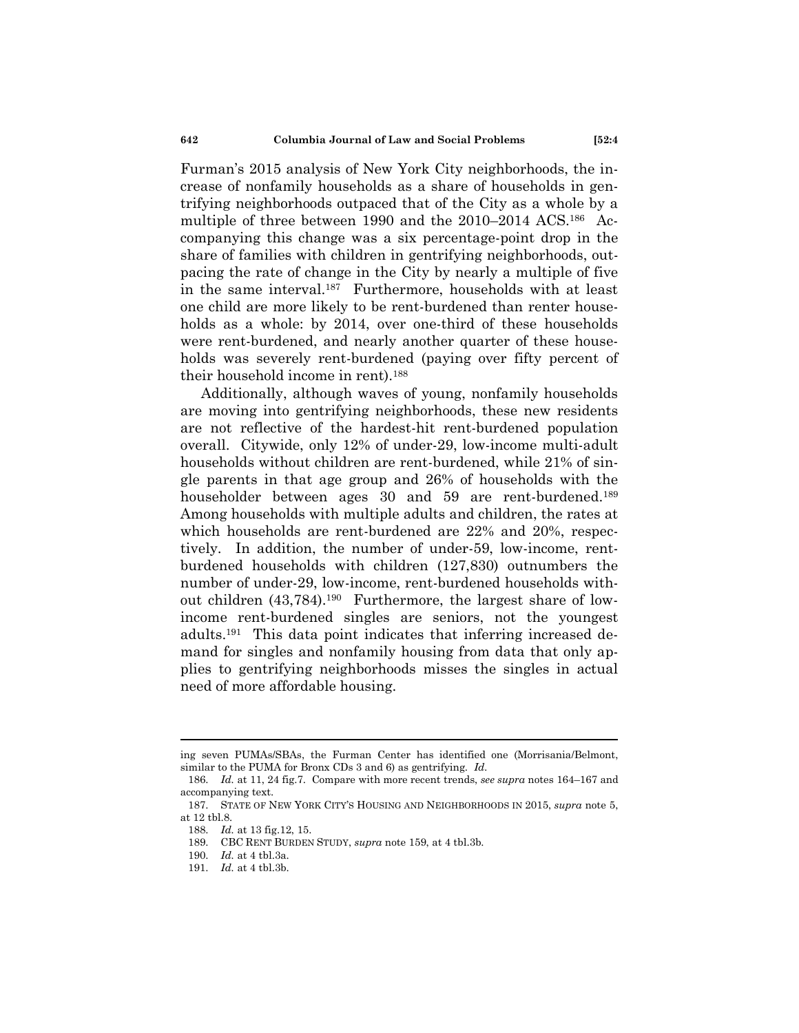Furman's 2015 analysis of New York City neighborhoods, the increase of nonfamily households as a share of households in gentrifying neighborhoods outpaced that of the City as a whole by a multiple of three between 1990 and the 2010–2014 ACS.<sup>186</sup> Accompanying this change was a six percentage-point drop in the share of families with children in gentrifying neighborhoods, outpacing the rate of change in the City by nearly a multiple of five in the same interval.<sup>187</sup> Furthermore, households with at least one child are more likely to be rent-burdened than renter households as a whole: by 2014, over one-third of these households were rent-burdened, and nearly another quarter of these households was severely rent-burdened (paying over fifty percent of their household income in rent).<sup>188</sup>

Additionally, although waves of young, nonfamily households are moving into gentrifying neighborhoods, these new residents are not reflective of the hardest-hit rent-burdened population overall. Citywide, only 12% of under-29, low-income multi-adult households without children are rent-burdened, while 21% of single parents in that age group and 26% of households with the householder between ages 30 and 59 are rent-burdened.<sup>189</sup> Among households with multiple adults and children, the rates at which households are rent-burdened are 22% and 20%, respectively. In addition, the number of under-59, low-income, rentburdened households with children (127,830) outnumbers the number of under-29, low-income, rent-burdened households without children (43,784).<sup>190</sup> Furthermore, the largest share of lowincome rent-burdened singles are seniors, not the youngest adults.<sup>191</sup> This data point indicates that inferring increased demand for singles and nonfamily housing from data that only applies to gentrifying neighborhoods misses the singles in actual need of more affordable housing.

ing seven PUMAs/SBAs, the Furman Center has identified one (Morrisania/Belmont, similar to the PUMA for Bronx CDs 3 and 6) as gentrifying. *Id.*

<sup>186.</sup> *Id.* at 11, 24 fig.7. Compare with more recent trends, *see supra* notes [164](#page-39-0)–[167](#page-39-1) and accompanying text.

<sup>187.</sup> STATE OF NEW YORK CITY'S HOUSING AND NEIGHBORHOODS IN 2015, *supra* note [5,](#page-1-0)  at 12 tbl.8.

<sup>188.</sup> *Id.* at 13 fig.12, 15.

<sup>189.</sup> CBC RENT BURDEN STUDY, *supra* not[e 159,](#page-37-0) at 4 tbl.3b.

<sup>190.</sup> *Id.* at 4 tbl.3a.

<sup>191.</sup> *Id.* at 4 tbl.3b.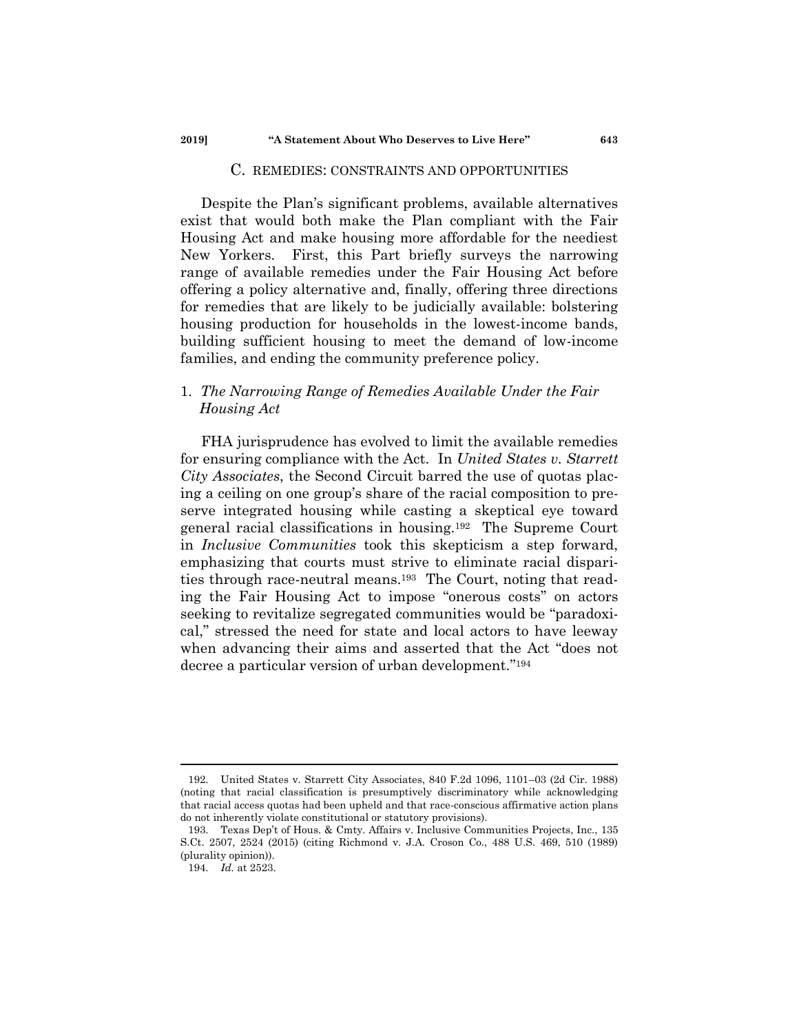#### C. REMEDIES: CONSTRAINTS AND OPPORTUNITIES

Despite the Plan's significant problems, available alternatives exist that would both make the Plan compliant with the Fair Housing Act and make housing more affordable for the neediest New Yorkers. First, this Part briefly surveys the narrowing range of available remedies under the Fair Housing Act before offering a policy alternative and, finally, offering three directions for remedies that are likely to be judicially available: bolstering housing production for households in the lowest-income bands, building sufficient housing to meet the demand of low-income families, and ending the community preference policy.

### 1. *The Narrowing Range of Remedies Available Under the Fair Housing Act*

FHA jurisprudence has evolved to limit the available remedies for ensuring compliance with the Act. In *United States v. Starrett City Associates*, the Second Circuit barred the use of quotas placing a ceiling on one group's share of the racial composition to preserve integrated housing while casting a skeptical eye toward general racial classifications in housing.<sup>192</sup> The Supreme Court in *Inclusive Communities* took this skepticism a step forward, emphasizing that courts must strive to eliminate racial disparities through race-neutral means. <sup>193</sup> The Court, noting that reading the Fair Housing Act to impose "onerous costs" on actors seeking to revitalize segregated communities would be "paradoxical," stressed the need for state and local actors to have leeway when advancing their aims and asserted that the Act "does not decree a particular version of urban development."<sup>194</sup>

<sup>192.</sup> United States v. Starrett City Associates, 840 F.2d 1096, 1101–03 (2d Cir. 1988) (noting that racial classification is presumptively discriminatory while acknowledging that racial access quotas had been upheld and that race-conscious affirmative action plans do not inherently violate constitutional or statutory provisions).

<sup>193.</sup> Texas Dep't of Hous. & Cmty. Affairs v. Inclusive Communities Projects, Inc., 135 S.Ct. 2507, 2524 (2015) (citing Richmond v. J.A. Croson Co., 488 U.S. 469, 510 (1989) (plurality opinion)).

<sup>194.</sup> *Id.* at 2523.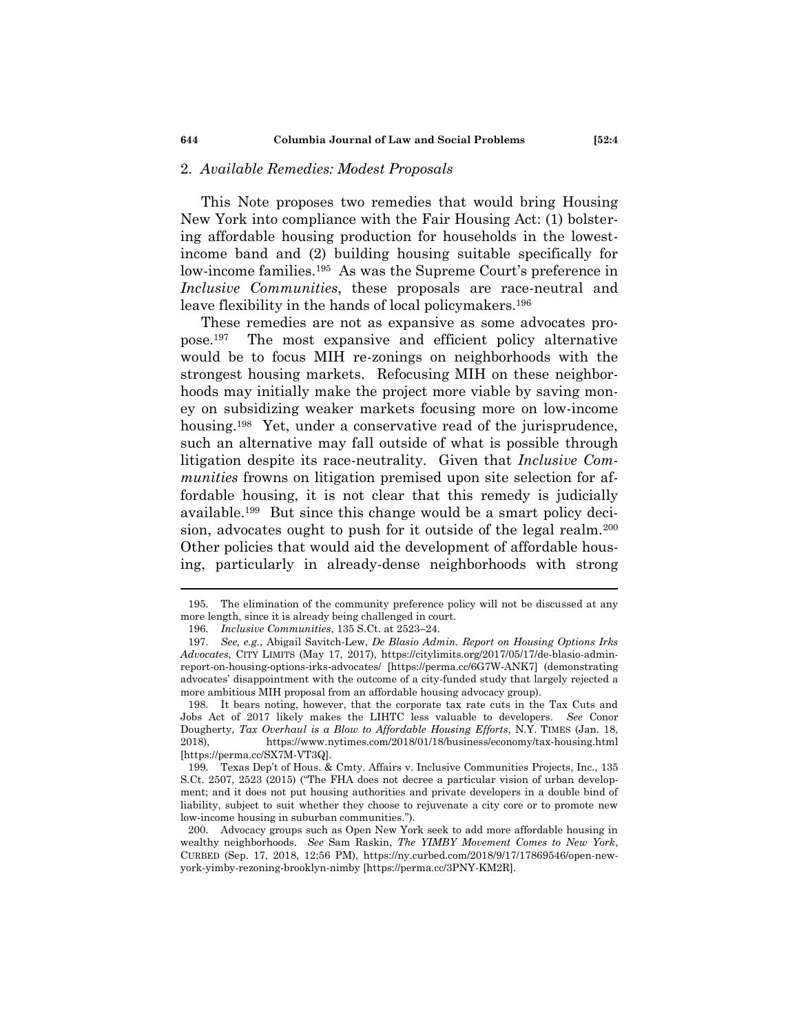#### 2. *Available Remedies: Modest Proposals*

This Note proposes two remedies that would bring Housing New York into compliance with the Fair Housing Act: (1) bolstering affordable housing production for households in the lowestincome band and (2) building housing suitable specifically for low-income families.<sup>195</sup> As was the Supreme Court's preference in *Inclusive Communities*, these proposals are race-neutral and leave flexibility in the hands of local policymakers.<sup>196</sup>

These remedies are not as expansive as some advocates propose.<sup>197</sup> The most expansive and efficient policy alternative would be to focus MIH re-zonings on neighborhoods with the strongest housing markets. Refocusing MIH on these neighborhoods may initially make the project more viable by saving money on subsidizing weaker markets focusing more on low-income housing.<sup>198</sup> Yet, under a conservative read of the jurisprudence, such an alternative may fall outside of what is possible through litigation despite its race-neutrality. Given that *Inclusive Communities* frowns on litigation premised upon site selection for affordable housing, it is not clear that this remedy is judicially available.<sup>199</sup> But since this change would be a smart policy decision, advocates ought to push for it outside of the legal realm.<sup>200</sup> Other policies that would aid the development of affordable housing, particularly in already-dense neighborhoods with strong

<sup>195.</sup> The elimination of the community preference policy will not be discussed at any more length, since it is already being challenged in court.

<sup>196.</sup> *Inclusive Communities*, 135 S.Ct. at 2523–24.

<sup>197.</sup> *See, e.g.*, Abigail Savitch-Lew, *De Blasio Admin. Report on Housing Options Irks Advocates*, CITY LIMITS (May 17, 2017), https://citylimits.org/2017/05/17/de-blasio-adminreport-on-housing-options-irks-advocates/ [https://perma.cc/6G7W-ANK7] (demonstrating advocates' disappointment with the outcome of a city-funded study that largely rejected a more ambitious MIH proposal from an affordable housing advocacy group).

<sup>198.</sup> It bears noting, however, that the corporate tax rate cuts in the Tax Cuts and Jobs Act of 2017 likely makes the LIHTC less valuable to developers. *See* Conor Dougherty, *Tax Overhaul is a Blow to Affordable Housing Efforts*, N.Y. TIMES (Jan. 18, 2018), https://www.nytimes.com/2018/01/18/business/economy/tax-housing.html [https://perma.cc/SX7M-VT3Q].

<sup>199.</sup> Texas Dep't of Hous. & Cmty. Affairs v. Inclusive Communities Projects, Inc., 135 S.Ct. 2507, 2523 (2015) ("The FHA does not decree a particular vision of urban development; and it does not put housing authorities and private developers in a double bind of liability, subject to suit whether they choose to rejuvenate a city core or to promote new low-income housing in suburban communities.").

<sup>200.</sup> Advocacy groups such as Open New York seek to add more affordable housing in wealthy neighborhoods. *See* Sam Raskin, *The YIMBY Movement Comes to New York*, CURBED (Sep. 17, 2018, 12:56 PM), https://ny.curbed.com/2018/9/17/17869546/open-newyork-yimby-rezoning-brooklyn-nimby [https://perma.cc/3PNY-KM2R].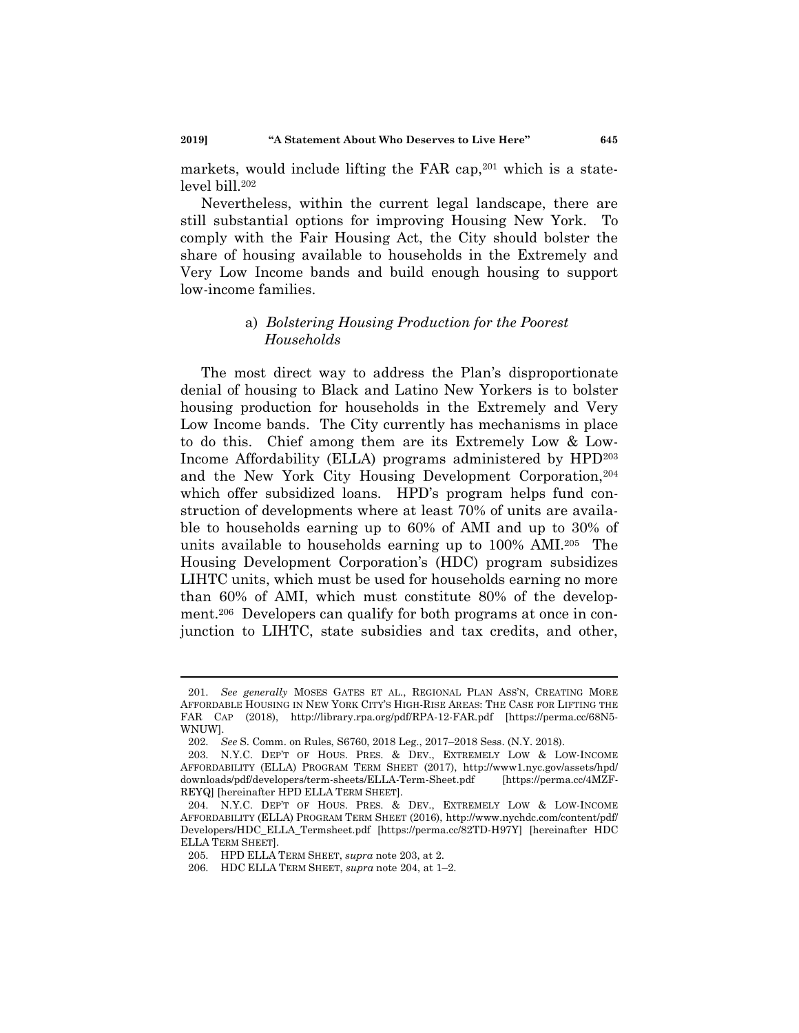markets, would include lifting the FAR cap,  $201$  which is a statelevel bill.<sup>202</sup>

Nevertheless, within the current legal landscape, there are still substantial options for improving Housing New York. To comply with the Fair Housing Act, the City should bolster the share of housing available to households in the Extremely and Very Low Income bands and build enough housing to support low-income families.

#### <span id="page-46-1"></span><span id="page-46-0"></span>a) *Bolstering Housing Production for the Poorest Households*

The most direct way to address the Plan's disproportionate denial of housing to Black and Latino New Yorkers is to bolster housing production for households in the Extremely and Very Low Income bands. The City currently has mechanisms in place to do this. Chief among them are its Extremely Low & Low-Income Affordability (ELLA) programs administered by HPD<sup>203</sup> and the New York City Housing Development Corporation,<sup>204</sup> which offer subsidized loans. HPD's program helps fund construction of developments where at least 70% of units are available to households earning up to 60% of AMI and up to 30% of units available to households earning up to 100% AMI.<sup>205</sup> The Housing Development Corporation's (HDC) program subsidizes LIHTC units, which must be used for households earning no more than 60% of AMI, which must constitute 80% of the development.<sup>206</sup> Developers can qualify for both programs at once in conjunction to LIHTC, state subsidies and tax credits, and other,

<sup>201.</sup> *See generally* MOSES GATES ET AL., REGIONAL PLAN ASS'N, CREATING MORE AFFORDABLE HOUSING IN NEW YORK CITY'S HIGH-RISE AREAS: THE CASE FOR LIFTING THE FAR CAP (2018), http://library.rpa.org/pdf/RPA-12-FAR.pdf [https://perma.cc/68N5- WNUW].

<sup>202.</sup> *See* S. Comm. on Rules, S6760, 2018 Leg., 2017–2018 Sess. (N.Y. 2018).

<sup>203.</sup> N.Y.C. DEP'T OF HOUS. PRES. & DEV., EXTREMELY LOW & LOW-INCOME AFFORDABILITY (ELLA) PROGRAM TERM SHEET (2017), http://www1.nyc.gov/assets/hpd/ downloads/pdf/developers/term-sheets/ELLA-Term-Sheet.pdf [https://perma.cc/4MZF-REYQ] [hereinafter HPD ELLA TERM SHEET].

<sup>204.</sup> N.Y.C. DEP'T OF HOUS. PRES. & DEV., EXTREMELY LOW & LOW-INCOME AFFORDABILITY (ELLA) PROGRAM TERM SHEET (2016), http://www.nychdc.com/content/pdf/ Developers/HDC\_ELLA\_Termsheet.pdf [https://perma.cc/82TD-H97Y] [hereinafter HDC ELLA TERM SHEET].

<sup>205.</sup> HPD ELLA TERM SHEET, *supra* not[e 203,](#page-46-0) at 2.

<sup>206.</sup> HDC ELLA TERM SHEET, *supra* not[e 204,](#page-46-1) at 1–2.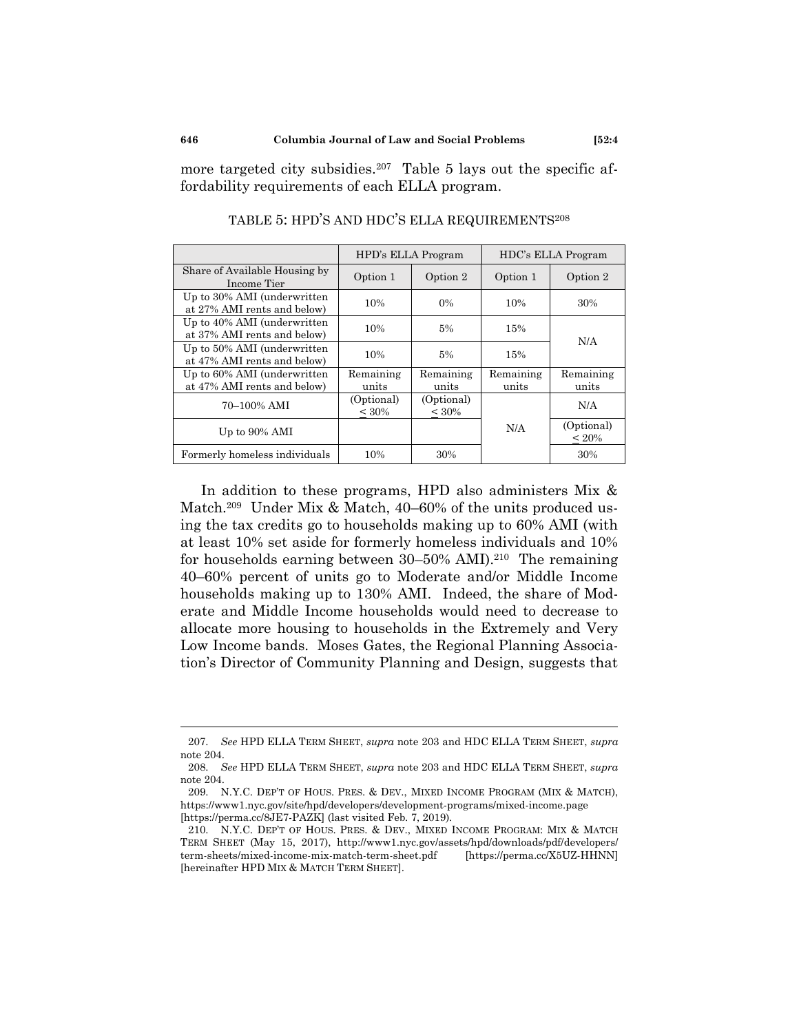more targeted city subsidies.<sup>207</sup> Table 5 lays out the specific affordability requirements of each ELLA program.

|                                                            | HPD's ELLA Program     |                          | HDC's ELLA Program |                        |  |
|------------------------------------------------------------|------------------------|--------------------------|--------------------|------------------------|--|
| Share of Available Housing by<br>Income Tier               | Option 1               | Option 2                 | Option 1           | Option 2               |  |
| Up to 30% AMI (underwritten<br>at 27% AMI rents and below) | 10%                    | $0\%$                    | 10%                | 30%                    |  |
| Up to 40% AMI (underwritten<br>at 37% AMI rents and below) | 10%                    | 5%                       | 15%                | N/A                    |  |
| Up to 50% AMI (underwritten<br>at 47% AMI rents and below) | 10%                    | 5%                       | 15%                |                        |  |
| Up to 60% AMI (underwritten<br>at 47% AMI rents and below) | Remaining<br>units     | Remaining<br>units       | Remaining<br>units | Remaining<br>units     |  |
| 70-100% AMI                                                | (Optional)<br>$< 30\%$ | (Optional)<br>${}< 30\%$ |                    | N/A                    |  |
| Up to 90% AMI                                              |                        |                          | N/A                | (Optional)<br>$~120\%$ |  |
| Formerly homeless individuals                              | 10%                    | 30%                      |                    | 30%                    |  |

TABLE 5: HPD'S AND HDC'S ELLA REQUIREMENTS<sup>208</sup>

In addition to these programs, HPD also administers Mix & Match.<sup>209</sup> Under Mix & Match, 40–60% of the units produced using the tax credits go to households making up to 60% AMI (with at least 10% set aside for formerly homeless individuals and 10% for households earning between  $30-50\%$  AMI).<sup>210</sup> The remaining 40–60% percent of units go to Moderate and/or Middle Income households making up to 130% AMI. Indeed, the share of Moderate and Middle Income households would need to decrease to allocate more housing to households in the Extremely and Very Low Income bands. Moses Gates, the Regional Planning Association's Director of Community Planning and Design, suggests that

<sup>207.</sup> *See* HPD ELLA TERM SHEET, *supra* note [203](#page-46-0) and HDC ELLA TERM SHEET, *supra* not[e 204.](#page-46-1)

<sup>208.</sup> *See* HPD ELLA TERM SHEET, *supra* note [203](#page-46-0) and HDC ELLA TERM SHEET, *supra* not[e 204.](#page-46-1)

<sup>209.</sup> N.Y.C. DEP'T OF HOUS. PRES. & DEV., MIXED INCOME PROGRAM (MIX & MATCH), https://www1.nyc.gov/site/hpd/developers/development-programs/mixed-income.page [https://perma.cc/8JE7-PAZK] (last visited Feb. 7, 2019).

<sup>210.</sup> N.Y.C. DEP'T OF HOUS. PRES. & DEV., MIXED INCOME PROGRAM: MIX & MATCH TERM SHEET (May 15, 2017), http://www1.nyc.gov/assets/hpd/downloads/pdf/developers/ term-sheets/mixed-income-mix-match-term-sheet.pdf [https://perma.cc/X5UZ-HHNN] [hereinafter HPD MIX & MATCH TERM SHEET].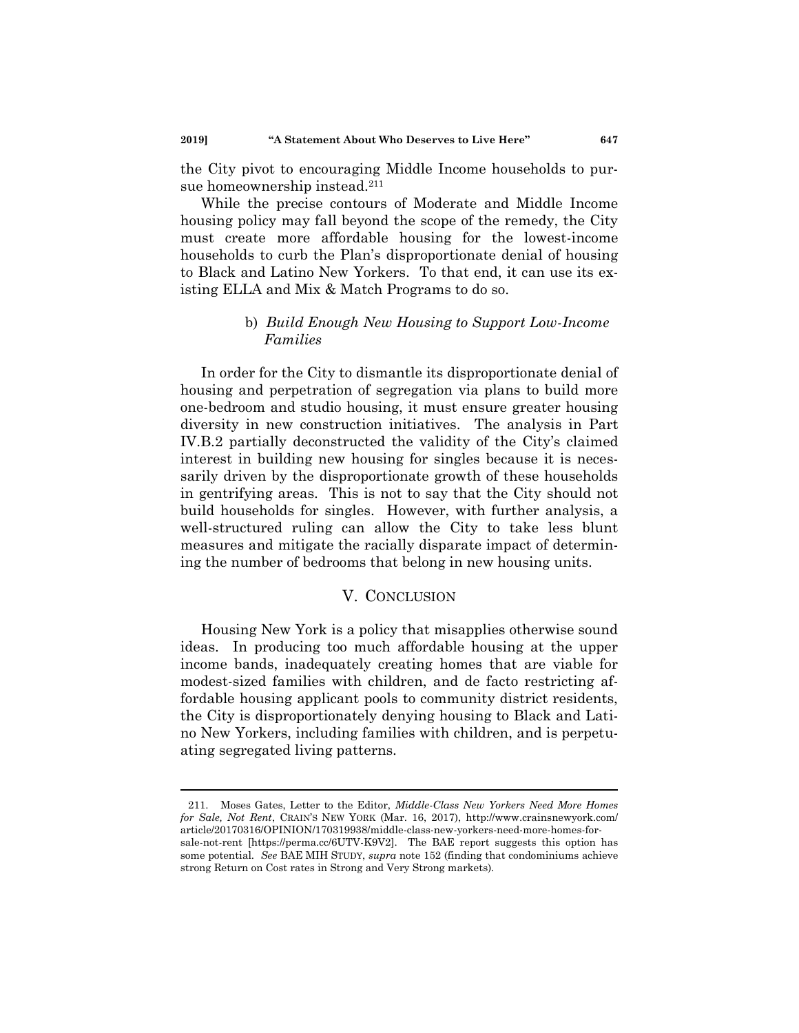the City pivot to encouraging Middle Income households to pursue homeownership instead.<sup>211</sup>

While the precise contours of Moderate and Middle Income housing policy may fall beyond the scope of the remedy, the City must create more affordable housing for the lowest-income households to curb the Plan's disproportionate denial of housing to Black and Latino New Yorkers. To that end, it can use its existing ELLA and Mix & Match Programs to do so.

### b) *Build Enough New Housing to Support Low-Income Families*

In order for the City to dismantle its disproportionate denial of housing and perpetration of segregation via plans to build more one-bedroom and studio housing, it must ensure greater housing diversity in new construction initiatives. The analysis in Part IV.B.2 partially deconstructed the validity of the City's claimed interest in building new housing for singles because it is necessarily driven by the disproportionate growth of these households in gentrifying areas. This is not to say that the City should not build households for singles. However, with further analysis, a well-structured ruling can allow the City to take less blunt measures and mitigate the racially disparate impact of determining the number of bedrooms that belong in new housing units.

### V. CONCLUSION

Housing New York is a policy that misapplies otherwise sound ideas. In producing too much affordable housing at the upper income bands, inadequately creating homes that are viable for modest-sized families with children, and de facto restricting affordable housing applicant pools to community district residents, the City is disproportionately denying housing to Black and Latino New Yorkers, including families with children, and is perpetuating segregated living patterns.

<sup>211.</sup> Moses Gates, Letter to the Editor, *Middle-Class New Yorkers Need More Homes for Sale, Not Rent*, CRAIN'S NEW YORK (Mar. 16, 2017), http://www.crainsnewyork.com/ article/20170316/OPINION/170319938/middle-class-new-yorkers-need-more-homes-forsale-not-rent [https://perma.cc/6UTV-K9V2]. The BAE report suggests this option has some potential. *See* BAE MIH STUDY, *supra* not[e 152](#page-36-0) (finding that condominiums achieve strong Return on Cost rates in Strong and Very Strong markets).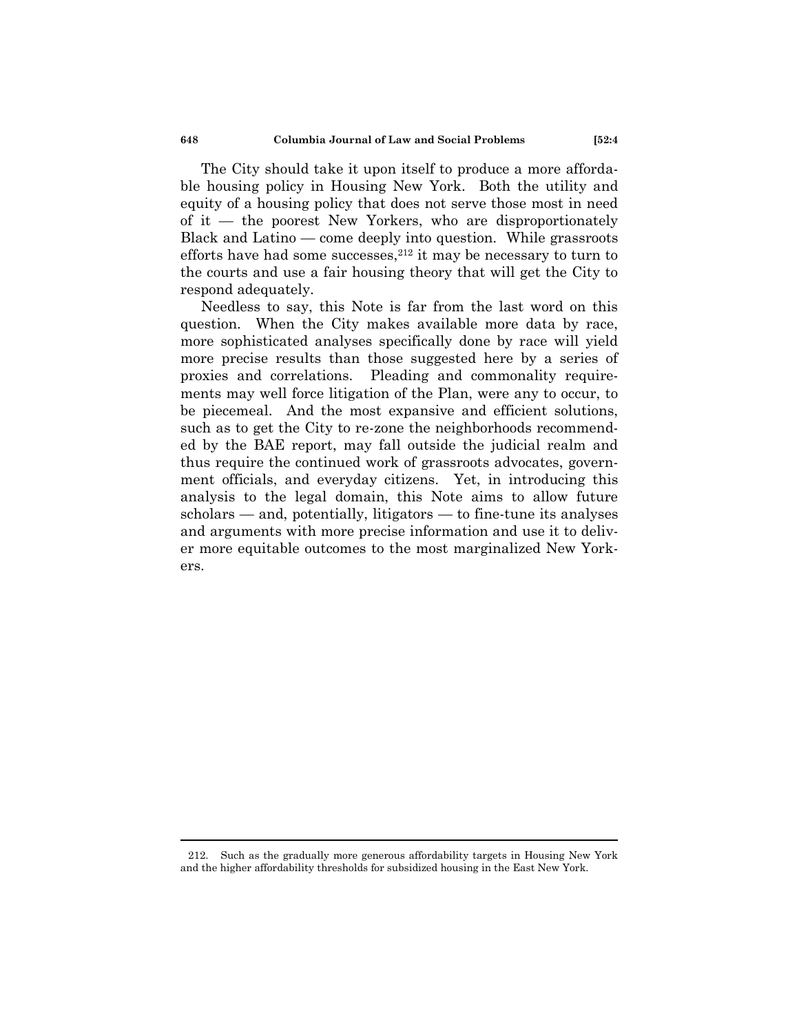The City should take it upon itself to produce a more affordable housing policy in Housing New York. Both the utility and equity of a housing policy that does not serve those most in need of it — the poorest New Yorkers, who are disproportionately Black and Latino — come deeply into question. While grassroots efforts have had some successes,  $212$  it may be necessary to turn to the courts and use a fair housing theory that will get the City to respond adequately.

Needless to say, this Note is far from the last word on this question. When the City makes available more data by race, more sophisticated analyses specifically done by race will yield more precise results than those suggested here by a series of proxies and correlations. Pleading and commonality requirements may well force litigation of the Plan, were any to occur, to be piecemeal. And the most expansive and efficient solutions, such as to get the City to re-zone the neighborhoods recommended by the BAE report, may fall outside the judicial realm and thus require the continued work of grassroots advocates, government officials, and everyday citizens. Yet, in introducing this analysis to the legal domain, this Note aims to allow future scholars — and, potentially, litigators — to fine-tune its analyses and arguments with more precise information and use it to deliver more equitable outcomes to the most marginalized New Yorkers.

<sup>212.</sup> Such as the gradually more generous affordability targets in Housing New York and the higher affordability thresholds for subsidized housing in the East New York.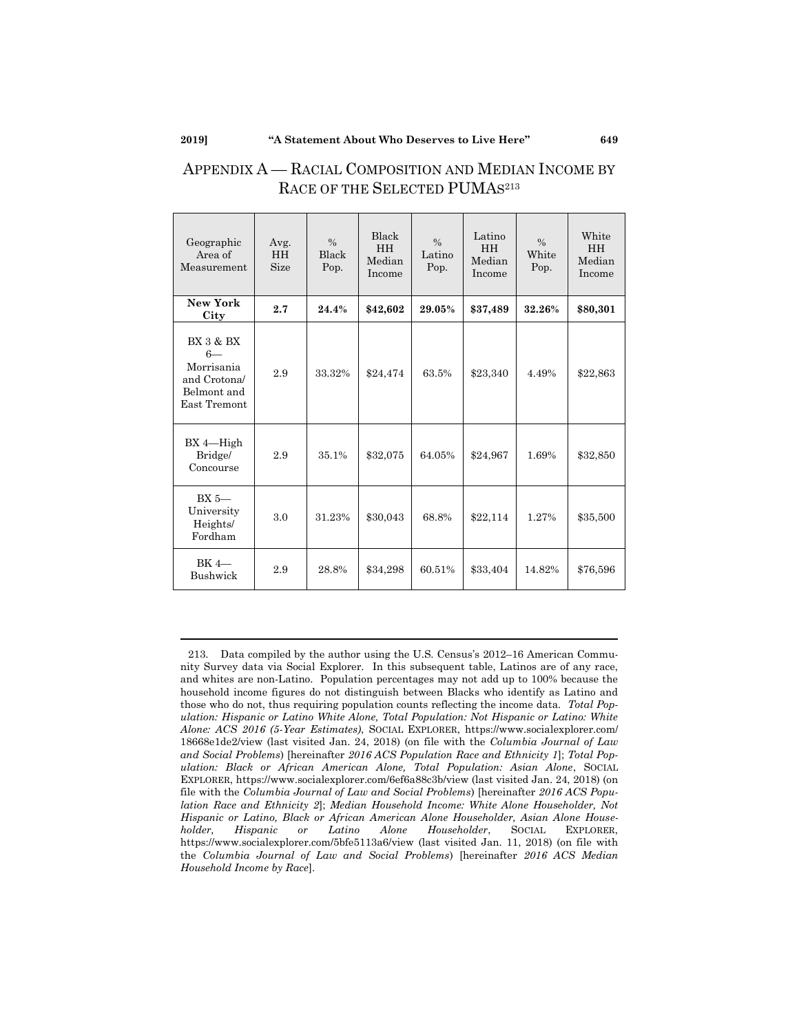| Geographic<br>Area of<br>Measurement                                                      | Avg.<br><b>HH</b><br>Size | $\frac{0}{0}$<br><b>Black</b><br>Pop. | Black<br><b>HH</b><br>Median<br>Income | $\frac{0}{0}$<br>Latino<br>Pop. | Latino<br><b>HH</b><br>Median<br>Income | $\frac{0}{0}$<br>White<br>Pop. | White<br><b>HH</b><br>Median<br>Income |
|-------------------------------------------------------------------------------------------|---------------------------|---------------------------------------|----------------------------------------|---------------------------------|-----------------------------------------|--------------------------------|----------------------------------------|
| New York<br>City                                                                          | 2.7                       | 24.4%                                 | \$42,602                               | 29.05%                          | \$37,489                                | 32.26%                         | \$80,301                               |
| <b>BX 3 &amp; BX</b><br>$6-$<br>Morrisania<br>and Crotonal<br>Belmont and<br>East Tremont | 2.9                       | 33.32%                                | \$24,474                               | 63.5%                           | \$23,340                                | 4.49%                          | \$22,863                               |
| $BX 4-High$<br>Bridge/<br>Concourse                                                       | 2.9                       | 35.1%                                 | \$32,075                               | 64.05%                          | \$24,967                                | 1.69%                          | \$32,850                               |
| $BX 5 -$<br>University<br>Heights/<br>Fordham                                             | 3.0                       | 31.23%                                | \$30,043                               | 68.8%                           | \$22,114                                | 1.27%                          | \$35,500                               |
| $BK$ 4-<br><b>Bushwick</b>                                                                | 2.9                       | 28.8%                                 | \$34,298                               | 60.51%                          | \$33,404                                | 14.82%                         | \$76,596                               |

# APPENDIX A — RACIAL COMPOSITION AND MEDIAN INCOME BY RACE OF THE SELECTED PUMAS<sup>213</sup>

<sup>213.</sup> Data compiled by the author using the U.S. Census's 2012–16 American Community Survey data via Social Explorer. In this subsequent table, Latinos are of any race, and whites are non-Latino. Population percentages may not add up to 100% because the household income figures do not distinguish between Blacks who identify as Latino and those who do not, thus requiring population counts reflecting the income data. *Total Population: Hispanic or Latino White Alone, Total Population: Not Hispanic or Latino: White Alone: ACS 2016 (5-Year Estimates)*, SOCIAL EXPLORER, https://www.socialexplorer.com/ 18668e1de2/view (last visited Jan. 24, 2018) (on file with the *Columbia Journal of Law and Social Problems*) [hereinafter *2016 ACS Population Race and Ethnicity 1*]; *Total Population: Black or African American Alone, Total Population: Asian Alone*, SOCIAL EXPLORER, https://www.socialexplorer.com/6ef6a88c3b/view (last visited Jan. 24, 2018) (on file with the *Columbia Journal of Law and Social Problems*) [hereinafter *2016 ACS Population Race and Ethnicity 2*]; *Median Household Income: White Alone Householder, Not Hispanic or Latino, Black or African American Alone Householder, Asian Alone Householder, Hispanic or Latino Alone Householder*, SOCIAL EXPLORER, https://www.socialexplorer.com/5bfe5113a6/view (last visited Jan. 11, 2018) (on file with the *Columbia Journal of Law and Social Problems*) [hereinafter *2016 ACS Median Household Income by Race*].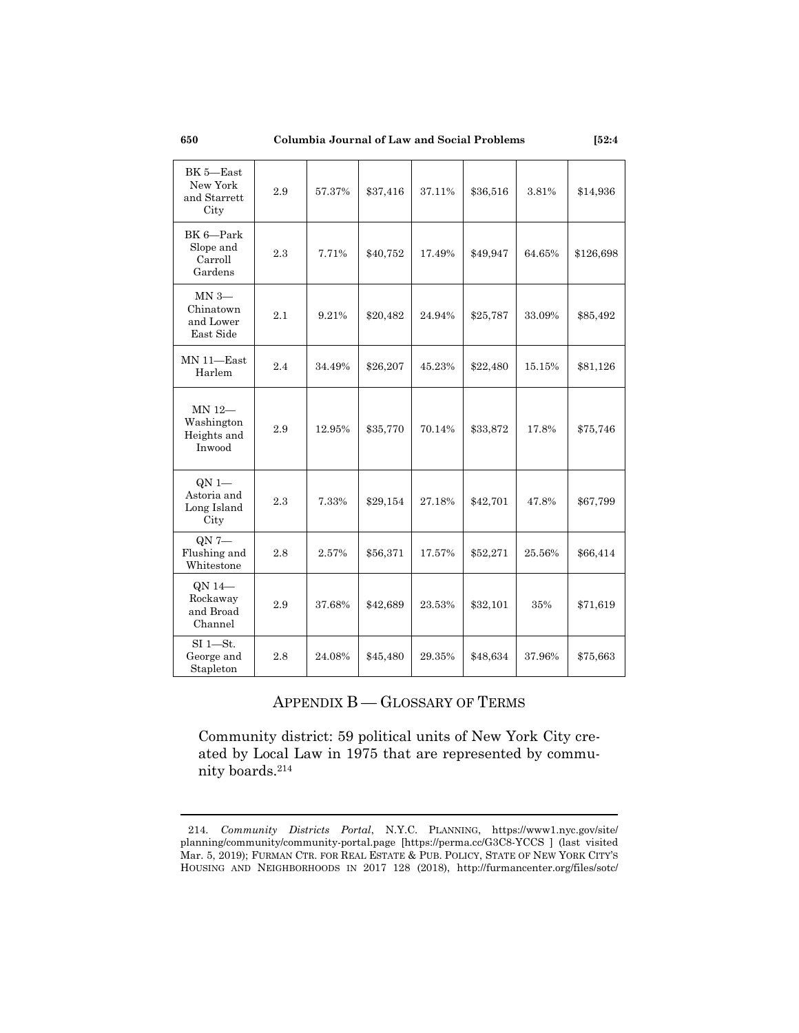**650 Columbia Journal of Law and Social Problems [52:4**

| BK 5-East<br>New York<br>and Starrett<br>City  | 2.9 | 57.37% | \$37,416 | 37.11% | \$36,516 | 3.81%  | \$14,936  |
|------------------------------------------------|-----|--------|----------|--------|----------|--------|-----------|
| BK 6-Park<br>Slope and<br>Carroll<br>Gardens   | 2.3 | 7.71%  | \$40,752 | 17.49% | \$49,947 | 64.65% | \$126,698 |
| $MN$ 3-<br>Chinatown<br>and Lower<br>East Side | 2.1 | 9.21%  | \$20,482 | 24.94% | \$25,787 | 33.09% | \$85,492  |
| MN 11-East<br>Harlem                           | 2.4 | 34.49% | \$26,207 | 45.23% | \$22,480 | 15.15% | \$81,126  |
| MN 12-<br>Washington<br>Heights and<br>Inwood  | 2.9 | 12.95% | \$35,770 | 70.14% | \$33,872 | 17.8%  | \$75,746  |
| $QN$ 1-<br>Astoria and<br>Long Island<br>City  | 2.3 | 7.33%  | \$29,154 | 27.18% | \$42,701 | 47.8%  | \$67,799  |
| $QN -$<br>Flushing and<br>Whitestone           | 2.8 | 2.57%  | \$56,371 | 17.57% | \$52,271 | 25.56% | \$66,414  |
| QN 14-<br>Rockaway<br>and Broad<br>Channel     | 2.9 | 37.68% | \$42,689 | 23.53% | \$32,101 | 35%    | \$71,619  |
| $SI$ 1 $-St$ .<br>George and<br>Stapleton      | 2.8 | 24.08% | \$45,480 | 29.35% | \$48,634 | 37.96% | \$75,663  |

# <span id="page-51-0"></span>APPENDIX B — GLOSSARY OF TERMS

Community district: 59 political units of New York City created by Local Law in 1975 that are represented by community boards.<sup>214</sup>

<sup>214.</sup> *Community Districts Portal*, N.Y.C. PLANNING, https://www1.nyc.gov/site/ planning/community/community-portal.page [https://perma.cc/G3C8-YCCS ] (last visited Mar. 5, 2019); FURMAN CTR. FOR REAL ESTATE & PUB. POLICY, STATE OF NEW YORK CITY'S HOUSING AND NEIGHBORHOODS IN 2017 128 (2018), http://furmancenter.org/files/sotc/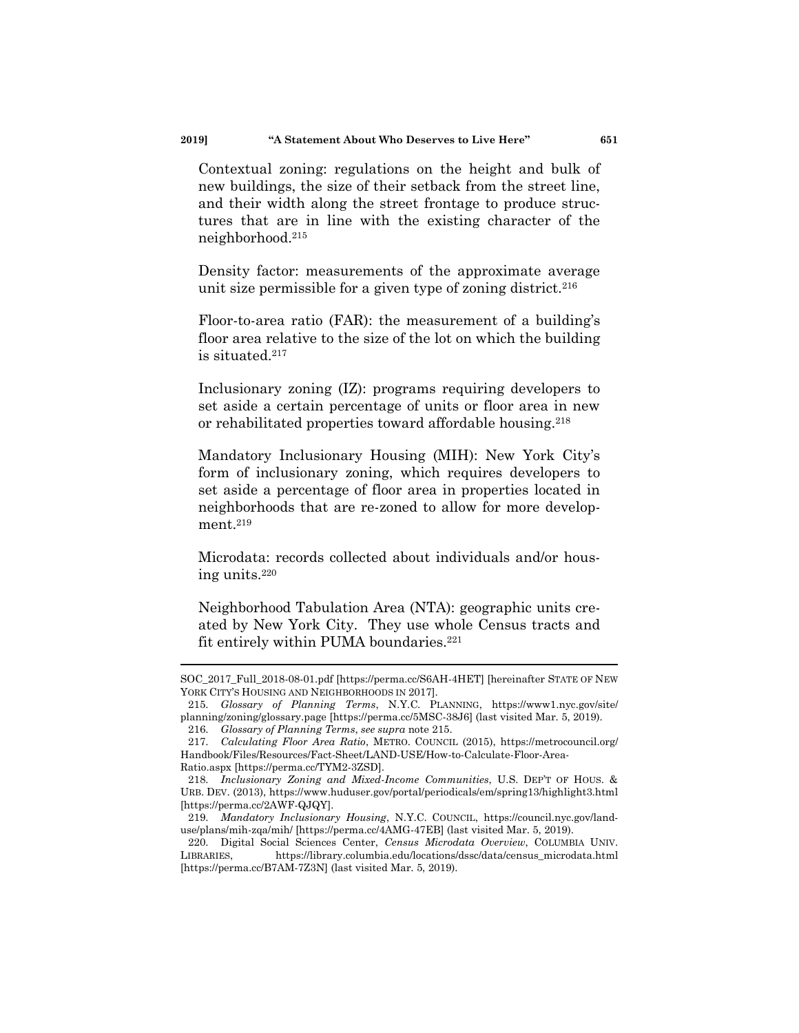Contextual zoning: regulations on the height and bulk of new buildings, the size of their setback from the street line, and their width along the street frontage to produce structures that are in line with the existing character of the neighborhood. 215

<span id="page-52-0"></span>Density factor: measurements of the approximate average unit size permissible for a given type of zoning district.<sup>216</sup>

Floor-to-area ratio (FAR): the measurement of a building's floor area relative to the size of the lot on which the building is situated.<sup>217</sup>

Inclusionary zoning (IZ): programs requiring developers to set aside a certain percentage of units or floor area in new or rehabilitated properties toward affordable housing.<sup>218</sup>

Mandatory Inclusionary Housing (MIH): New York City's form of inclusionary zoning, which requires developers to set aside a percentage of floor area in properties located in neighborhoods that are re-zoned to allow for more development.<sup>219</sup>

Microdata: records collected about individuals and/or housing units.<sup>220</sup>

Neighborhood Tabulation Area (NTA): geographic units created by New York City. They use whole Census tracts and fit entirely within PUMA boundaries.<sup>221</sup>

SOC\_2017\_Full\_2018-08-01.pdf [https://perma.cc/S6AH-4HET] [hereinafter STATE OF NEW YORK CITY'S HOUSING AND NEIGHBORHOODS IN 2017].

<sup>215.</sup> *Glossary of Planning Terms*, N.Y.C. PLANNING, https://www1.nyc.gov/site/ planning/zoning/glossary.page [https://perma.cc/5MSC-38J6] (last visited Mar. 5, 2019).

<sup>216.</sup> *Glossary of Planning Terms*, *see supra* note [215.](#page-52-0)

<sup>217.</sup> *Calculating Floor Area Ratio*, METRO. COUNCIL (2015), https://metrocouncil.org/ Handbook/Files/Resources/Fact-Sheet/LAND-USE/How-to-Calculate-Floor-Area-Ratio.aspx [https://perma.cc/TYM2-3ZSD].

<sup>218.</sup> *Inclusionary Zoning and Mixed-Income Communities*, U.S. DEP'T OF HOUS. & URB. DEV. (2013), https://www.huduser.gov/portal/periodicals/em/spring13/highlight3.html [https://perma.cc/2AWF-QJQY].

<sup>219.</sup> *Mandatory Inclusionary Housing*, N.Y.C. COUNCIL, https://council.nyc.gov/landuse/plans/mih-zqa/mih/ [https://perma.cc/4AMG-47EB] (last visited Mar. 5, 2019).

<sup>220.</sup> Digital Social Sciences Center, *Census Microdata Overview*, COLUMBIA UNIV. LIBRARIES, https://library.columbia.edu/locations/dssc/data/census\_microdata.html [https://perma.cc/B7AM-7Z3N] (last visited Mar. 5, 2019).